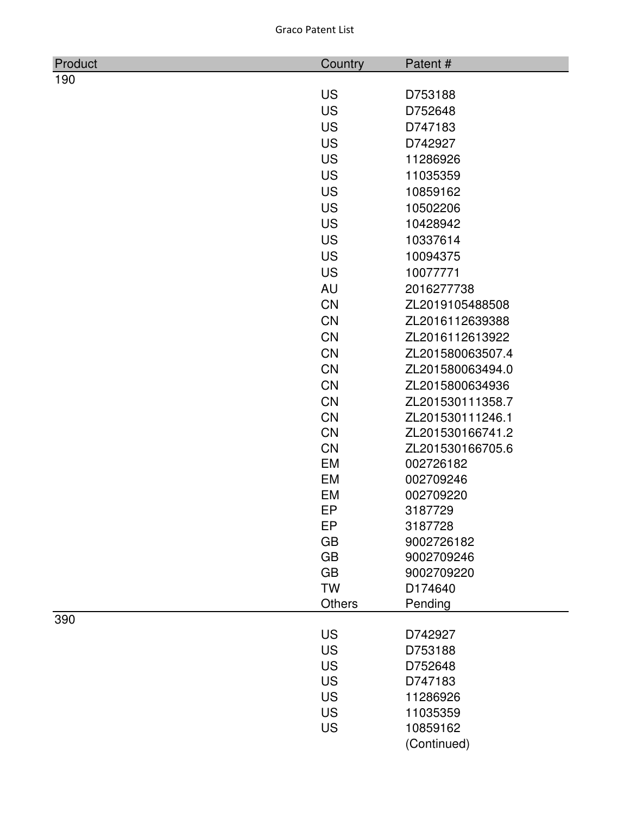| Product | Country             | Patent#          |
|---------|---------------------|------------------|
| 190     |                     |                  |
|         | <b>US</b>           | D753188          |
|         | <b>US</b>           | D752648          |
|         | <b>US</b>           | D747183          |
|         | <b>US</b>           | D742927          |
|         | <b>US</b>           | 11286926         |
|         | <b>US</b>           | 11035359         |
|         | <b>US</b>           | 10859162         |
|         | <b>US</b>           | 10502206         |
|         | <b>US</b>           | 10428942         |
|         | <b>US</b>           | 10337614         |
|         | <b>US</b>           | 10094375         |
|         | <b>US</b>           | 10077771         |
|         | AU                  | 2016277738       |
|         | <b>CN</b>           | ZL2019105488508  |
|         | <b>CN</b>           | ZL2016112639388  |
|         | <b>CN</b>           | ZL2016112613922  |
|         | CN                  | ZL201580063507.4 |
|         | <b>CN</b>           | ZL201580063494.0 |
|         | CN                  | ZL2015800634936  |
|         | <b>CN</b>           | ZL201530111358.7 |
|         | CN                  | ZL201530111246.1 |
|         | <b>CN</b>           | ZL201530166741.2 |
|         | <b>CN</b>           | ZL201530166705.6 |
|         | EM                  | 002726182        |
|         | EM                  | 002709246        |
|         | <b>EM</b>           | 002709220        |
|         | EP                  | 3187729          |
|         | EP                  | 3187728          |
|         | <b>GB</b>           | 9002726182       |
|         | <b>GB</b>           | 9002709246       |
|         | <b>GB</b>           | 9002709220       |
|         | <b>TW</b><br>Others | D174640          |
| 390     |                     | Pending          |
|         | <b>US</b>           | D742927          |
|         | <b>US</b>           | D753188          |
|         | <b>US</b>           | D752648          |
|         | <b>US</b>           | D747183          |
|         | <b>US</b>           | 11286926         |
|         | <b>US</b>           | 11035359         |
|         | <b>US</b>           | 10859162         |
|         |                     | (Continued)      |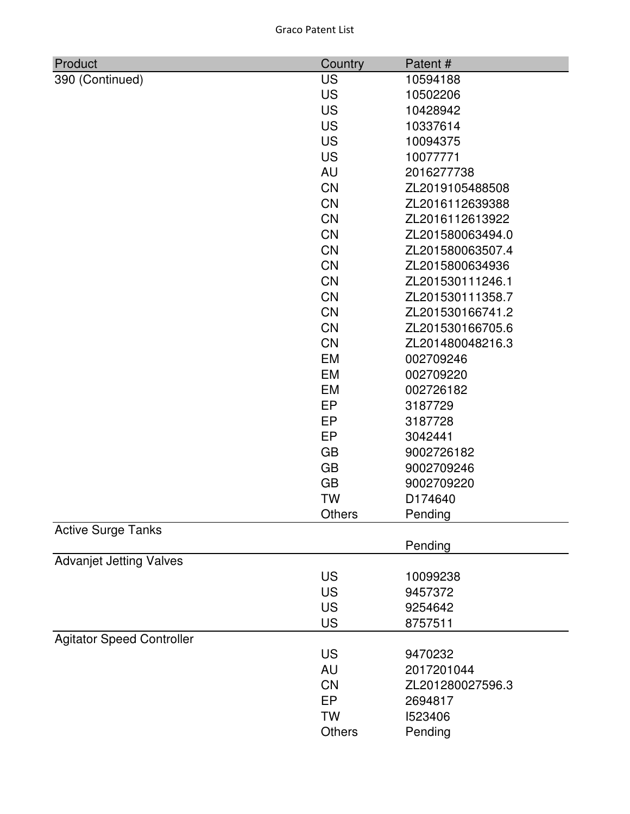| <b>Graco Patent List</b> |  |
|--------------------------|--|
|--------------------------|--|

| Product                          | Country   | Patent#          |
|----------------------------------|-----------|------------------|
| 390 (Continued)                  | <b>US</b> | 10594188         |
|                                  | <b>US</b> | 10502206         |
|                                  | <b>US</b> | 10428942         |
|                                  | <b>US</b> | 10337614         |
|                                  | <b>US</b> | 10094375         |
|                                  | <b>US</b> | 10077771         |
|                                  | <b>AU</b> | 2016277738       |
|                                  | <b>CN</b> | ZL2019105488508  |
|                                  | <b>CN</b> | ZL2016112639388  |
|                                  | <b>CN</b> | ZL2016112613922  |
|                                  | <b>CN</b> | ZL201580063494.0 |
|                                  | <b>CN</b> | ZL201580063507.4 |
|                                  | <b>CN</b> | ZL2015800634936  |
|                                  | <b>CN</b> | ZL201530111246.1 |
|                                  | <b>CN</b> | ZL201530111358.7 |
|                                  | <b>CN</b> | ZL201530166741.2 |
|                                  | <b>CN</b> | ZL201530166705.6 |
|                                  | <b>CN</b> | ZL201480048216.3 |
|                                  | EM        | 002709246        |
|                                  | <b>EM</b> | 002709220        |
|                                  | EM        | 002726182        |
|                                  | <b>EP</b> | 3187729          |
|                                  | EP        | 3187728          |
|                                  | EP        | 3042441          |
|                                  | <b>GB</b> | 9002726182       |
|                                  | <b>GB</b> | 9002709246       |
|                                  | <b>GB</b> | 9002709220       |
|                                  | <b>TW</b> | D174640          |
|                                  | Others    | Pending          |
| <b>Active Surge Tanks</b>        |           |                  |
|                                  |           | Pending          |
| <b>Advanjet Jetting Valves</b>   |           |                  |
|                                  | <b>US</b> | 10099238         |
|                                  | <b>US</b> | 9457372          |
|                                  | <b>US</b> | 9254642          |
|                                  | <b>US</b> | 8757511          |
| <b>Agitator Speed Controller</b> |           |                  |
|                                  | <b>US</b> | 9470232          |
|                                  | <b>AU</b> | 2017201044       |
|                                  | <b>CN</b> | ZL201280027596.3 |
|                                  | EP        | 2694817          |
|                                  | <b>TW</b> | 1523406          |
|                                  | Others    | Pending          |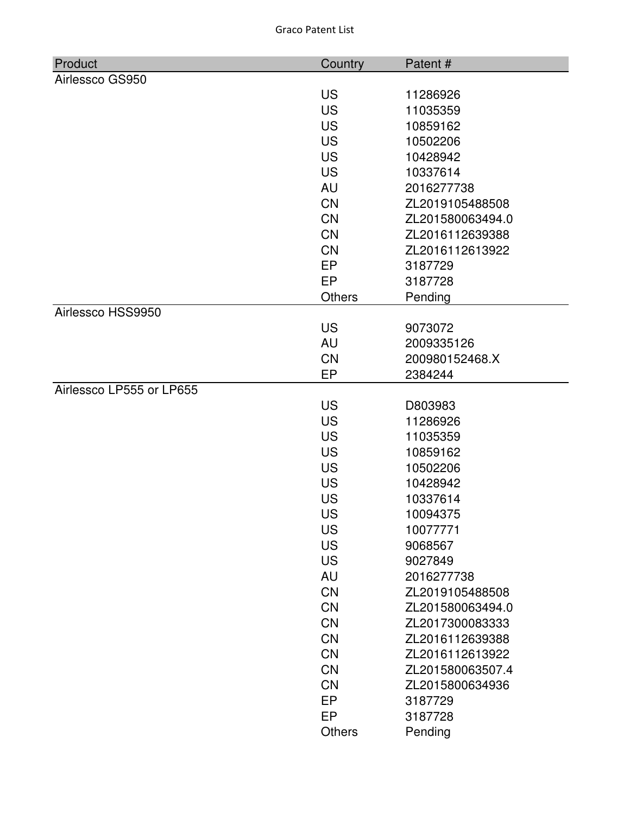| Product                  | Country       | Patent#          |
|--------------------------|---------------|------------------|
| Airlessco GS950          |               |                  |
|                          | <b>US</b>     | 11286926         |
|                          | <b>US</b>     | 11035359         |
|                          | <b>US</b>     | 10859162         |
|                          | <b>US</b>     | 10502206         |
|                          | <b>US</b>     | 10428942         |
|                          | <b>US</b>     | 10337614         |
|                          | AU            | 2016277738       |
|                          | <b>CN</b>     | ZL2019105488508  |
|                          | <b>CN</b>     | ZL201580063494.0 |
|                          | <b>CN</b>     | ZL2016112639388  |
|                          | <b>CN</b>     | ZL2016112613922  |
|                          | <b>EP</b>     | 3187729          |
|                          | <b>EP</b>     | 3187728          |
|                          | <b>Others</b> | Pending          |
| Airlessco HSS9950        |               |                  |
|                          | <b>US</b>     | 9073072          |
|                          | AU            | 2009335126       |
|                          | <b>CN</b>     | 200980152468.X   |
|                          | EP            | 2384244          |
| Airlessco LP555 or LP655 |               |                  |
|                          | <b>US</b>     | D803983          |
|                          | <b>US</b>     | 11286926         |
|                          | <b>US</b>     | 11035359         |
|                          | <b>US</b>     | 10859162         |
|                          | <b>US</b>     | 10502206         |
|                          | <b>US</b>     | 10428942         |
|                          | <b>US</b>     | 10337614         |
|                          | US            | 10094375         |
|                          | <b>US</b>     | 10077771         |
|                          | <b>US</b>     | 9068567          |
|                          | <b>US</b>     | 9027849          |
|                          | <b>AU</b>     | 2016277738       |
|                          | CN            | ZL2019105488508  |
|                          | <b>CN</b>     | ZL201580063494.0 |
|                          | <b>CN</b>     | ZL2017300083333  |
|                          | <b>CN</b>     | ZL2016112639388  |
|                          | CN            | ZL2016112613922  |
|                          | CN            | ZL201580063507.4 |
|                          | CN            | ZL2015800634936  |
|                          | <b>EP</b>     | 3187729          |
|                          | <b>EP</b>     | 3187728          |
|                          | <b>Others</b> | Pending          |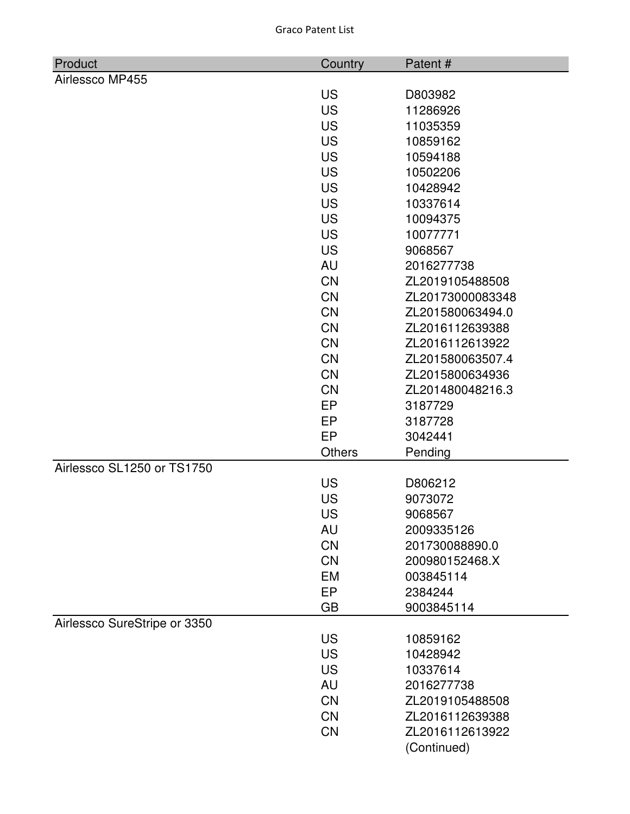| Product                      | Country         | Patent#            |
|------------------------------|-----------------|--------------------|
| Airlessco MP455              |                 |                    |
|                              | <b>US</b>       | D803982            |
|                              | <b>US</b>       | 11286926           |
|                              | <b>US</b>       | 11035359           |
|                              | <b>US</b>       | 10859162           |
|                              | <b>US</b>       | 10594188           |
|                              | <b>US</b>       | 10502206           |
|                              | <b>US</b>       | 10428942           |
|                              | <b>US</b>       | 10337614           |
|                              | <b>US</b>       | 10094375           |
|                              | <b>US</b>       | 10077771           |
|                              | <b>US</b>       | 9068567            |
|                              | <b>AU</b>       | 2016277738         |
|                              | CN              | ZL2019105488508    |
|                              | <b>CN</b>       | ZL20173000083348   |
|                              | CN              | ZL201580063494.0   |
|                              | <b>CN</b>       | ZL2016112639388    |
|                              | <b>CN</b>       | ZL2016112613922    |
|                              | <b>CN</b>       | ZL201580063507.4   |
|                              | <b>CN</b>       | ZL2015800634936    |
|                              | <b>CN</b>       | ZL201480048216.3   |
|                              | EP<br><b>EP</b> | 3187729            |
|                              | <b>EP</b>       | 3187728<br>3042441 |
|                              | <b>Others</b>   | Pending            |
| Airlessco SL1250 or TS1750   |                 |                    |
|                              | <b>US</b>       | D806212            |
|                              | <b>US</b>       | 9073072            |
|                              | US              | 9068567            |
|                              | AU              | 2009335126         |
|                              | <b>CN</b>       | 201730088890.0     |
|                              | <b>CN</b>       | 200980152468.X     |
|                              | <b>EM</b>       | 003845114          |
|                              | <b>EP</b>       | 2384244            |
|                              | <b>GB</b>       | 9003845114         |
| Airlessco SureStripe or 3350 |                 |                    |
|                              | <b>US</b>       | 10859162           |
|                              | <b>US</b>       | 10428942           |
|                              | <b>US</b>       | 10337614           |
|                              | <b>AU</b>       | 2016277738         |
|                              | <b>CN</b>       | ZL2019105488508    |
|                              | <b>CN</b>       | ZL2016112639388    |
|                              | <b>CN</b>       | ZL2016112613922    |
|                              |                 | (Continued)        |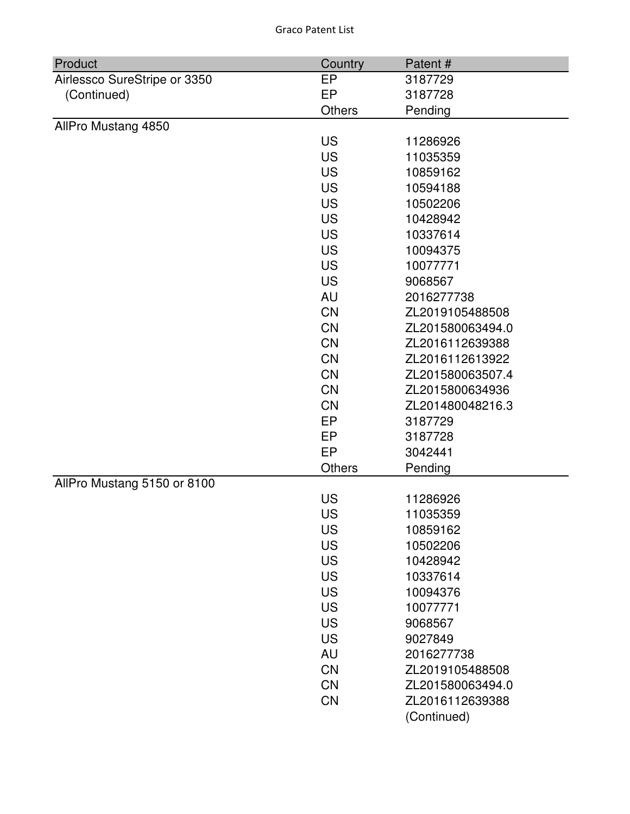| Product                      | Country       | Patent#          |
|------------------------------|---------------|------------------|
| Airlessco SureStripe or 3350 | EP            | 3187729          |
| (Continued)                  | EP            | 3187728          |
|                              | <b>Others</b> | Pending          |
| AllPro Mustang 4850          |               |                  |
|                              | <b>US</b>     | 11286926         |
|                              | <b>US</b>     | 11035359         |
|                              | <b>US</b>     | 10859162         |
|                              | <b>US</b>     | 10594188         |
|                              | <b>US</b>     | 10502206         |
|                              | <b>US</b>     | 10428942         |
|                              | <b>US</b>     | 10337614         |
|                              | <b>US</b>     | 10094375         |
|                              | <b>US</b>     | 10077771         |
|                              | <b>US</b>     | 9068567          |
|                              | AU            | 2016277738       |
|                              | <b>CN</b>     | ZL2019105488508  |
|                              | <b>CN</b>     | ZL201580063494.0 |
|                              | <b>CN</b>     | ZL2016112639388  |
|                              | <b>CN</b>     | ZL2016112613922  |
|                              | <b>CN</b>     | ZL201580063507.4 |
|                              | <b>CN</b>     | ZL2015800634936  |
|                              | <b>CN</b>     | ZL201480048216.3 |
|                              | EP            | 3187729          |
|                              | EP            | 3187728          |
|                              | EP            | 3042441          |
|                              | <b>Others</b> | Pending          |
| AllPro Mustang 5150 or 8100  |               |                  |
|                              | <b>US</b>     | 11286926         |
|                              | US            | 11035359         |
|                              | US            | 10859162         |
|                              | <b>US</b>     | 10502206         |
|                              | <b>US</b>     | 10428942         |
|                              | <b>US</b>     | 10337614         |
|                              | <b>US</b>     | 10094376         |
|                              | <b>US</b>     | 10077771         |
|                              | <b>US</b>     | 9068567          |
|                              | <b>US</b>     | 9027849          |
|                              | AU            | 2016277738       |
|                              | <b>CN</b>     | ZL2019105488508  |
|                              | <b>CN</b>     | ZL201580063494.0 |
|                              | CN            | ZL2016112639388  |
|                              |               | (Continued)      |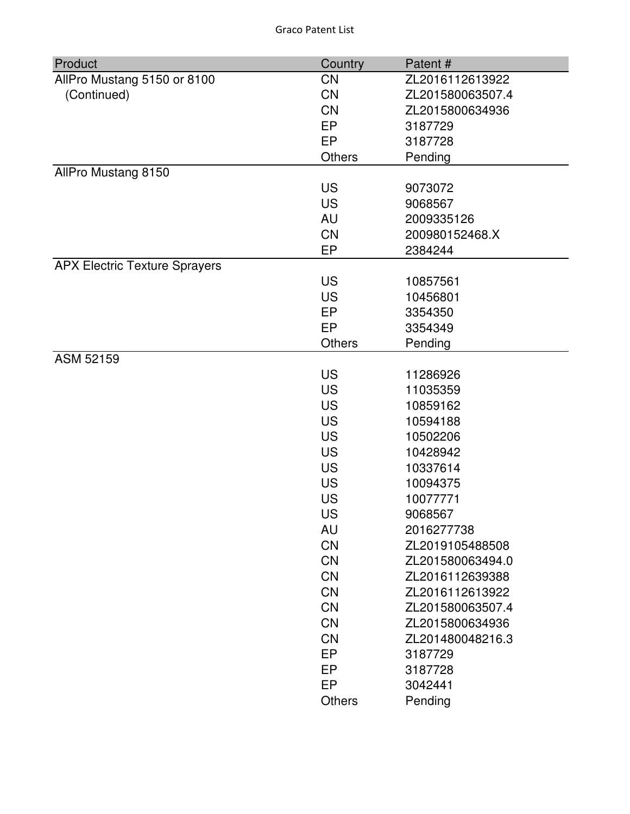| Product                              | Country   | Patent#          |
|--------------------------------------|-----------|------------------|
| AllPro Mustang 5150 or 8100          | <b>CN</b> | ZL2016112613922  |
| (Continued)                          | <b>CN</b> | ZL201580063507.4 |
|                                      | <b>CN</b> | ZL2015800634936  |
|                                      | <b>EP</b> | 3187729          |
|                                      | EP        | 3187728          |
|                                      | Others    | Pending          |
| AllPro Mustang 8150                  |           |                  |
|                                      | <b>US</b> | 9073072          |
|                                      | <b>US</b> | 9068567          |
|                                      | AU        | 2009335126       |
|                                      | <b>CN</b> | 200980152468.X   |
|                                      | EP        | 2384244          |
| <b>APX Electric Texture Sprayers</b> |           |                  |
|                                      | <b>US</b> | 10857561         |
|                                      | <b>US</b> | 10456801         |
|                                      | EP        | 3354350          |
|                                      | EP        | 3354349          |
|                                      | Others    | Pending          |
| ASM 52159                            |           |                  |
|                                      | <b>US</b> | 11286926         |
|                                      | <b>US</b> | 11035359         |
|                                      | <b>US</b> | 10859162         |
|                                      | <b>US</b> | 10594188         |
|                                      | <b>US</b> | 10502206         |
|                                      | <b>US</b> | 10428942         |
|                                      | <b>US</b> | 10337614         |
|                                      | <b>US</b> | 10094375         |
|                                      | <b>US</b> | 10077771         |
|                                      | <b>US</b> | 9068567          |
|                                      | AU        | 2016277738       |
|                                      | CN        | ZL2019105488508  |
|                                      | <b>CN</b> | ZL201580063494.0 |
|                                      | <b>CN</b> | ZL2016112639388  |
|                                      | <b>CN</b> | ZL2016112613922  |
|                                      | CN        | ZL201580063507.4 |
|                                      | <b>CN</b> | ZL2015800634936  |
|                                      | <b>CN</b> | ZL201480048216.3 |
|                                      | EP        | 3187729          |
|                                      | EP        | 3187728          |
|                                      | EP        | 3042441          |
|                                      | Others    | Pending          |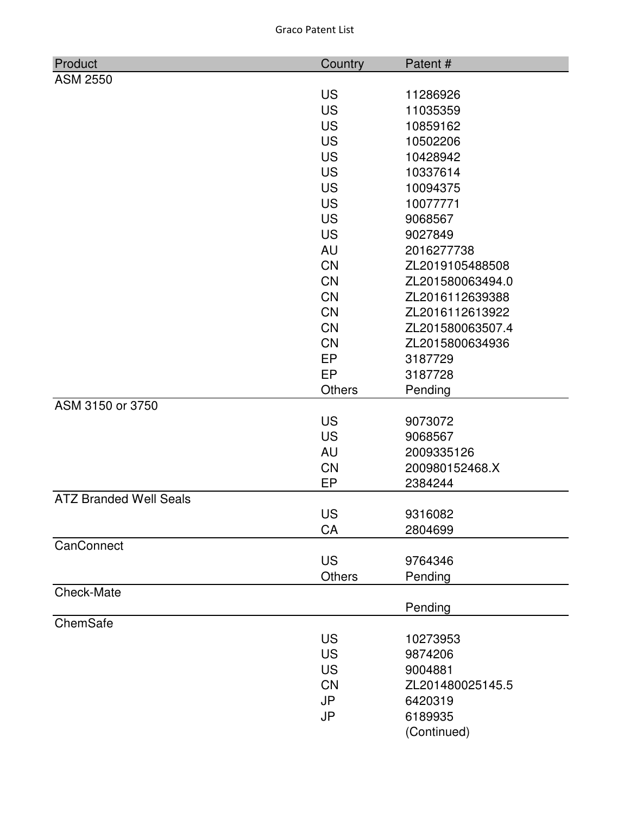| Product                       | Country       | Patent#          |
|-------------------------------|---------------|------------------|
| <b>ASM 2550</b>               |               |                  |
|                               | <b>US</b>     | 11286926         |
|                               | <b>US</b>     | 11035359         |
|                               | <b>US</b>     | 10859162         |
|                               | <b>US</b>     | 10502206         |
|                               | <b>US</b>     | 10428942         |
|                               | <b>US</b>     | 10337614         |
|                               | <b>US</b>     | 10094375         |
|                               | <b>US</b>     | 10077771         |
|                               | <b>US</b>     | 9068567          |
|                               | <b>US</b>     | 9027849          |
|                               | AU            | 2016277738       |
|                               | <b>CN</b>     | ZL2019105488508  |
|                               | <b>CN</b>     | ZL201580063494.0 |
|                               | <b>CN</b>     | ZL2016112639388  |
|                               | CN            | ZL2016112613922  |
|                               | <b>CN</b>     | ZL201580063507.4 |
|                               | <b>CN</b>     | ZL2015800634936  |
|                               | <b>EP</b>     | 3187729          |
|                               | <b>EP</b>     | 3187728          |
|                               | <b>Others</b> | Pending          |
| ASM 3150 or 3750              |               |                  |
|                               | <b>US</b>     | 9073072          |
|                               | <b>US</b>     | 9068567          |
|                               | <b>AU</b>     | 2009335126       |
|                               | <b>CN</b>     | 200980152468.X   |
|                               | EP            | 2384244          |
| <b>ATZ Branded Well Seals</b> |               |                  |
|                               | <b>US</b>     | 9316082          |
|                               | CA            | 2804699          |
| CanConnect                    |               |                  |
|                               | <b>US</b>     | 9764346          |
|                               | Others        | Pending          |
| Check-Mate                    |               | Pending          |
| ChemSafe                      |               |                  |
|                               | <b>US</b>     | 10273953         |
|                               | <b>US</b>     | 9874206          |
|                               | <b>US</b>     | 9004881          |
|                               | <b>CN</b>     | ZL201480025145.5 |
|                               | <b>JP</b>     | 6420319          |
|                               | JP            | 6189935          |
|                               |               | (Continued)      |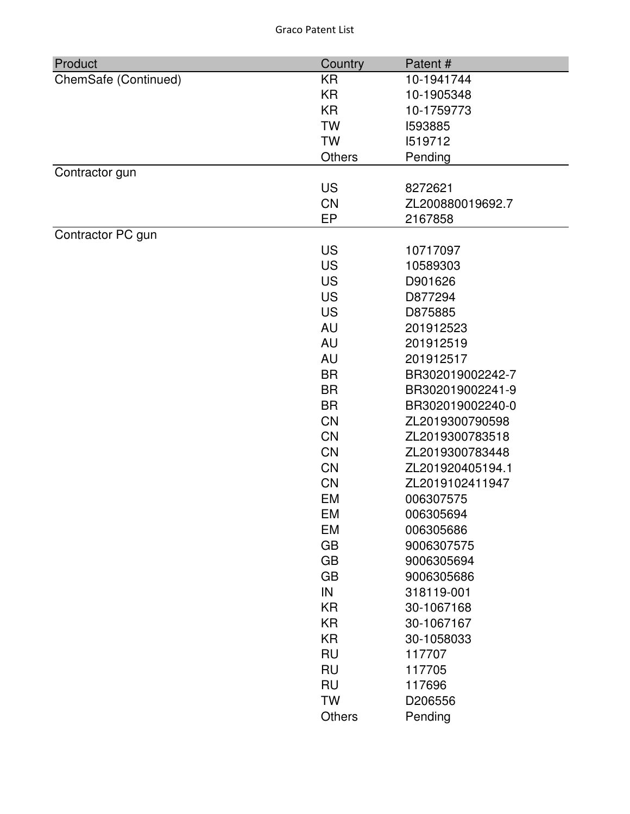| Product              | Country   | Patent#          |
|----------------------|-----------|------------------|
| ChemSafe (Continued) | <b>KR</b> | 10-1941744       |
|                      | <b>KR</b> | 10-1905348       |
|                      | <b>KR</b> | 10-1759773       |
|                      | <b>TW</b> | 1593885          |
|                      | <b>TW</b> | 1519712          |
|                      | Others    | Pending          |
| Contractor gun       |           |                  |
|                      | <b>US</b> | 8272621          |
|                      | CN        | ZL200880019692.7 |
|                      | EP        | 2167858          |
| Contractor PC gun    |           |                  |
|                      | <b>US</b> | 10717097         |
|                      | <b>US</b> | 10589303         |
|                      | <b>US</b> | D901626          |
|                      | <b>US</b> | D877294          |
|                      | <b>US</b> | D875885          |
|                      | AU        | 201912523        |
|                      | AU        | 201912519        |
|                      | <b>AU</b> | 201912517        |
|                      | <b>BR</b> | BR302019002242-7 |
|                      | <b>BR</b> | BR302019002241-9 |
|                      | <b>BR</b> | BR302019002240-0 |
|                      | <b>CN</b> | ZL2019300790598  |
|                      | <b>CN</b> | ZL2019300783518  |
|                      | <b>CN</b> | ZL2019300783448  |
|                      | <b>CN</b> | ZL201920405194.1 |
|                      | <b>CN</b> | ZL2019102411947  |
|                      | <b>EM</b> | 006307575        |
|                      | EM        | 006305694        |
|                      | EM        | 006305686        |
|                      | <b>GB</b> | 9006307575       |
|                      | <b>GB</b> | 9006305694       |
|                      | <b>GB</b> | 9006305686       |
|                      | IN        | 318119-001       |
|                      | <b>KR</b> | 30-1067168       |
|                      | KR        | 30-1067167       |
|                      | <b>KR</b> | 30-1058033       |
|                      | <b>RU</b> | 117707           |
|                      | <b>RU</b> | 117705           |
|                      | <b>RU</b> | 117696           |
|                      | <b>TW</b> | D206556          |
|                      | Others    | Pending          |
|                      |           |                  |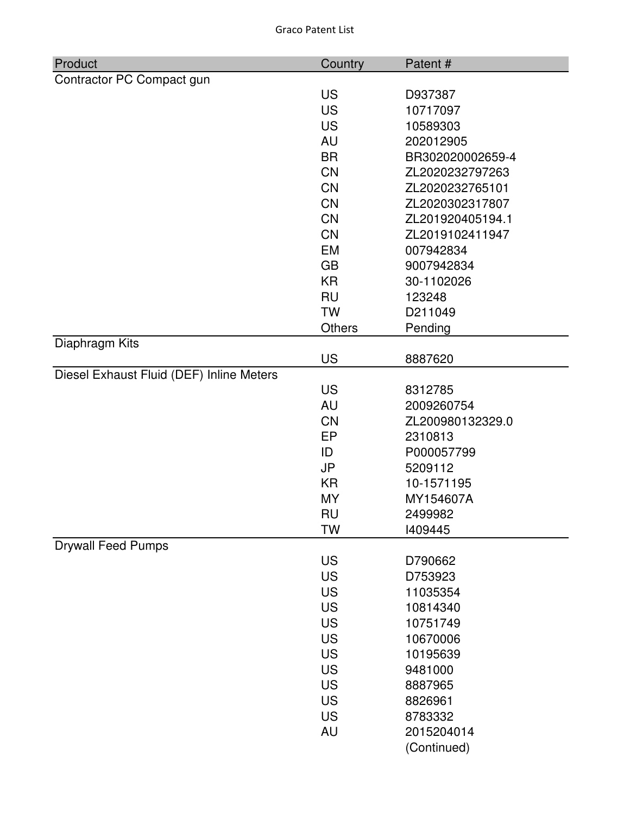| Product                                  | Country       | Patent#          |
|------------------------------------------|---------------|------------------|
| Contractor PC Compact gun                |               |                  |
|                                          | <b>US</b>     | D937387          |
|                                          | <b>US</b>     | 10717097         |
|                                          | <b>US</b>     | 10589303         |
|                                          | AU            | 202012905        |
|                                          | <b>BR</b>     | BR302020002659-4 |
|                                          | <b>CN</b>     | ZL2020232797263  |
|                                          | <b>CN</b>     | ZL2020232765101  |
|                                          | <b>CN</b>     | ZL2020302317807  |
|                                          | <b>CN</b>     | ZL201920405194.1 |
|                                          | <b>CN</b>     | ZL2019102411947  |
|                                          | <b>EM</b>     | 007942834        |
|                                          | <b>GB</b>     | 9007942834       |
|                                          | <b>KR</b>     | 30-1102026       |
|                                          | <b>RU</b>     | 123248           |
|                                          | <b>TW</b>     | D211049          |
|                                          | <b>Others</b> | Pending          |
| Diaphragm Kits                           | <b>US</b>     | 8887620          |
| Diesel Exhaust Fluid (DEF) Inline Meters |               |                  |
|                                          | <b>US</b>     | 8312785          |
|                                          | AU            | 2009260754       |
|                                          | <b>CN</b>     | ZL200980132329.0 |
|                                          | EP            | 2310813          |
|                                          | ID            | P000057799       |
|                                          | <b>JP</b>     | 5209112          |
|                                          | <b>KR</b>     | 10-1571195       |
|                                          | <b>MY</b>     | MY154607A        |
|                                          | <b>RU</b>     | 2499982          |
|                                          | TW            | 1409445          |
| <b>Drywall Feed Pumps</b>                |               |                  |
|                                          | <b>US</b>     | D790662          |
|                                          | <b>US</b>     | D753923          |
|                                          | <b>US</b>     | 11035354         |
|                                          | <b>US</b>     | 10814340         |
|                                          | <b>US</b>     | 10751749         |
|                                          | <b>US</b>     | 10670006         |
|                                          | <b>US</b>     | 10195639         |
|                                          | <b>US</b>     | 9481000          |
|                                          | <b>US</b>     | 8887965          |
|                                          | <b>US</b>     | 8826961          |
|                                          | <b>US</b>     | 8783332          |
|                                          | <b>AU</b>     | 2015204014       |
|                                          |               | (Continued)      |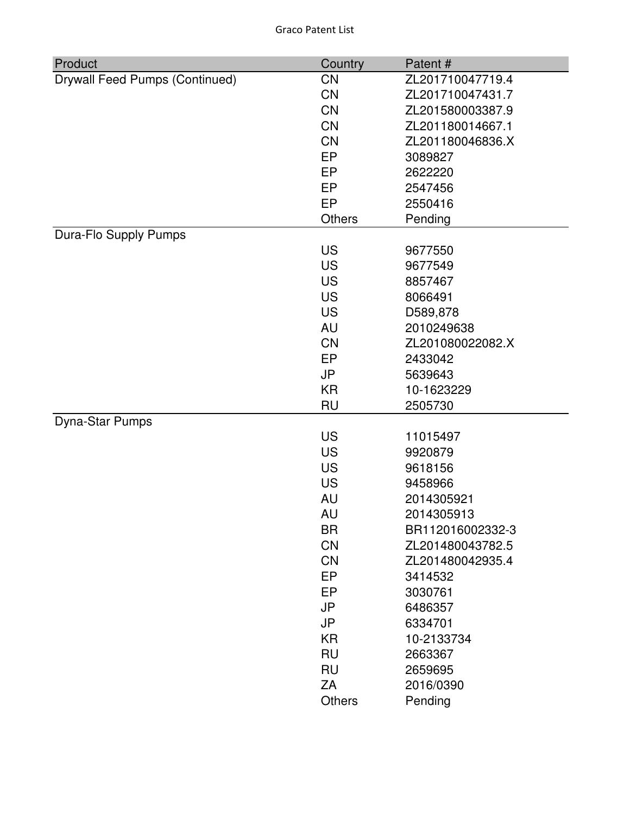| Product                               | Country       | Patent#          |
|---------------------------------------|---------------|------------------|
| <b>Drywall Feed Pumps (Continued)</b> | CN            | ZL201710047719.4 |
|                                       | <b>CN</b>     | ZL201710047431.7 |
|                                       | <b>CN</b>     | ZL201580003387.9 |
|                                       | <b>CN</b>     | ZL201180014667.1 |
|                                       | <b>CN</b>     | ZL201180046836.X |
|                                       | EP            | 3089827          |
|                                       | <b>EP</b>     | 2622220          |
|                                       | EP            | 2547456          |
|                                       | EP            | 2550416          |
|                                       | <b>Others</b> | Pending          |
| Dura-Flo Supply Pumps                 |               |                  |
|                                       | <b>US</b>     | 9677550          |
|                                       | <b>US</b>     | 9677549          |
|                                       | <b>US</b>     | 8857467          |
|                                       | <b>US</b>     | 8066491          |
|                                       | <b>US</b>     | D589,878         |
|                                       | <b>AU</b>     | 2010249638       |
|                                       | <b>CN</b>     | ZL201080022082.X |
|                                       | EP            | 2433042          |
|                                       | <b>JP</b>     | 5639643          |
|                                       | <b>KR</b>     | 10-1623229       |
|                                       | <b>RU</b>     | 2505730          |
| Dyna-Star Pumps                       |               |                  |
|                                       | <b>US</b>     | 11015497         |
|                                       | <b>US</b>     | 9920879          |
|                                       | <b>US</b>     | 9618156          |
|                                       | <b>US</b>     | 9458966          |
|                                       | AU            | 2014305921       |
|                                       | AU            | 2014305913       |
|                                       | <b>BR</b>     | BR112016002332-3 |
|                                       | <b>CN</b>     | ZL201480043782.5 |
|                                       | <b>CN</b>     | ZL201480042935.4 |
|                                       | EP            | 3414532          |
|                                       | EP            | 3030761          |
|                                       | <b>JP</b>     | 6486357          |
|                                       | <b>JP</b>     | 6334701          |
|                                       | <b>KR</b>     | 10-2133734       |
|                                       | <b>RU</b>     | 2663367          |
|                                       | <b>RU</b>     | 2659695          |
|                                       | ZA            | 2016/0390        |
|                                       | <b>Others</b> | Pending          |
|                                       |               |                  |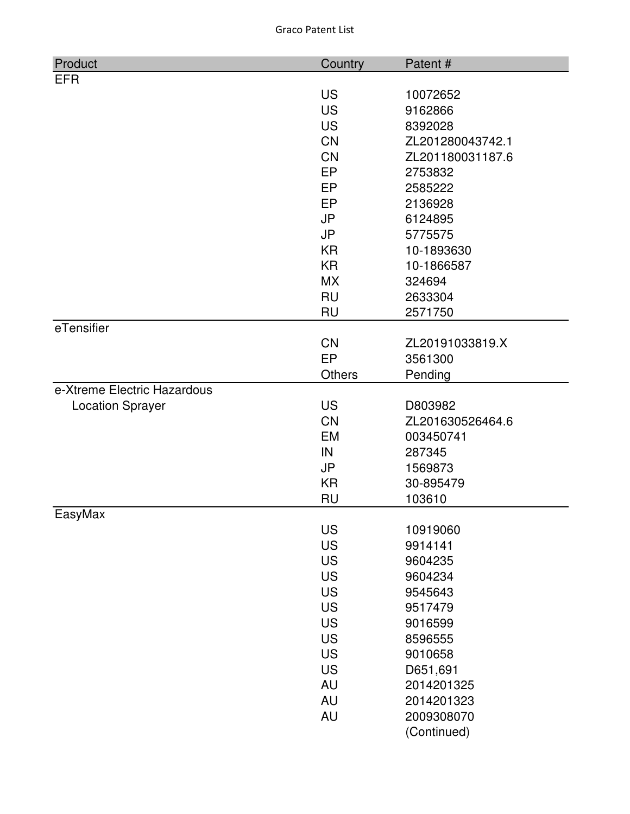| Product                     | Country   | Patent#                |
|-----------------------------|-----------|------------------------|
| <b>EFR</b>                  |           |                        |
|                             | <b>US</b> | 10072652               |
|                             | <b>US</b> | 9162866                |
|                             | <b>US</b> | 8392028                |
|                             | <b>CN</b> | ZL201280043742.1       |
|                             | <b>CN</b> | ZL201180031187.6       |
|                             | <b>EP</b> | 2753832                |
|                             | EP        | 2585222                |
|                             | EP        | 2136928                |
|                             | <b>JP</b> | 6124895                |
|                             | <b>JP</b> | 5775575                |
|                             | <b>KR</b> | 10-1893630             |
|                             | <b>KR</b> | 10-1866587             |
|                             | <b>MX</b> | 324694                 |
|                             | <b>RU</b> | 2633304                |
|                             | <b>RU</b> | 2571750                |
| eTensifier                  |           |                        |
|                             | <b>CN</b> | ZL20191033819.X        |
|                             | EP        | 3561300                |
|                             | Others    | Pending                |
| e-Xtreme Electric Hazardous |           |                        |
| <b>Location Sprayer</b>     | <b>US</b> | D803982                |
|                             | <b>CN</b> | ZL201630526464.6       |
|                             | <b>EM</b> | 003450741              |
|                             | IN        | 287345                 |
|                             | <b>JP</b> | 1569873                |
|                             | <b>KR</b> | 30-895479              |
|                             | <b>RU</b> | 103610                 |
| EasyMax                     |           |                        |
|                             | <b>US</b> | 10919060               |
|                             | <b>US</b> | 9914141                |
|                             | <b>US</b> | 9604235                |
|                             | <b>US</b> | 9604234                |
|                             | <b>US</b> | 9545643                |
|                             | <b>US</b> | 9517479                |
|                             | <b>US</b> | 9016599                |
|                             | <b>US</b> | 8596555                |
|                             | <b>US</b> | 9010658                |
|                             | <b>US</b> | D651,691<br>2014201325 |
|                             | <b>AU</b> |                        |
|                             | <b>AU</b> | 2014201323             |
|                             | <b>AU</b> | 2009308070             |
|                             |           | (Continued)            |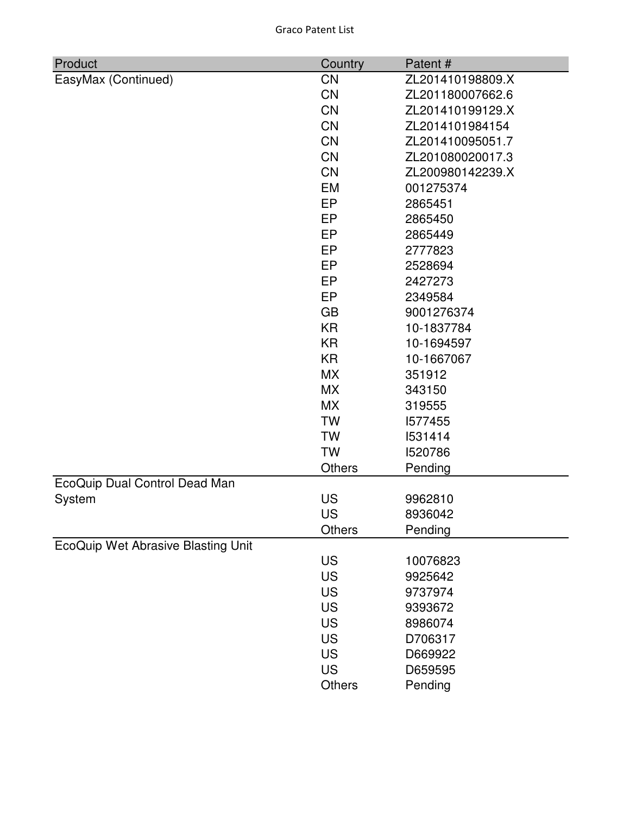| Product                            | Country       | Patent#          |
|------------------------------------|---------------|------------------|
| EasyMax (Continued)                | <b>CN</b>     | ZL201410198809.X |
|                                    | <b>CN</b>     | ZL201180007662.6 |
|                                    | <b>CN</b>     | ZL201410199129.X |
|                                    | <b>CN</b>     | ZL2014101984154  |
|                                    | <b>CN</b>     | ZL201410095051.7 |
|                                    | <b>CN</b>     | ZL201080020017.3 |
|                                    | <b>CN</b>     | ZL200980142239.X |
|                                    | <b>EM</b>     | 001275374        |
|                                    | EP            | 2865451          |
|                                    | EP            | 2865450          |
|                                    | EP            | 2865449          |
|                                    | EP            | 2777823          |
|                                    | EP            | 2528694          |
|                                    | EP            | 2427273          |
|                                    | EP            | 2349584          |
|                                    | <b>GB</b>     | 9001276374       |
|                                    | <b>KR</b>     | 10-1837784       |
|                                    | <b>KR</b>     | 10-1694597       |
|                                    | <b>KR</b>     | 10-1667067       |
|                                    | <b>MX</b>     | 351912           |
|                                    | <b>MX</b>     | 343150           |
|                                    | <b>MX</b>     | 319555           |
|                                    | <b>TW</b>     | 1577455          |
|                                    | <b>TW</b>     | 1531414          |
|                                    | <b>TW</b>     | 1520786          |
|                                    | <b>Others</b> | Pending          |
| EcoQuip Dual Control Dead Man      |               |                  |
| System                             | <b>US</b>     | 9962810          |
|                                    | <b>US</b>     | 8936042          |
|                                    | <b>Others</b> | Pending          |
| EcoQuip Wet Abrasive Blasting Unit |               |                  |
|                                    | <b>US</b>     | 10076823         |
|                                    | <b>US</b>     | 9925642          |
|                                    | <b>US</b>     | 9737974          |
|                                    | <b>US</b>     | 9393672          |
|                                    | US            | 8986074          |
|                                    | US            | D706317          |
|                                    | <b>US</b>     | D669922          |
|                                    | <b>US</b>     | D659595          |
|                                    | Others        | Pending          |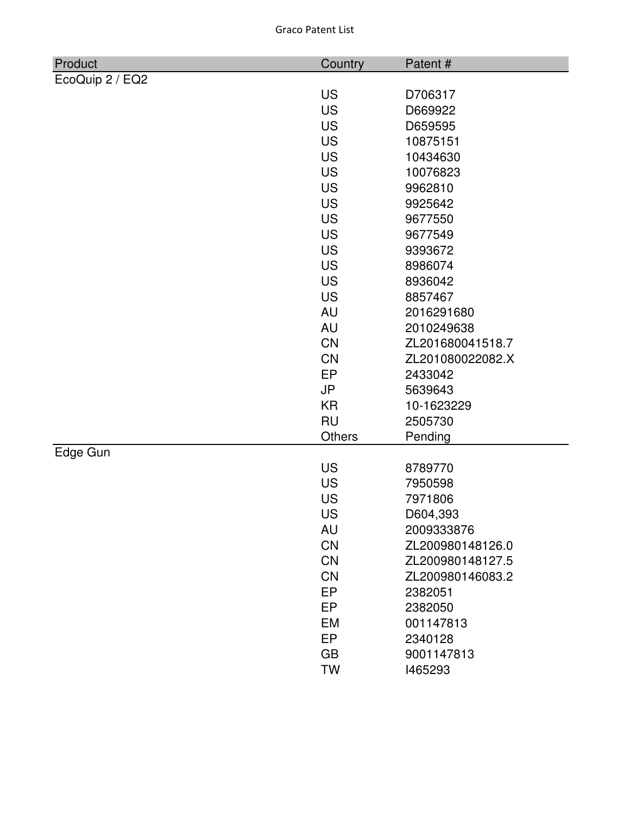| Product         | Country       | Patent#          |
|-----------------|---------------|------------------|
| EcoQuip 2 / EQ2 |               |                  |
|                 | <b>US</b>     | D706317          |
|                 | <b>US</b>     | D669922          |
|                 | <b>US</b>     | D659595          |
|                 | <b>US</b>     | 10875151         |
|                 | <b>US</b>     | 10434630         |
|                 | <b>US</b>     | 10076823         |
|                 | <b>US</b>     | 9962810          |
|                 | <b>US</b>     | 9925642          |
|                 | <b>US</b>     | 9677550          |
|                 | <b>US</b>     | 9677549          |
|                 | <b>US</b>     | 9393672          |
|                 | <b>US</b>     | 8986074          |
|                 | <b>US</b>     | 8936042          |
|                 | <b>US</b>     | 8857467          |
|                 | <b>AU</b>     | 2016291680       |
|                 | AU            | 2010249638       |
|                 | <b>CN</b>     | ZL201680041518.7 |
|                 | CN            | ZL201080022082.X |
|                 | EP            | 2433042          |
|                 | <b>JP</b>     | 5639643          |
|                 | <b>KR</b>     | 10-1623229       |
|                 | <b>RU</b>     | 2505730          |
|                 | <b>Others</b> | Pending          |
| Edge Gun        |               |                  |
|                 | <b>US</b>     | 8789770          |
|                 | <b>US</b>     | 7950598          |
|                 | US            | 7971806          |
|                 | US            | D604,393         |
|                 | AU            | 2009333876       |
|                 | <b>CN</b>     | ZL200980148126.0 |
|                 | <b>CN</b>     | ZL200980148127.5 |
|                 | CN            | ZL200980146083.2 |
|                 | EP            | 2382051          |
|                 | EP            | 2382050          |
|                 | <b>EM</b>     | 001147813        |
|                 | EP            | 2340128          |
|                 | <b>GB</b>     | 9001147813       |
|                 | <b>TW</b>     | 1465293          |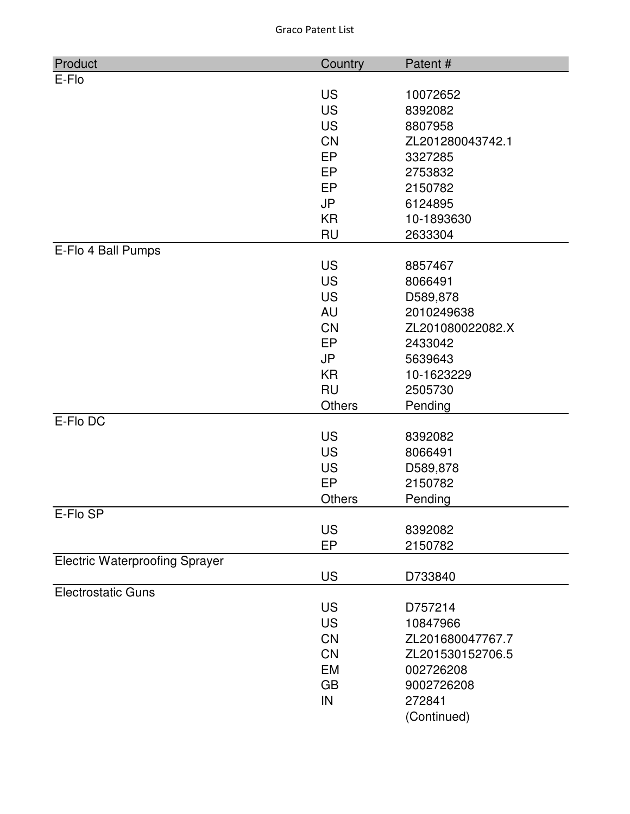| Product                               | Country                | Patent #               |
|---------------------------------------|------------------------|------------------------|
| E-Flo                                 |                        |                        |
|                                       | <b>US</b>              | 10072652               |
|                                       | <b>US</b>              | 8392082                |
|                                       | <b>US</b>              | 8807958                |
|                                       | <b>CN</b>              | ZL201280043742.1       |
|                                       | EP                     | 3327285                |
|                                       | EP                     | 2753832                |
|                                       | EP                     | 2150782                |
|                                       | <b>JP</b>              | 6124895                |
|                                       | <b>KR</b>              | 10-1893630             |
|                                       | <b>RU</b>              | 2633304                |
| E-Flo 4 Ball Pumps                    |                        |                        |
|                                       | <b>US</b>              | 8857467                |
|                                       | <b>US</b>              | 8066491                |
|                                       | <b>US</b><br><b>AU</b> | D589,878<br>2010249638 |
|                                       | <b>CN</b>              | ZL201080022082.X       |
|                                       | <b>EP</b>              | 2433042                |
|                                       | <b>JP</b>              | 5639643                |
|                                       | <b>KR</b>              | 10-1623229             |
|                                       | <b>RU</b>              | 2505730                |
|                                       | Others                 | Pending                |
| E-Flo DC                              |                        |                        |
|                                       | <b>US</b>              | 8392082                |
|                                       | <b>US</b>              | 8066491                |
|                                       | <b>US</b>              | D589,878               |
|                                       | EP                     | 2150782                |
|                                       | <b>Others</b>          | Pending                |
| E-Flo SP                              |                        |                        |
|                                       | <b>US</b>              | 8392082                |
|                                       | EP                     | 2150782                |
| <b>Electric Waterproofing Sprayer</b> |                        |                        |
|                                       | <b>US</b>              | D733840                |
| <b>Electrostatic Guns</b>             |                        |                        |
|                                       | <b>US</b>              | D757214                |
|                                       | <b>US</b>              | 10847966               |
|                                       | <b>CN</b>              | ZL201680047767.7       |
|                                       | <b>CN</b>              | ZL201530152706.5       |
|                                       | EM                     | 002726208              |
|                                       | <b>GB</b>              | 9002726208             |
|                                       | IN                     | 272841                 |
|                                       |                        | (Continued)            |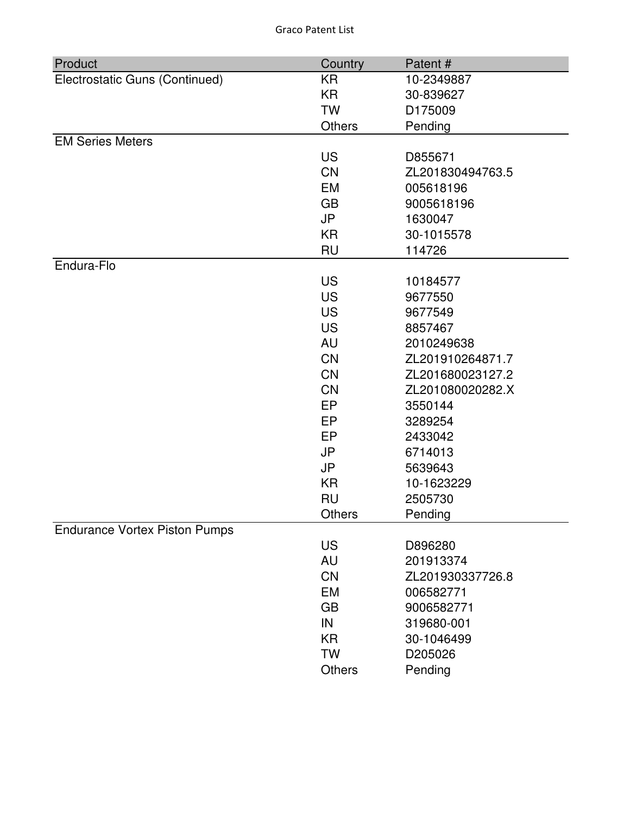| Product                              | Country   | Patent#          |
|--------------------------------------|-----------|------------------|
| Electrostatic Guns (Continued)       | <b>KR</b> | 10-2349887       |
|                                      | <b>KR</b> | 30-839627        |
|                                      | <b>TW</b> | D175009          |
|                                      | Others    | Pending          |
| <b>EM Series Meters</b>              |           |                  |
|                                      | <b>US</b> | D855671          |
|                                      | <b>CN</b> | ZL201830494763.5 |
|                                      | EM        | 005618196        |
|                                      | <b>GB</b> | 9005618196       |
|                                      | <b>JP</b> | 1630047          |
|                                      | <b>KR</b> | 30-1015578       |
|                                      | <b>RU</b> | 114726           |
| Endura-Flo                           |           |                  |
|                                      | <b>US</b> | 10184577         |
|                                      | <b>US</b> | 9677550          |
|                                      | <b>US</b> | 9677549          |
|                                      | <b>US</b> | 8857467          |
|                                      | AU        | 2010249638       |
|                                      | <b>CN</b> | ZL201910264871.7 |
|                                      | <b>CN</b> | ZL201680023127.2 |
|                                      | <b>CN</b> | ZL201080020282.X |
|                                      | EP        | 3550144          |
|                                      | EP        | 3289254          |
|                                      | <b>EP</b> | 2433042          |
|                                      | <b>JP</b> | 6714013          |
|                                      | JP        | 5639643          |
|                                      | <b>KR</b> | 10-1623229       |
|                                      | <b>RU</b> | 2505730          |
|                                      | Others    | Pending          |
| <b>Endurance Vortex Piston Pumps</b> |           |                  |
|                                      | <b>US</b> | D896280          |
|                                      | AU        | 201913374        |
|                                      | CN        | ZL201930337726.8 |
|                                      | <b>EM</b> | 006582771        |
|                                      | <b>GB</b> | 9006582771       |
|                                      | IN        | 319680-001       |
|                                      |           |                  |
|                                      | <b>KR</b> | 30-1046499       |
|                                      | <b>TW</b> | D205026          |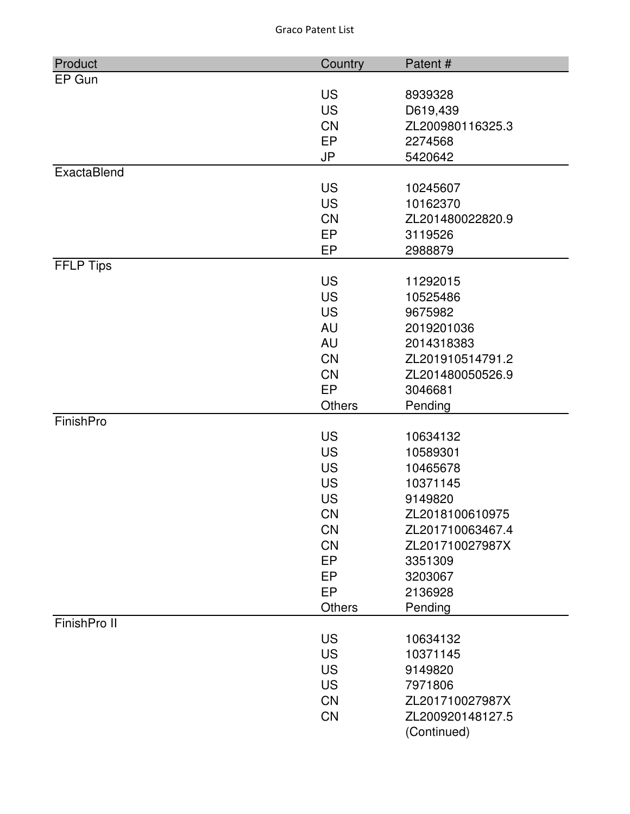| Product          | Country       | Patent#          |
|------------------|---------------|------------------|
| EP Gun           |               |                  |
|                  | <b>US</b>     | 8939328          |
|                  | <b>US</b>     | D619,439         |
|                  | <b>CN</b>     | ZL200980116325.3 |
|                  | EP            | 2274568          |
|                  | <b>JP</b>     | 5420642          |
| ExactaBlend      |               |                  |
|                  | <b>US</b>     | 10245607         |
|                  | <b>US</b>     | 10162370         |
|                  | <b>CN</b>     | ZL201480022820.9 |
|                  | <b>EP</b>     | 3119526          |
|                  | EP            | 2988879          |
| <b>FFLP Tips</b> |               |                  |
|                  | <b>US</b>     | 11292015         |
|                  | <b>US</b>     | 10525486         |
|                  | <b>US</b>     | 9675982          |
|                  | AU            | 2019201036       |
|                  | AU            | 2014318383       |
|                  | <b>CN</b>     | ZL201910514791.2 |
|                  | <b>CN</b>     | ZL201480050526.9 |
|                  | EP            | 3046681          |
|                  | <b>Others</b> | Pending          |
| FinishPro        |               |                  |
|                  | <b>US</b>     | 10634132         |
|                  | <b>US</b>     | 10589301         |
|                  | <b>US</b>     | 10465678         |
|                  | <b>US</b>     | 10371145         |
|                  | <b>US</b>     | 9149820          |
|                  | <b>CN</b>     | ZL2018100610975  |
|                  | <b>CN</b>     | ZL201710063467.4 |
|                  | <b>CN</b>     | ZL201710027987X  |
|                  | <b>EP</b>     | 3351309          |
|                  | EP            | 3203067          |
|                  | EP            | 2136928          |
|                  | Others        | Pending          |
| FinishPro II     |               |                  |
|                  | <b>US</b>     | 10634132         |
|                  | <b>US</b>     | 10371145         |
|                  | <b>US</b>     | 9149820          |
|                  | <b>US</b>     | 7971806          |
|                  | <b>CN</b>     | ZL201710027987X  |
|                  | CN            | ZL200920148127.5 |
|                  |               | (Continued)      |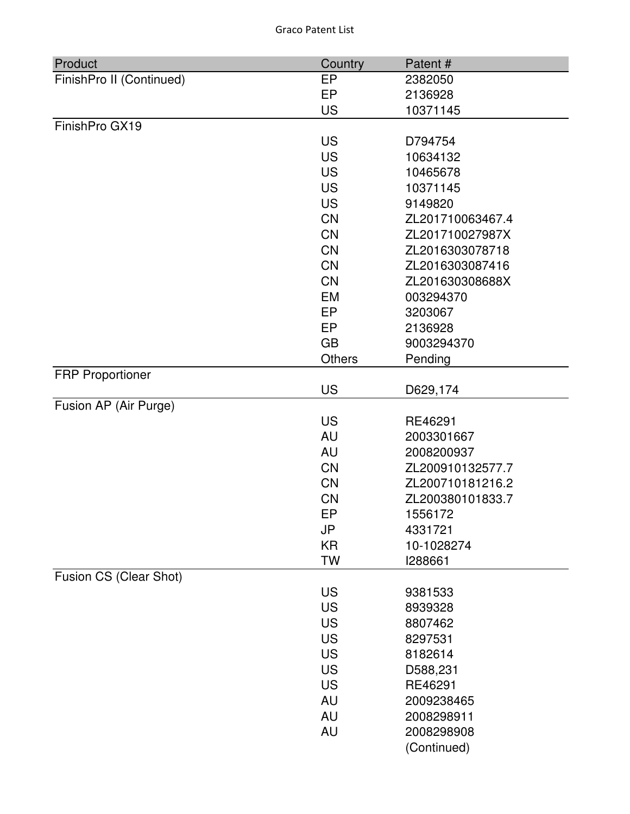| Product                  | Country   | Patent#          |
|--------------------------|-----------|------------------|
| FinishPro II (Continued) | <b>EP</b> | 2382050          |
|                          | EP        | 2136928          |
|                          | <b>US</b> | 10371145         |
| FinishPro GX19           |           |                  |
|                          | <b>US</b> | D794754          |
|                          | <b>US</b> | 10634132         |
|                          | <b>US</b> | 10465678         |
|                          | <b>US</b> | 10371145         |
|                          | <b>US</b> | 9149820          |
|                          | CN        | ZL201710063467.4 |
|                          | <b>CN</b> | ZL201710027987X  |
|                          | CN        | ZL2016303078718  |
|                          | <b>CN</b> | ZL2016303087416  |
|                          | <b>CN</b> | ZL201630308688X  |
|                          | <b>EM</b> | 003294370        |
|                          | EP        | 3203067          |
|                          | <b>EP</b> | 2136928          |
|                          | <b>GB</b> | 9003294370       |
|                          | Others    | Pending          |
| <b>FRP Proportioner</b>  |           |                  |
|                          | <b>US</b> | D629,174         |
| Fusion AP (Air Purge)    |           |                  |
|                          | <b>US</b> | RE46291          |
|                          | AU        | 2003301667       |
|                          | AU        | 2008200937       |
|                          | <b>CN</b> | ZL200910132577.7 |
|                          | CN        | ZL200710181216.2 |
|                          | <b>CN</b> | ZL200380101833.7 |
|                          | EP        | 1556172          |
|                          | JP        | 4331721          |
|                          | <b>KR</b> | 10-1028274       |
|                          | <b>TW</b> | 1288661          |
| Fusion CS (Clear Shot)   |           |                  |
|                          | <b>US</b> | 9381533          |
|                          | <b>US</b> | 8939328          |
|                          | <b>US</b> | 8807462          |
|                          | <b>US</b> | 8297531          |
|                          | <b>US</b> | 8182614          |
|                          | <b>US</b> | D588,231         |
|                          | <b>US</b> | RE46291          |
|                          | <b>AU</b> | 2009238465       |
|                          | <b>AU</b> | 2008298911       |
|                          | <b>AU</b> | 2008298908       |
|                          |           | (Continued)      |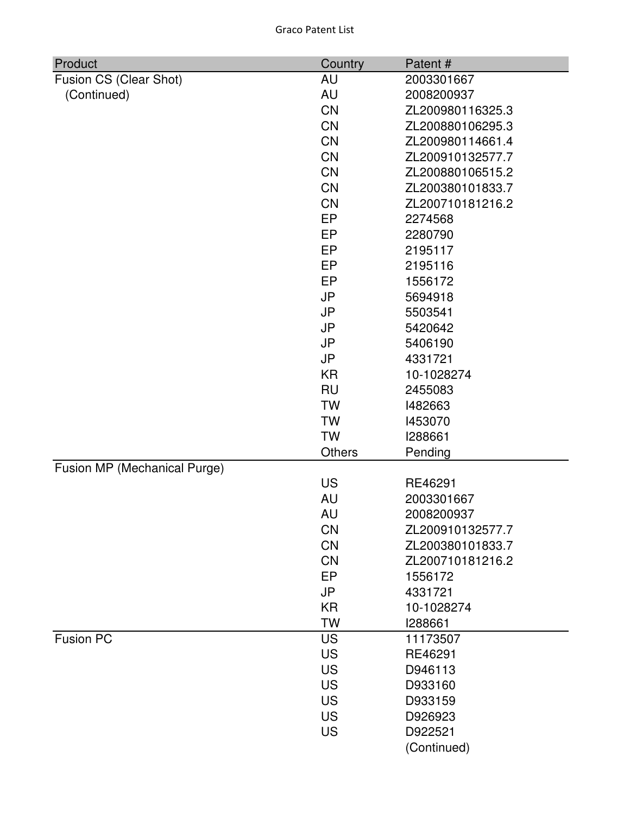| Product                      | Country   | Patent#          |
|------------------------------|-----------|------------------|
| Fusion CS (Clear Shot)       | AU        | 2003301667       |
| (Continued)                  | <b>AU</b> | 2008200937       |
|                              | <b>CN</b> | ZL200980116325.3 |
|                              | <b>CN</b> | ZL200880106295.3 |
|                              | <b>CN</b> | ZL200980114661.4 |
|                              | <b>CN</b> | ZL200910132577.7 |
|                              | <b>CN</b> | ZL200880106515.2 |
|                              | <b>CN</b> | ZL200380101833.7 |
|                              | <b>CN</b> | ZL200710181216.2 |
|                              | EP        | 2274568          |
|                              | EP        | 2280790          |
|                              | EP        | 2195117          |
|                              | EP        | 2195116          |
|                              | EP        | 1556172          |
|                              | <b>JP</b> | 5694918          |
|                              | <b>JP</b> | 5503541          |
|                              | <b>JP</b> | 5420642          |
|                              | JP        | 5406190          |
|                              | <b>JP</b> | 4331721          |
|                              | <b>KR</b> | 10-1028274       |
|                              | <b>RU</b> | 2455083          |
|                              | <b>TW</b> | 1482663          |
|                              | <b>TW</b> | 1453070          |
|                              | <b>TW</b> | 1288661          |
|                              | Others    | Pending          |
| Fusion MP (Mechanical Purge) |           |                  |
|                              | <b>US</b> | RE46291          |
|                              | AU        | 2003301667       |
|                              | AU        | 2008200937       |
|                              | <b>CN</b> | ZL200910132577.7 |
|                              | <b>CN</b> | ZL200380101833.7 |
|                              | <b>CN</b> | ZL200710181216.2 |
|                              | EP        | 1556172          |
|                              | <b>JP</b> | 4331721          |
|                              | <b>KR</b> | 10-1028274       |
|                              | <b>TW</b> | 1288661          |
| <b>Fusion PC</b>             | <b>US</b> | 11173507         |
|                              | <b>US</b> | RE46291          |
|                              | <b>US</b> | D946113          |
|                              | <b>US</b> | D933160          |
|                              | <b>US</b> | D933159          |
|                              | <b>US</b> | D926923          |
|                              | US        | D922521          |
|                              |           | (Continued)      |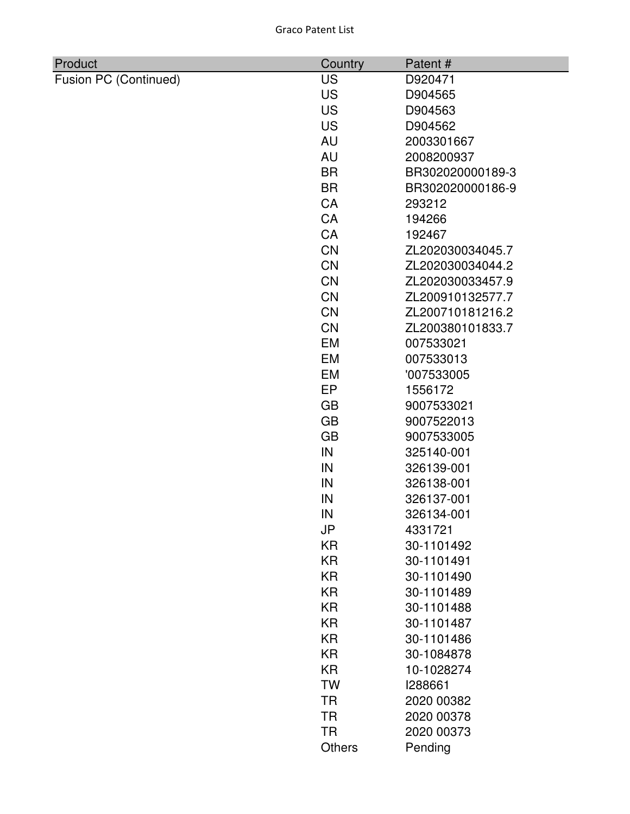| Product               | Country   | Patent#          |
|-----------------------|-----------|------------------|
| Fusion PC (Continued) | <b>US</b> | D920471          |
|                       | <b>US</b> | D904565          |
|                       | <b>US</b> | D904563          |
|                       | <b>US</b> | D904562          |
|                       | <b>AU</b> | 2003301667       |
|                       | <b>AU</b> | 2008200937       |
|                       | <b>BR</b> | BR302020000189-3 |
|                       | <b>BR</b> | BR302020000186-9 |
|                       | <b>CA</b> | 293212           |
|                       | CA        | 194266           |
|                       | CA        | 192467           |
|                       | <b>CN</b> | ZL202030034045.7 |
|                       | <b>CN</b> | ZL202030034044.2 |
|                       | <b>CN</b> | ZL202030033457.9 |
|                       | <b>CN</b> | ZL200910132577.7 |
|                       | <b>CN</b> | ZL200710181216.2 |
|                       | <b>CN</b> | ZL200380101833.7 |
|                       | <b>EM</b> | 007533021        |
|                       | EM        | 007533013        |
|                       | <b>EM</b> | '007533005       |
|                       | EP        | 1556172          |
|                       | <b>GB</b> | 9007533021       |
|                       | <b>GB</b> | 9007522013       |
|                       | <b>GB</b> | 9007533005       |
|                       | IN        | 325140-001       |
|                       | IN        | 326139-001       |
|                       | IN        | 326138-001       |
|                       | IN        | 326137-001       |
|                       | IN        | 326134-001       |
|                       | JP        | 4331721          |
|                       | <b>KR</b> | 30-1101492       |
|                       | <b>KR</b> | 30-1101491       |
|                       | <b>KR</b> | 30-1101490       |
|                       | <b>KR</b> | 30-1101489       |
|                       | <b>KR</b> | 30-1101488       |
|                       | <b>KR</b> | 30-1101487       |
|                       | <b>KR</b> | 30-1101486       |
|                       | <b>KR</b> | 30-1084878       |
|                       | <b>KR</b> | 10-1028274       |
|                       | <b>TW</b> | 1288661          |
|                       | <b>TR</b> | 2020 00382       |
|                       | <b>TR</b> | 2020 00378       |
|                       | <b>TR</b> | 2020 00373       |
|                       | Others    | Pending          |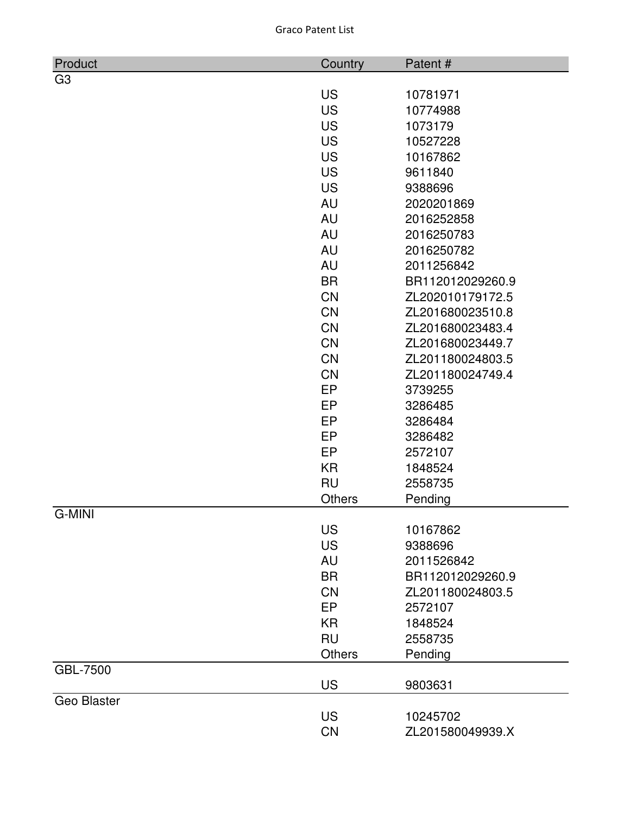| Product        | Country       | Patent#          |
|----------------|---------------|------------------|
| G <sub>3</sub> |               |                  |
|                | <b>US</b>     | 10781971         |
|                | <b>US</b>     | 10774988         |
|                | <b>US</b>     | 1073179          |
|                | <b>US</b>     | 10527228         |
|                | <b>US</b>     | 10167862         |
|                | <b>US</b>     | 9611840          |
|                | <b>US</b>     | 9388696          |
|                | AU            | 2020201869       |
|                | AU            | 2016252858       |
|                | AU            | 2016250783       |
|                | <b>AU</b>     | 2016250782       |
|                | <b>AU</b>     | 2011256842       |
|                | <b>BR</b>     | BR112012029260.9 |
|                | <b>CN</b>     | ZL202010179172.5 |
|                | CN            | ZL201680023510.8 |
|                | CN            | ZL201680023483.4 |
|                | <b>CN</b>     | ZL201680023449.7 |
|                | CN            | ZL201180024803.5 |
|                | <b>CN</b>     | ZL201180024749.4 |
|                | <b>EP</b>     | 3739255          |
|                | <b>EP</b>     | 3286485          |
|                | EP            | 3286484          |
|                | <b>EP</b>     | 3286482          |
|                | EP            | 2572107          |
|                | <b>KR</b>     | 1848524          |
|                | <b>RU</b>     | 2558735          |
|                | <b>Others</b> | Pending          |
| G-MINI         |               |                  |
|                | <b>US</b>     | 10167862         |
|                | <b>US</b>     | 9388696          |
|                | AU            | 2011526842       |
|                | <b>BR</b>     | BR112012029260.9 |
|                | <b>CN</b>     | ZL201180024803.5 |
|                | <b>EP</b>     | 2572107          |
|                | <b>KR</b>     | 1848524          |
|                | <b>RU</b>     | 2558735          |
|                | <b>Others</b> | Pending          |
| GBL-7500       |               |                  |
|                | <b>US</b>     | 9803631          |
| Geo Blaster    |               |                  |
|                | <b>US</b>     | 10245702         |
|                | CN            | ZL201580049939.X |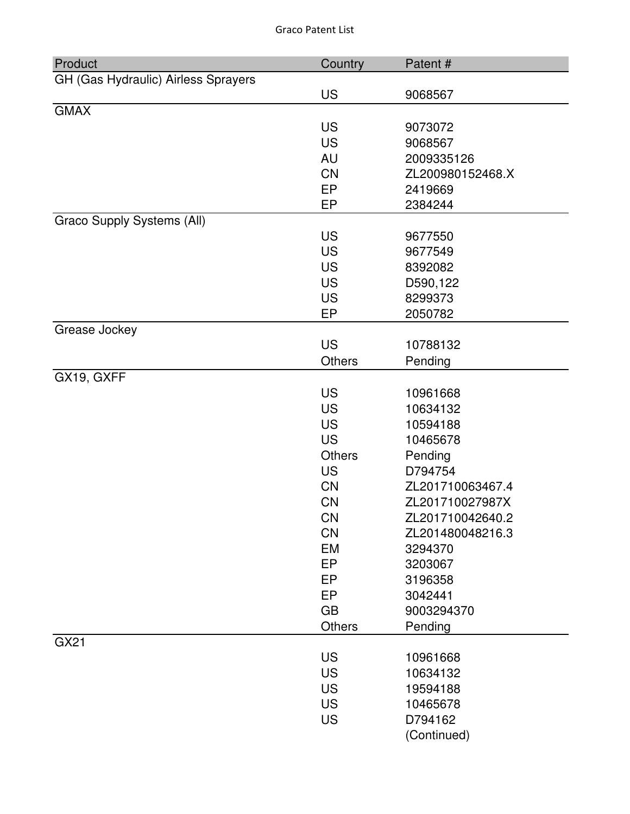| Product                             | Country       | Patent#          |
|-------------------------------------|---------------|------------------|
| GH (Gas Hydraulic) Airless Sprayers |               |                  |
|                                     | <b>US</b>     | 9068567          |
| <b>GMAX</b>                         |               |                  |
|                                     | <b>US</b>     | 9073072          |
|                                     | <b>US</b>     | 9068567          |
|                                     | <b>AU</b>     | 2009335126       |
|                                     | <b>CN</b>     | ZL200980152468.X |
|                                     | EP            | 2419669          |
|                                     | EP            | 2384244          |
| Graco Supply Systems (All)          |               |                  |
|                                     | <b>US</b>     | 9677550          |
|                                     | <b>US</b>     | 9677549          |
|                                     | <b>US</b>     | 8392082          |
|                                     | <b>US</b>     | D590,122         |
|                                     | <b>US</b>     | 8299373          |
|                                     | EP            | 2050782          |
| Grease Jockey                       |               |                  |
|                                     | <b>US</b>     | 10788132         |
|                                     | Others        | Pending          |
| GX19, GXFF                          |               |                  |
|                                     | <b>US</b>     | 10961668         |
|                                     | <b>US</b>     | 10634132         |
|                                     | <b>US</b>     | 10594188         |
|                                     | <b>US</b>     | 10465678         |
|                                     | <b>Others</b> | Pending          |
|                                     | <b>US</b>     | D794754          |
|                                     | <b>CN</b>     | ZL201710063467.4 |
|                                     | <b>CN</b>     | ZL201710027987X  |
|                                     | CN            | ZL201710042640.2 |
|                                     | CN            | ZL201480048216.3 |
|                                     | EM            | 3294370          |
|                                     | EP            | 3203067          |
|                                     | <b>EP</b>     | 3196358          |
|                                     | EP            | 3042441          |
|                                     | <b>GB</b>     | 9003294370       |
|                                     | Others        | Pending          |
| GX21                                |               |                  |
|                                     | <b>US</b>     | 10961668         |
|                                     | <b>US</b>     | 10634132         |
|                                     | <b>US</b>     | 19594188         |
|                                     | <b>US</b>     | 10465678         |
|                                     | <b>US</b>     | D794162          |
|                                     |               | (Continued)      |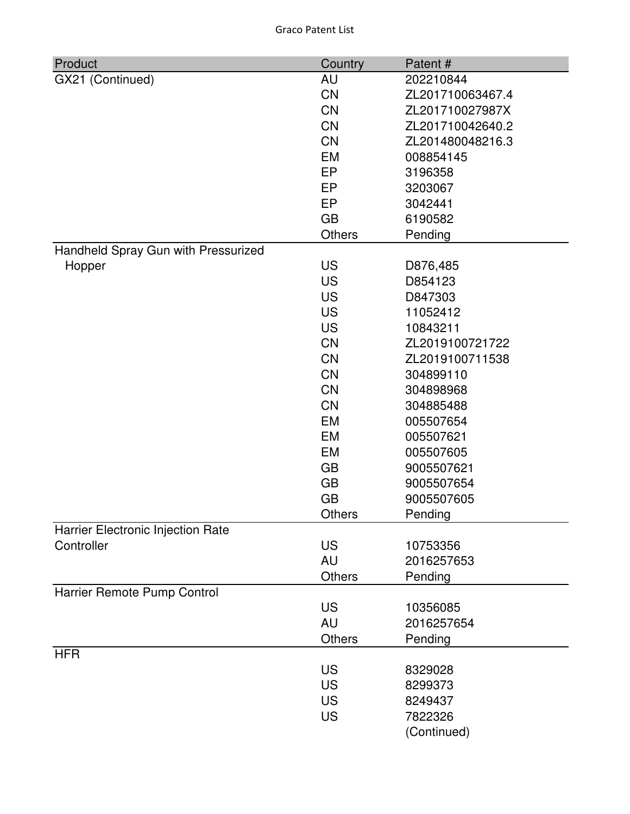| Product                             | Country       | Patent#          |
|-------------------------------------|---------------|------------------|
| GX21 (Continued)                    | AU            | 202210844        |
|                                     | <b>CN</b>     | ZL201710063467.4 |
|                                     | <b>CN</b>     | ZL201710027987X  |
|                                     | <b>CN</b>     | ZL201710042640.2 |
|                                     | <b>CN</b>     | ZL201480048216.3 |
|                                     | <b>EM</b>     | 008854145        |
|                                     | EP            | 3196358          |
|                                     | EP            | 3203067          |
|                                     | EP            | 3042441          |
|                                     | <b>GB</b>     | 6190582          |
|                                     | <b>Others</b> | Pending          |
| Handheld Spray Gun with Pressurized |               |                  |
| Hopper                              | <b>US</b>     | D876,485         |
|                                     | <b>US</b>     | D854123          |
|                                     | <b>US</b>     | D847303          |
|                                     | <b>US</b>     | 11052412         |
|                                     | <b>US</b>     | 10843211         |
|                                     | <b>CN</b>     | ZL2019100721722  |
|                                     | <b>CN</b>     | ZL2019100711538  |
|                                     | <b>CN</b>     | 304899110        |
|                                     | <b>CN</b>     | 304898968        |
|                                     | <b>CN</b>     | 304885488        |
|                                     | <b>EM</b>     | 005507654        |
|                                     | <b>EM</b>     | 005507621        |
|                                     | <b>EM</b>     | 005507605        |
|                                     | <b>GB</b>     | 9005507621       |
|                                     | <b>GB</b>     | 9005507654       |
|                                     | <b>GB</b>     | 9005507605       |
|                                     | Others        | Pending          |
| Harrier Electronic Injection Rate   |               |                  |
| Controller                          | <b>US</b>     | 10753356         |
|                                     | AU            | 2016257653       |
|                                     | Others        | Pending          |
| Harrier Remote Pump Control         |               |                  |
|                                     | <b>US</b>     | 10356085         |
|                                     | AU            | 2016257654       |
|                                     | <b>Others</b> | Pending          |
| <b>HFR</b>                          | <b>US</b>     |                  |
|                                     |               | 8329028          |
|                                     | <b>US</b>     | 8299373          |
|                                     | <b>US</b>     | 8249437          |
|                                     | <b>US</b>     | 7822326          |
|                                     |               | (Continued)      |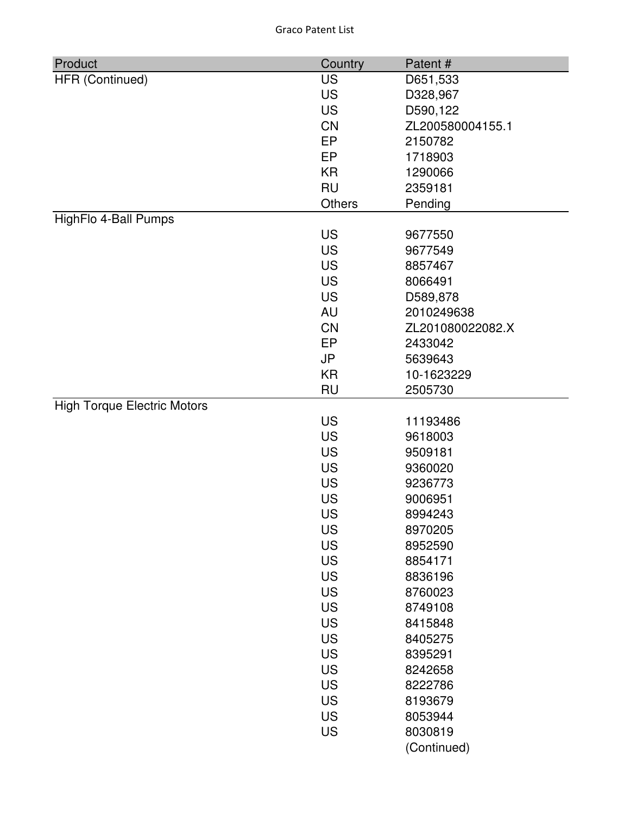| HFR (Continued)<br><b>US</b><br>D651,533 |  |
|------------------------------------------|--|
| <b>US</b><br>D328,967                    |  |
| <b>US</b><br>D590,122                    |  |
| <b>CN</b><br>ZL200580004155.1            |  |
| EP<br>2150782                            |  |
| EP<br>1718903                            |  |
| <b>KR</b><br>1290066                     |  |
| <b>RU</b><br>2359181                     |  |
| Others<br>Pending                        |  |
| HighFlo 4-Ball Pumps                     |  |
| <b>US</b><br>9677550                     |  |
| <b>US</b><br>9677549                     |  |
| <b>US</b><br>8857467                     |  |
| <b>US</b><br>8066491                     |  |
| <b>US</b><br>D589,878                    |  |
| <b>AU</b><br>2010249638                  |  |
| <b>CN</b><br>ZL201080022082.X            |  |
| EP<br>2433042                            |  |
| <b>JP</b><br>5639643                     |  |
| <b>KR</b><br>10-1623229                  |  |
| <b>RU</b><br>2505730                     |  |
| <b>High Torque Electric Motors</b>       |  |
| <b>US</b><br>11193486                    |  |
| <b>US</b><br>9618003                     |  |
| <b>US</b><br>9509181                     |  |
| <b>US</b><br>9360020                     |  |
| <b>US</b><br>9236773                     |  |
| <b>US</b><br>9006951                     |  |
| <b>US</b><br>8994243                     |  |
| US<br>8970205                            |  |
| <b>US</b><br>8952590                     |  |
| <b>US</b><br>8854171                     |  |
| <b>US</b><br>8836196                     |  |
| <b>US</b><br>8760023                     |  |
| <b>US</b><br>8749108                     |  |
| <b>US</b><br>8415848                     |  |
| <b>US</b><br>8405275                     |  |
| <b>US</b><br>8395291                     |  |
| <b>US</b><br>8242658                     |  |
| <b>US</b><br>8222786                     |  |
| <b>US</b><br>8193679                     |  |
| <b>US</b><br>8053944                     |  |
| <b>US</b><br>8030819                     |  |
| (Continued)                              |  |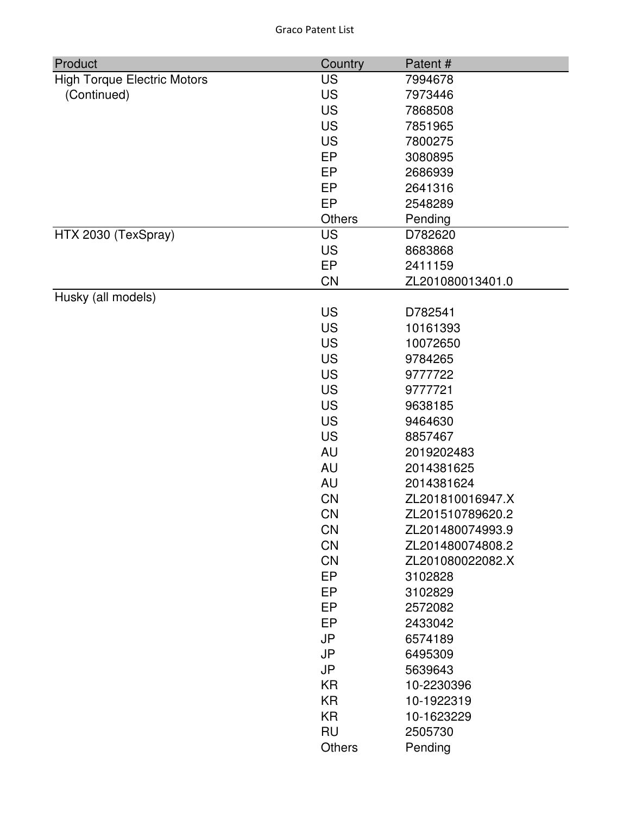| <b>US</b><br><b>High Torque Electric Motors</b><br>7994678<br><b>US</b><br>(Continued)<br>7973446<br><b>US</b><br>7868508<br><b>US</b><br>7851965<br><b>US</b><br>7800275<br>EP<br>3080895<br>EP<br>2686939<br>EP<br>2641316<br>EP<br>2548289<br><b>Others</b><br>Pending<br>HTX 2030 (TexSpray)<br><b>US</b><br>D782620<br><b>US</b><br>8683868<br>EP<br>2411159<br>CN<br>ZL201080013401.0<br>Husky (all models)<br><b>US</b><br>D782541<br><b>US</b><br>10161393<br><b>US</b><br>10072650 |
|---------------------------------------------------------------------------------------------------------------------------------------------------------------------------------------------------------------------------------------------------------------------------------------------------------------------------------------------------------------------------------------------------------------------------------------------------------------------------------------------|
|                                                                                                                                                                                                                                                                                                                                                                                                                                                                                             |
|                                                                                                                                                                                                                                                                                                                                                                                                                                                                                             |
|                                                                                                                                                                                                                                                                                                                                                                                                                                                                                             |
|                                                                                                                                                                                                                                                                                                                                                                                                                                                                                             |
|                                                                                                                                                                                                                                                                                                                                                                                                                                                                                             |
|                                                                                                                                                                                                                                                                                                                                                                                                                                                                                             |
|                                                                                                                                                                                                                                                                                                                                                                                                                                                                                             |
|                                                                                                                                                                                                                                                                                                                                                                                                                                                                                             |
|                                                                                                                                                                                                                                                                                                                                                                                                                                                                                             |
|                                                                                                                                                                                                                                                                                                                                                                                                                                                                                             |
|                                                                                                                                                                                                                                                                                                                                                                                                                                                                                             |
|                                                                                                                                                                                                                                                                                                                                                                                                                                                                                             |
|                                                                                                                                                                                                                                                                                                                                                                                                                                                                                             |
|                                                                                                                                                                                                                                                                                                                                                                                                                                                                                             |
|                                                                                                                                                                                                                                                                                                                                                                                                                                                                                             |
|                                                                                                                                                                                                                                                                                                                                                                                                                                                                                             |
|                                                                                                                                                                                                                                                                                                                                                                                                                                                                                             |
|                                                                                                                                                                                                                                                                                                                                                                                                                                                                                             |
| <b>US</b><br>9784265                                                                                                                                                                                                                                                                                                                                                                                                                                                                        |
| <b>US</b><br>9777722                                                                                                                                                                                                                                                                                                                                                                                                                                                                        |
| <b>US</b><br>9777721                                                                                                                                                                                                                                                                                                                                                                                                                                                                        |
| <b>US</b><br>9638185                                                                                                                                                                                                                                                                                                                                                                                                                                                                        |
| <b>US</b><br>9464630                                                                                                                                                                                                                                                                                                                                                                                                                                                                        |
| <b>US</b><br>8857467                                                                                                                                                                                                                                                                                                                                                                                                                                                                        |
| <b>AU</b><br>2019202483                                                                                                                                                                                                                                                                                                                                                                                                                                                                     |
| <b>AU</b><br>2014381625                                                                                                                                                                                                                                                                                                                                                                                                                                                                     |
| <b>AU</b><br>2014381624                                                                                                                                                                                                                                                                                                                                                                                                                                                                     |
| CN<br>ZL201810016947.X                                                                                                                                                                                                                                                                                                                                                                                                                                                                      |
| CN<br>ZL201510789620.2                                                                                                                                                                                                                                                                                                                                                                                                                                                                      |
| <b>CN</b><br>ZL201480074993.9                                                                                                                                                                                                                                                                                                                                                                                                                                                               |
| <b>CN</b><br>ZL201480074808.2                                                                                                                                                                                                                                                                                                                                                                                                                                                               |
| <b>CN</b><br>ZL201080022082.X                                                                                                                                                                                                                                                                                                                                                                                                                                                               |
| EP<br>3102828                                                                                                                                                                                                                                                                                                                                                                                                                                                                               |
| EP<br>3102829                                                                                                                                                                                                                                                                                                                                                                                                                                                                               |
| EP<br>2572082                                                                                                                                                                                                                                                                                                                                                                                                                                                                               |
| EP<br>2433042                                                                                                                                                                                                                                                                                                                                                                                                                                                                               |
| <b>JP</b><br>6574189                                                                                                                                                                                                                                                                                                                                                                                                                                                                        |
| <b>JP</b><br>6495309                                                                                                                                                                                                                                                                                                                                                                                                                                                                        |
| <b>JP</b><br>5639643                                                                                                                                                                                                                                                                                                                                                                                                                                                                        |
| <b>KR</b><br>10-2230396                                                                                                                                                                                                                                                                                                                                                                                                                                                                     |
| <b>KR</b><br>10-1922319                                                                                                                                                                                                                                                                                                                                                                                                                                                                     |
| <b>KR</b><br>10-1623229                                                                                                                                                                                                                                                                                                                                                                                                                                                                     |
| <b>RU</b><br>2505730                                                                                                                                                                                                                                                                                                                                                                                                                                                                        |
| <b>Others</b><br>Pending                                                                                                                                                                                                                                                                                                                                                                                                                                                                    |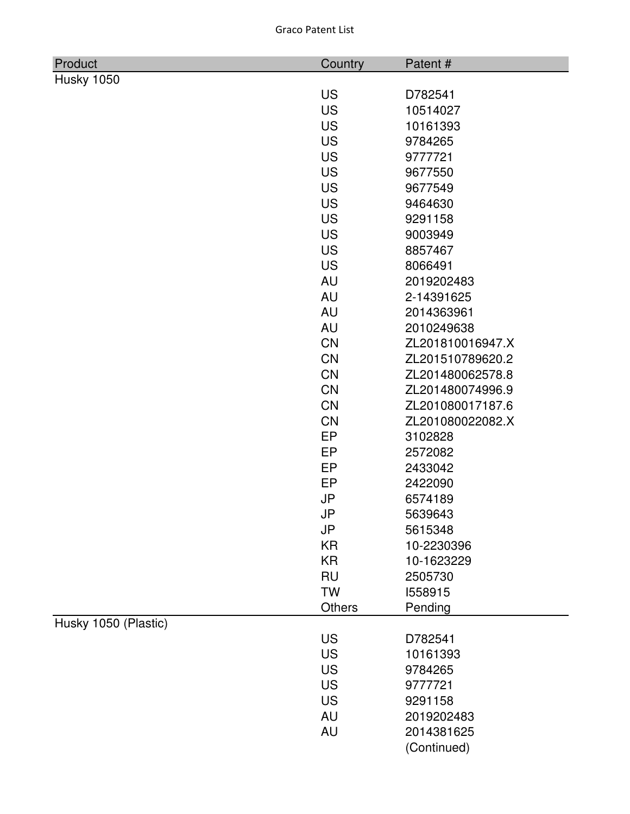| <b>Graco Patent List</b> |  |
|--------------------------|--|
|                          |  |

| Product              | Country       | Patent#          |
|----------------------|---------------|------------------|
| Husky 1050           |               |                  |
|                      | <b>US</b>     | D782541          |
|                      | <b>US</b>     | 10514027         |
|                      | <b>US</b>     | 10161393         |
|                      | <b>US</b>     | 9784265          |
|                      | <b>US</b>     | 9777721          |
|                      | <b>US</b>     | 9677550          |
|                      | <b>US</b>     | 9677549          |
|                      | <b>US</b>     | 9464630          |
|                      | <b>US</b>     | 9291158          |
|                      | <b>US</b>     | 9003949          |
|                      | <b>US</b>     | 8857467          |
|                      | <b>US</b>     | 8066491          |
|                      | <b>AU</b>     | 2019202483       |
|                      | <b>AU</b>     | 2-14391625       |
|                      | <b>AU</b>     | 2014363961       |
|                      | <b>AU</b>     | 2010249638       |
|                      | <b>CN</b>     | ZL201810016947.X |
|                      | <b>CN</b>     | ZL201510789620.2 |
|                      | <b>CN</b>     | ZL201480062578.8 |
|                      | <b>CN</b>     | ZL201480074996.9 |
|                      | <b>CN</b>     | ZL201080017187.6 |
|                      | <b>CN</b>     | ZL201080022082.X |
|                      | EP            | 3102828          |
|                      | EP            | 2572082          |
|                      | EP            | 2433042          |
|                      | EP            | 2422090          |
|                      | <b>JP</b>     | 6574189          |
|                      | JP            | 5639643          |
|                      | JP            | 5615348          |
|                      | <b>KR</b>     | 10-2230396       |
|                      | <b>KR</b>     | 10-1623229       |
|                      | <b>RU</b>     | 2505730          |
|                      | <b>TW</b>     | 1558915          |
|                      | <b>Others</b> | Pending          |
| Husky 1050 (Plastic) |               |                  |
|                      | <b>US</b>     | D782541          |
|                      | <b>US</b>     | 10161393         |
|                      | <b>US</b>     | 9784265          |
|                      | <b>US</b>     | 9777721          |
|                      | <b>US</b>     | 9291158          |
|                      | <b>AU</b>     | 2019202483       |
|                      | <b>AU</b>     | 2014381625       |
|                      |               | (Continued)      |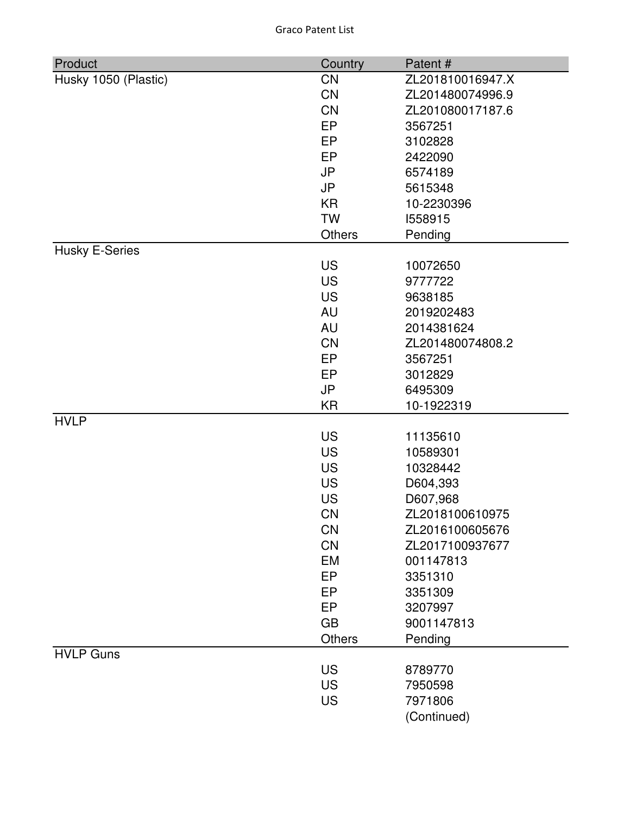| Product               | Country       | Patent#          |
|-----------------------|---------------|------------------|
| Husky 1050 (Plastic)  | <b>CN</b>     | ZL201810016947.X |
|                       | <b>CN</b>     | ZL201480074996.9 |
|                       | <b>CN</b>     | ZL201080017187.6 |
|                       | EP            | 3567251          |
|                       | EP            | 3102828          |
|                       | EP            | 2422090          |
|                       | <b>JP</b>     | 6574189          |
|                       | <b>JP</b>     | 5615348          |
|                       | <b>KR</b>     | 10-2230396       |
|                       | <b>TW</b>     | 1558915          |
|                       | <b>Others</b> | Pending          |
| <b>Husky E-Series</b> |               |                  |
|                       | <b>US</b>     | 10072650         |
|                       | <b>US</b>     | 9777722          |
|                       | <b>US</b>     | 9638185          |
|                       | <b>AU</b>     | 2019202483       |
|                       | <b>AU</b>     | 2014381624       |
|                       | <b>CN</b>     | ZL201480074808.2 |
|                       | EP            | 3567251          |
|                       | EP            | 3012829          |
|                       | <b>JP</b>     | 6495309          |
|                       | <b>KR</b>     | 10-1922319       |
| <b>HVLP</b>           |               |                  |
|                       | <b>US</b>     | 11135610         |
|                       | <b>US</b>     | 10589301         |
|                       | <b>US</b>     | 10328442         |
|                       | <b>US</b>     | D604,393         |
|                       | <b>US</b>     | D607,968         |
|                       | <b>CN</b>     | ZL2018100610975  |
|                       | <b>CN</b>     | ZL2016100605676  |
|                       | <b>CN</b>     | ZL2017100937677  |
|                       | EM            | 001147813        |
|                       | EP            | 3351310          |
|                       | EP            | 3351309          |
|                       | EP            | 3207997          |
|                       | <b>GB</b>     | 9001147813       |
|                       | Others        | Pending          |
| <b>HVLP Guns</b>      |               |                  |
|                       | <b>US</b>     | 8789770          |
|                       | <b>US</b>     | 7950598          |
|                       | <b>US</b>     | 7971806          |
|                       |               | (Continued)      |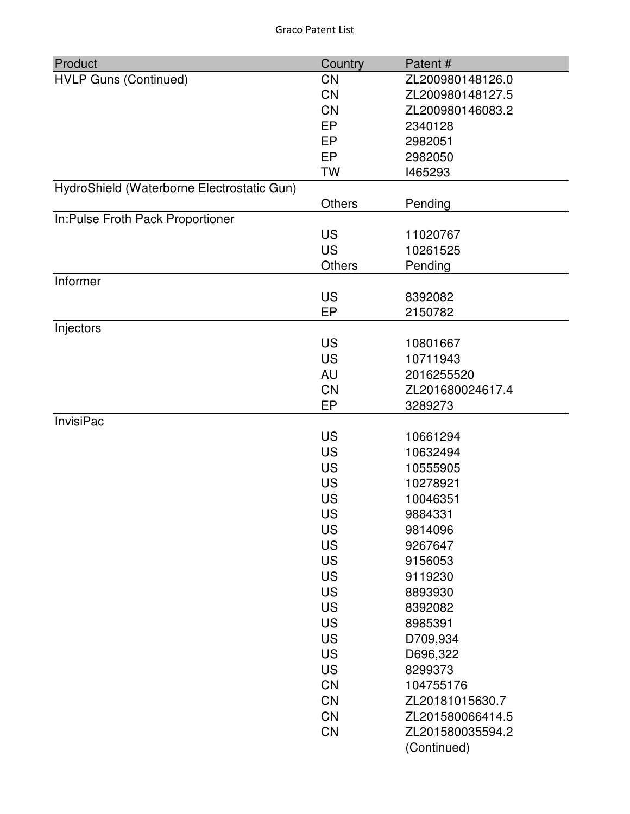| Product                                    | Country       | Patent#          |
|--------------------------------------------|---------------|------------------|
| <b>HVLP Guns (Continued)</b>               | <b>CN</b>     | ZL200980148126.0 |
|                                            | <b>CN</b>     | ZL200980148127.5 |
|                                            | <b>CN</b>     | ZL200980146083.2 |
|                                            | <b>EP</b>     | 2340128          |
|                                            | EP            | 2982051          |
|                                            | EP            | 2982050          |
|                                            | <b>TW</b>     | 1465293          |
| HydroShield (Waterborne Electrostatic Gun) |               |                  |
|                                            | <b>Others</b> | Pending          |
| In:Pulse Froth Pack Proportioner           |               |                  |
|                                            | <b>US</b>     | 11020767         |
|                                            | <b>US</b>     | 10261525         |
|                                            | Others        | Pending          |
| Informer                                   |               |                  |
|                                            | <b>US</b>     | 8392082          |
|                                            | EP            | 2150782          |
| Injectors                                  |               |                  |
|                                            | <b>US</b>     | 10801667         |
|                                            | <b>US</b>     | 10711943         |
|                                            | AU            | 2016255520       |
|                                            | <b>CN</b>     | ZL201680024617.4 |
|                                            | EP            | 3289273          |
| <b>InvisiPac</b>                           |               |                  |
|                                            | <b>US</b>     | 10661294         |
|                                            | <b>US</b>     | 10632494         |
|                                            | <b>US</b>     | 10555905         |
|                                            | <b>US</b>     | 10278921         |
|                                            | <b>US</b>     | 10046351         |
|                                            | <b>US</b>     | 9884331          |
|                                            | US            | 9814096          |
|                                            | <b>US</b>     | 9267647          |
|                                            | <b>US</b>     | 9156053          |
|                                            | <b>US</b>     | 9119230          |
|                                            | <b>US</b>     | 8893930          |
|                                            | <b>US</b>     | 8392082          |
|                                            | <b>US</b>     | 8985391          |
|                                            | <b>US</b>     | D709,934         |
|                                            | <b>US</b>     | D696,322         |
|                                            | <b>US</b>     | 8299373          |
|                                            | <b>CN</b>     | 104755176        |
|                                            | <b>CN</b>     | ZL20181015630.7  |
|                                            | <b>CN</b>     | ZL201580066414.5 |
|                                            | <b>CN</b>     | ZL201580035594.2 |
|                                            |               | (Continued)      |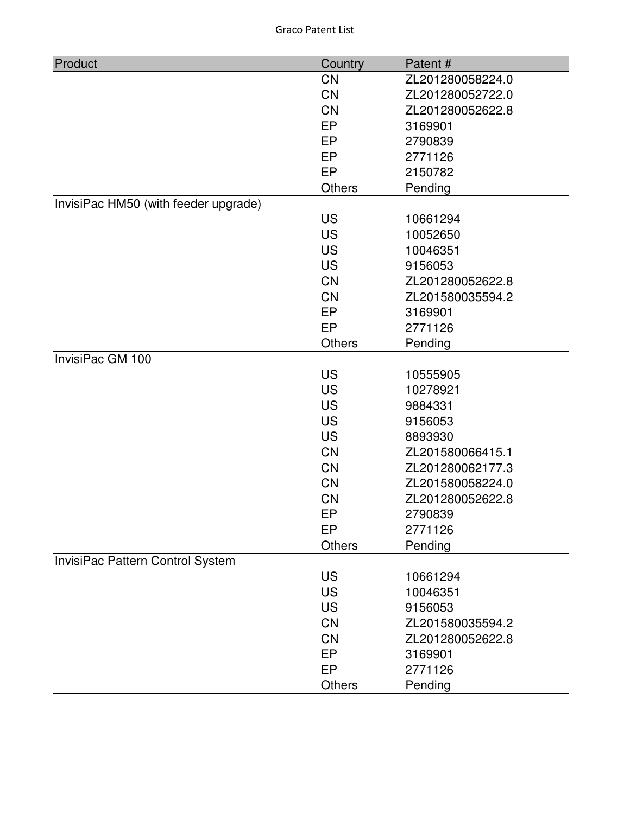| Product                              | Country       | Patent#          |
|--------------------------------------|---------------|------------------|
|                                      | <b>CN</b>     | ZL201280058224.0 |
|                                      | <b>CN</b>     | ZL201280052722.0 |
|                                      | CN            | ZL201280052622.8 |
|                                      | EP            | 3169901          |
|                                      | EP            | 2790839          |
|                                      | <b>EP</b>     | 2771126          |
|                                      | EP            | 2150782          |
|                                      | <b>Others</b> | Pending          |
| InvisiPac HM50 (with feeder upgrade) |               |                  |
|                                      | <b>US</b>     | 10661294         |
|                                      | <b>US</b>     | 10052650         |
|                                      | <b>US</b>     | 10046351         |
|                                      | <b>US</b>     | 9156053          |
|                                      | <b>CN</b>     | ZL201280052622.8 |
|                                      | <b>CN</b>     | ZL201580035594.2 |
|                                      | <b>EP</b>     | 3169901          |
|                                      | EP            | 2771126          |
|                                      | <b>Others</b> | Pending          |
| InvisiPac GM 100                     |               |                  |
|                                      | <b>US</b>     | 10555905         |
|                                      | <b>US</b>     | 10278921         |
|                                      | <b>US</b>     | 9884331          |
|                                      | <b>US</b>     | 9156053          |
|                                      | <b>US</b>     | 8893930          |
|                                      | <b>CN</b>     | ZL201580066415.1 |
|                                      | <b>CN</b>     | ZL201280062177.3 |
|                                      | CN            | ZL201580058224.0 |
|                                      | CN            | ZL201280052622.8 |
|                                      | EP            | 2790839          |
|                                      | EP            | 2771126          |
|                                      | <b>Others</b> | Pending          |
| InvisiPac Pattern Control System     |               |                  |
|                                      | <b>US</b>     | 10661294         |
|                                      | <b>US</b>     | 10046351         |
|                                      | <b>US</b>     | 9156053          |
|                                      | <b>CN</b>     | ZL201580035594.2 |
|                                      | <b>CN</b>     | ZL201280052622.8 |
|                                      | EP            | 3169901          |
|                                      | <b>EP</b>     | 2771126          |
|                                      | <b>Others</b> | Pending          |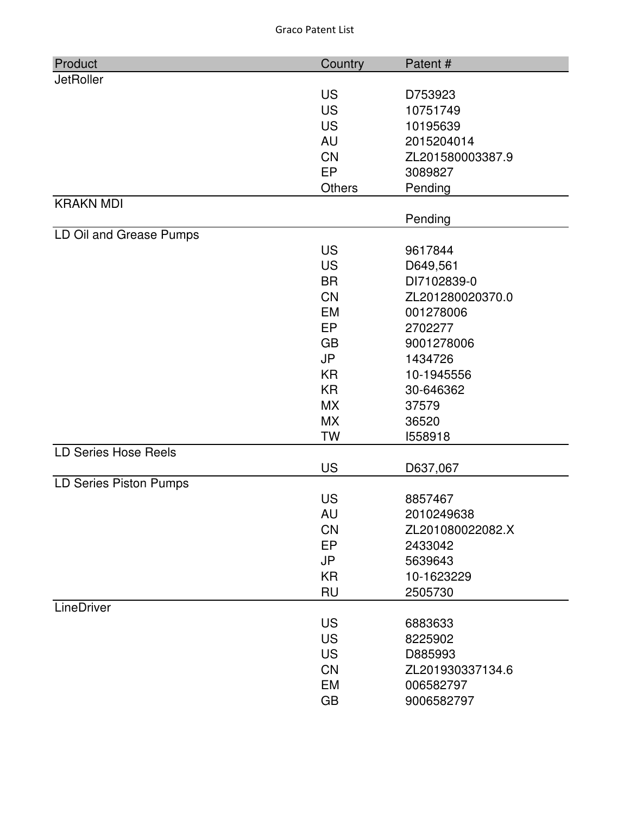| Product                     | Country   | Patent#          |
|-----------------------------|-----------|------------------|
| <b>JetRoller</b>            |           |                  |
|                             | <b>US</b> | D753923          |
|                             | <b>US</b> | 10751749         |
|                             | <b>US</b> | 10195639         |
|                             | AU        | 2015204014       |
|                             | <b>CN</b> | ZL201580003387.9 |
|                             | <b>EP</b> | 3089827          |
|                             | Others    | Pending          |
| <b>KRAKN MDI</b>            |           |                  |
|                             |           | Pending          |
| LD Oil and Grease Pumps     |           |                  |
|                             | <b>US</b> | 9617844          |
|                             | <b>US</b> | D649,561         |
|                             | <b>BR</b> | DI7102839-0      |
|                             | <b>CN</b> | ZL201280020370.0 |
|                             | <b>EM</b> | 001278006        |
|                             | <b>EP</b> | 2702277          |
|                             | <b>GB</b> | 9001278006       |
|                             | <b>JP</b> | 1434726          |
|                             | <b>KR</b> | 10-1945556       |
|                             | <b>KR</b> | 30-646362        |
|                             | <b>MX</b> | 37579            |
|                             | <b>MX</b> | 36520            |
|                             | <b>TW</b> | 1558918          |
| <b>LD Series Hose Reels</b> |           |                  |
|                             | <b>US</b> | D637,067         |
| LD Series Piston Pumps      |           |                  |
|                             | <b>US</b> | 8857467          |
|                             | AU        | 2010249638       |
|                             | <b>CN</b> | ZL201080022082.X |
|                             | EP        | 2433042          |
|                             | <b>JP</b> | 5639643          |
|                             | <b>KR</b> | 10-1623229       |
|                             | <b>RU</b> | 2505730          |
| LineDriver                  |           |                  |
|                             | <b>US</b> | 6883633          |
|                             | <b>US</b> | 8225902          |
|                             | <b>US</b> | D885993          |
|                             | CN        | ZL201930337134.6 |
|                             | EM        | 006582797        |
|                             | <b>GB</b> | 9006582797       |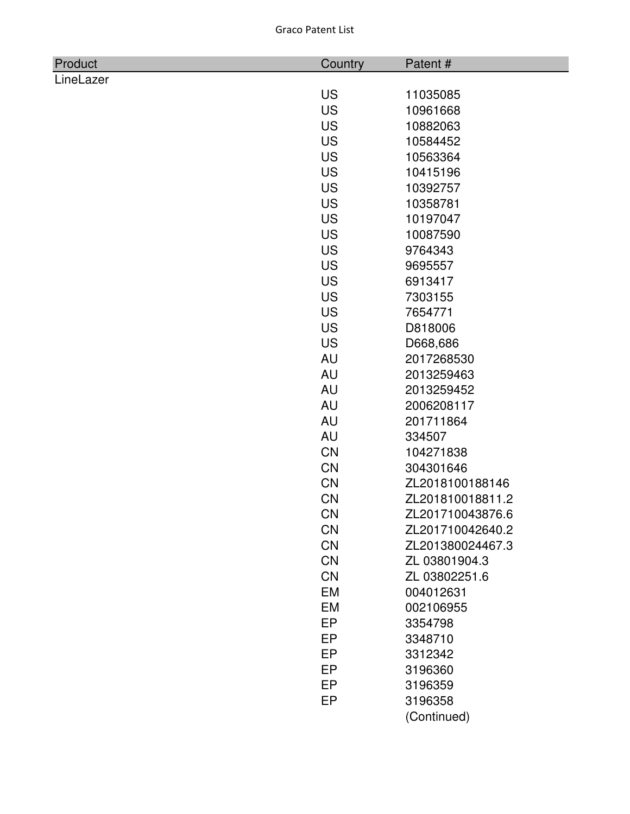| Product   | Country   | Patent#          |
|-----------|-----------|------------------|
| LineLazer |           |                  |
|           | <b>US</b> | 11035085         |
|           | <b>US</b> | 10961668         |
|           | <b>US</b> | 10882063         |
|           | <b>US</b> | 10584452         |
|           | <b>US</b> | 10563364         |
|           | <b>US</b> | 10415196         |
|           | <b>US</b> | 10392757         |
|           | <b>US</b> | 10358781         |
|           | <b>US</b> | 10197047         |
|           | <b>US</b> | 10087590         |
|           | <b>US</b> | 9764343          |
|           | <b>US</b> | 9695557          |
|           | <b>US</b> | 6913417          |
|           | <b>US</b> | 7303155          |
|           | <b>US</b> | 7654771          |
|           | <b>US</b> | D818006          |
|           | <b>US</b> | D668,686         |
|           | AU        | 2017268530       |
|           | <b>AU</b> | 2013259463       |
|           | <b>AU</b> | 2013259452       |
|           | <b>AU</b> | 2006208117       |
|           | <b>AU</b> | 201711864        |
|           | <b>AU</b> | 334507           |
|           | <b>CN</b> | 104271838        |
|           | <b>CN</b> | 304301646        |
|           | CN        | ZL2018100188146  |
|           | CN        | ZL201810018811.2 |
|           | <b>CN</b> | ZL201710043876.6 |
|           | <b>CN</b> | ZL201710042640.2 |
|           | <b>CN</b> | ZL201380024467.3 |
|           | <b>CN</b> | ZL 03801904.3    |
|           | <b>CN</b> | ZL 03802251.6    |
|           | EM        | 004012631        |
|           | EM        | 002106955        |
|           | <b>EP</b> | 3354798          |
|           | EP        | 3348710          |
|           | EP        | 3312342          |
|           | <b>EP</b> | 3196360          |
|           | EP        | 3196359          |
|           | EP        | 3196358          |

(Continued)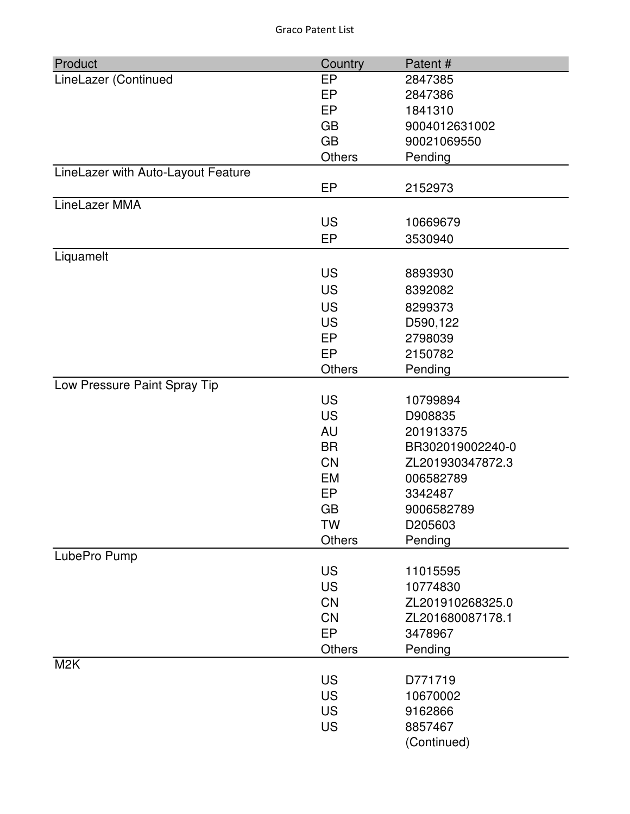| Product                            | Country         | Patent#          |
|------------------------------------|-----------------|------------------|
| LineLazer (Continued               | <b>EP</b>       | 2847385          |
|                                    | <b>EP</b>       | 2847386          |
|                                    | <b>EP</b>       | 1841310          |
|                                    | <b>GB</b>       | 9004012631002    |
|                                    | <b>GB</b>       | 90021069550      |
|                                    | Others          | Pending          |
| LineLazer with Auto-Layout Feature |                 |                  |
|                                    | EP              | 2152973          |
| LineLazer MMA                      |                 |                  |
|                                    | <b>US</b>       | 10669679         |
|                                    | EP              | 3530940          |
| Liquamelt                          |                 |                  |
|                                    | <b>US</b>       | 8893930          |
|                                    | <b>US</b>       | 8392082          |
|                                    | <b>US</b>       | 8299373          |
|                                    | <b>US</b>       | D590,122         |
|                                    | EP              | 2798039          |
|                                    | EP              | 2150782          |
|                                    | <b>Others</b>   | Pending          |
| Low Pressure Paint Spray Tip       |                 |                  |
|                                    | <b>US</b>       | 10799894         |
|                                    | <b>US</b>       | D908835          |
|                                    | AU              | 201913375        |
|                                    | <b>BR</b>       | BR302019002240-0 |
|                                    | <b>CN</b>       | ZL201930347872.3 |
|                                    | <b>EM</b>       | 006582789        |
|                                    | <b>EP</b>       | 3342487          |
|                                    | <b>GB</b>       | 9006582789       |
|                                    | <b>TW</b>       | D205603          |
|                                    | Others          | Pending          |
| LubePro Pump                       |                 |                  |
|                                    | <b>US</b>       | 11015595         |
|                                    | <b>US</b>       | 10774830         |
|                                    | <b>CN</b>       | ZL201910268325.0 |
|                                    | <b>CN</b><br>EP | ZL201680087178.1 |
|                                    |                 | 3478967          |
|                                    | <b>Others</b>   | Pending          |
| M <sub>2</sub> K                   | <b>US</b>       | D771719          |
|                                    | <b>US</b>       | 10670002         |
|                                    | <b>US</b>       | 9162866          |
|                                    | <b>US</b>       | 8857467          |
|                                    |                 | (Continued)      |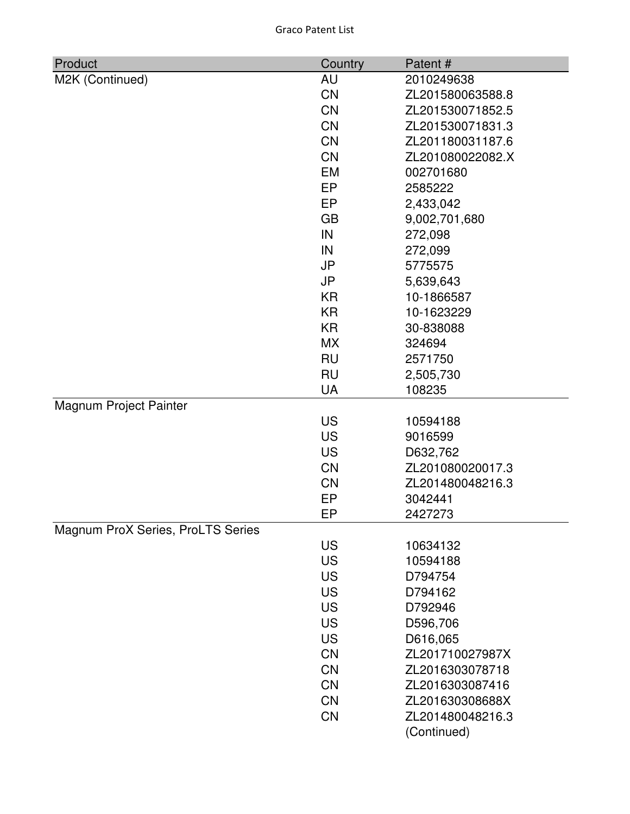| Product                           | Country   | Patent#          |
|-----------------------------------|-----------|------------------|
| M2K (Continued)                   | AU        | 2010249638       |
|                                   | <b>CN</b> | ZL201580063588.8 |
|                                   | <b>CN</b> | ZL201530071852.5 |
|                                   | <b>CN</b> | ZL201530071831.3 |
|                                   | <b>CN</b> | ZL201180031187.6 |
|                                   | <b>CN</b> | ZL201080022082.X |
|                                   | <b>EM</b> | 002701680        |
|                                   | EP        | 2585222          |
|                                   | EP        | 2,433,042        |
|                                   | <b>GB</b> | 9,002,701,680    |
|                                   | IN        | 272,098          |
|                                   | IN        | 272,099          |
|                                   | <b>JP</b> | 5775575          |
|                                   | JP        | 5,639,643        |
|                                   | <b>KR</b> | 10-1866587       |
|                                   | <b>KR</b> | 10-1623229       |
|                                   | <b>KR</b> | 30-838088        |
|                                   | <b>MX</b> | 324694           |
|                                   | <b>RU</b> | 2571750          |
|                                   | <b>RU</b> | 2,505,730        |
|                                   | <b>UA</b> | 108235           |
| Magnum Project Painter            |           |                  |
|                                   | <b>US</b> | 10594188         |
|                                   | <b>US</b> | 9016599          |
|                                   | <b>US</b> | D632,762         |
|                                   | <b>CN</b> | ZL201080020017.3 |
|                                   | <b>CN</b> | ZL201480048216.3 |
|                                   | EP        | 3042441          |
|                                   | EP        | 2427273          |
| Magnum ProX Series, ProLTS Series |           |                  |
|                                   | <b>US</b> | 10634132         |
|                                   | <b>US</b> | 10594188         |
|                                   | <b>US</b> | D794754          |
|                                   | <b>US</b> | D794162          |
|                                   | <b>US</b> | D792946          |
|                                   | <b>US</b> | D596,706         |
|                                   | <b>US</b> | D616,065         |
|                                   | <b>CN</b> | ZL201710027987X  |
|                                   | <b>CN</b> | ZL2016303078718  |
|                                   | <b>CN</b> | ZL2016303087416  |
|                                   | <b>CN</b> | ZL201630308688X  |
|                                   | <b>CN</b> | ZL201480048216.3 |
|                                   |           | (Continued)      |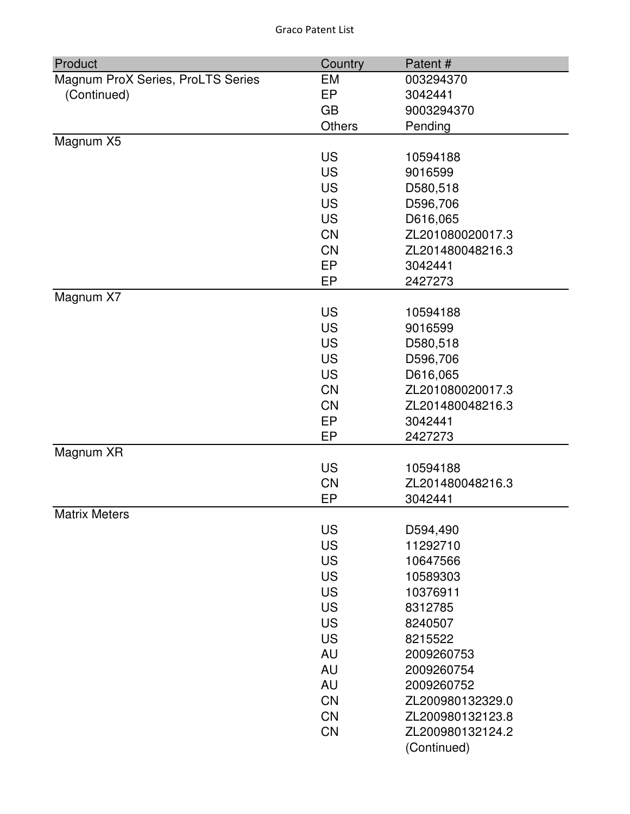| Product                           | Country       | Patent#          |
|-----------------------------------|---------------|------------------|
| Magnum ProX Series, ProLTS Series | EM            | 003294370        |
| (Continued)                       | EP            | 3042441          |
|                                   | <b>GB</b>     | 9003294370       |
|                                   | <b>Others</b> | Pending          |
| Magnum X5                         |               |                  |
|                                   | <b>US</b>     | 10594188         |
|                                   | <b>US</b>     | 9016599          |
|                                   | <b>US</b>     | D580,518         |
|                                   | <b>US</b>     | D596,706         |
|                                   | <b>US</b>     | D616,065         |
|                                   | <b>CN</b>     | ZL201080020017.3 |
|                                   | <b>CN</b>     | ZL201480048216.3 |
|                                   | EP            | 3042441          |
|                                   | EP            | 2427273          |
| Magnum X7                         |               |                  |
|                                   | <b>US</b>     | 10594188         |
|                                   | <b>US</b>     | 9016599          |
|                                   | <b>US</b>     | D580,518         |
|                                   | <b>US</b>     | D596,706         |
|                                   | <b>US</b>     | D616,065         |
|                                   | <b>CN</b>     | ZL201080020017.3 |
|                                   | <b>CN</b>     | ZL201480048216.3 |
|                                   | EP            | 3042441          |
|                                   | EP            | 2427273          |
| Magnum XR                         | <b>US</b>     | 10594188         |
|                                   | <b>CN</b>     | ZL201480048216.3 |
|                                   | EP            | 3042441          |
| <b>Matrix Meters</b>              |               |                  |
|                                   | <b>US</b>     | D594,490         |
|                                   | <b>US</b>     | 11292710         |
|                                   | <b>US</b>     | 10647566         |
|                                   | <b>US</b>     | 10589303         |
|                                   | <b>US</b>     | 10376911         |
|                                   | <b>US</b>     | 8312785          |
|                                   | <b>US</b>     | 8240507          |
|                                   | <b>US</b>     | 8215522          |
|                                   | <b>AU</b>     | 2009260753       |
|                                   | <b>AU</b>     | 2009260754       |
|                                   | <b>AU</b>     | 2009260752       |
|                                   | CN            | ZL200980132329.0 |
|                                   | <b>CN</b>     | ZL200980132123.8 |
|                                   | <b>CN</b>     | ZL200980132124.2 |
|                                   |               | (Continued)      |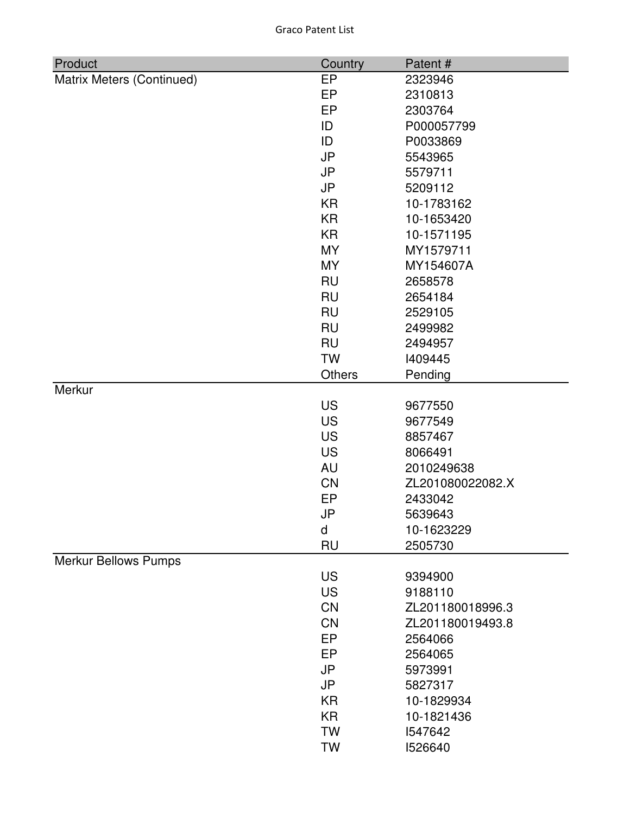| Product                     | Country       | Patent#          |
|-----------------------------|---------------|------------------|
| Matrix Meters (Continued)   | EP            | 2323946          |
|                             | EP            | 2310813          |
|                             | EP            | 2303764          |
|                             | ID            | P000057799       |
|                             | ID            | P0033869         |
|                             | <b>JP</b>     | 5543965          |
|                             | <b>JP</b>     | 5579711          |
|                             | <b>JP</b>     | 5209112          |
|                             | <b>KR</b>     | 10-1783162       |
|                             | <b>KR</b>     | 10-1653420       |
|                             | <b>KR</b>     | 10-1571195       |
|                             | <b>MY</b>     | MY1579711        |
|                             | <b>MY</b>     | MY154607A        |
|                             | <b>RU</b>     | 2658578          |
|                             | <b>RU</b>     | 2654184          |
|                             | <b>RU</b>     | 2529105          |
|                             | <b>RU</b>     | 2499982          |
|                             | <b>RU</b>     | 2494957          |
|                             | <b>TW</b>     | 1409445          |
|                             | <b>Others</b> | Pending          |
| Merkur                      |               |                  |
|                             | <b>US</b>     | 9677550          |
|                             | <b>US</b>     | 9677549          |
|                             | <b>US</b>     | 8857467          |
|                             | <b>US</b>     | 8066491          |
|                             | AU            | 2010249638       |
|                             | CN            | ZL201080022082.X |
|                             | EP            | 2433042          |
|                             | JP            | 5639643          |
|                             | d             | 10-1623229       |
|                             | <b>RU</b>     | 2505730          |
| <b>Merkur Bellows Pumps</b> |               |                  |
|                             | <b>US</b>     | 9394900          |
|                             | <b>US</b>     | 9188110          |
|                             | <b>CN</b>     | ZL201180018996.3 |
|                             | <b>CN</b>     | ZL201180019493.8 |
|                             | EP            | 2564066          |
|                             | EP            | 2564065          |
|                             | JP            | 5973991          |
|                             | <b>JP</b>     | 5827317          |
|                             | <b>KR</b>     | 10-1829934       |
|                             | <b>KR</b>     | 10-1821436       |
|                             | <b>TW</b>     |                  |
|                             |               | 1547642          |
|                             | <b>TW</b>     | 1526640          |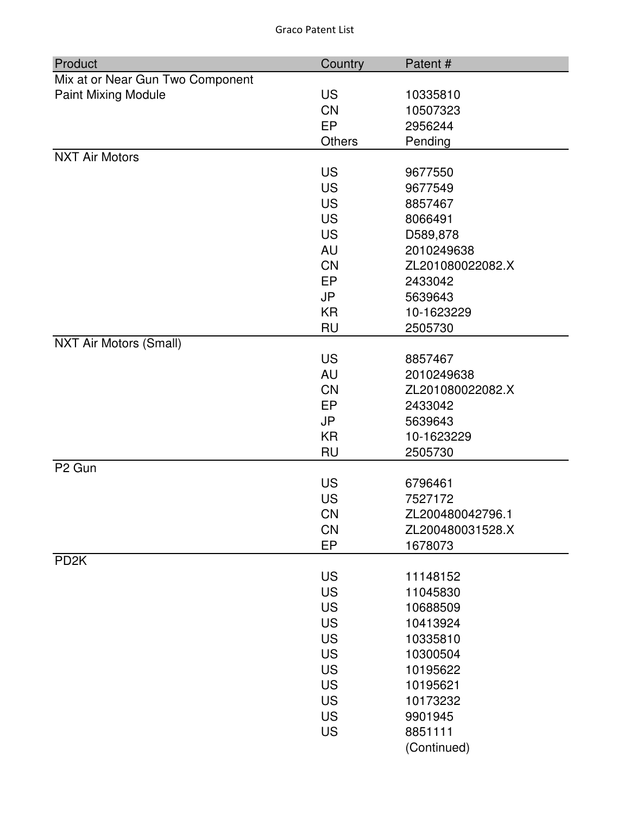| Product                          | Country   | Patent#          |
|----------------------------------|-----------|------------------|
| Mix at or Near Gun Two Component |           |                  |
| <b>Paint Mixing Module</b>       | <b>US</b> | 10335810         |
|                                  | <b>CN</b> | 10507323         |
|                                  | EP        | 2956244          |
|                                  | Others    | Pending          |
| <b>NXT Air Motors</b>            |           |                  |
|                                  | <b>US</b> | 9677550          |
|                                  | <b>US</b> | 9677549          |
|                                  | <b>US</b> | 8857467          |
|                                  | <b>US</b> | 8066491          |
|                                  | <b>US</b> | D589,878         |
|                                  | AU        | 2010249638       |
|                                  | <b>CN</b> | ZL201080022082.X |
|                                  | <b>EP</b> | 2433042          |
|                                  | <b>JP</b> | 5639643          |
|                                  | <b>KR</b> | 10-1623229       |
|                                  | <b>RU</b> | 2505730          |
| <b>NXT Air Motors (Small)</b>    |           |                  |
|                                  | <b>US</b> | 8857467          |
|                                  | AU        | 2010249638       |
|                                  | <b>CN</b> | ZL201080022082.X |
|                                  | <b>EP</b> | 2433042          |
|                                  | <b>JP</b> | 5639643          |
|                                  | <b>KR</b> | 10-1623229       |
|                                  | <b>RU</b> | 2505730          |
| P <sub>2</sub> Gun               |           |                  |
|                                  | <b>US</b> | 6796461          |
|                                  | <b>US</b> | 7527172          |
|                                  | <b>CN</b> | ZL200480042796.1 |
|                                  | <b>CN</b> | ZL200480031528.X |
|                                  | EP        | 1678073          |
| PD <sub>2</sub> K                |           |                  |
|                                  | <b>US</b> | 11148152         |
|                                  | <b>US</b> | 11045830         |
|                                  | <b>US</b> | 10688509         |
|                                  | <b>US</b> | 10413924         |
|                                  | <b>US</b> | 10335810         |
|                                  | <b>US</b> | 10300504         |
|                                  | <b>US</b> | 10195622         |
|                                  | <b>US</b> | 10195621         |
|                                  | <b>US</b> | 10173232         |
|                                  | <b>US</b> | 9901945          |
|                                  | <b>US</b> | 8851111          |
|                                  |           | (Continued)      |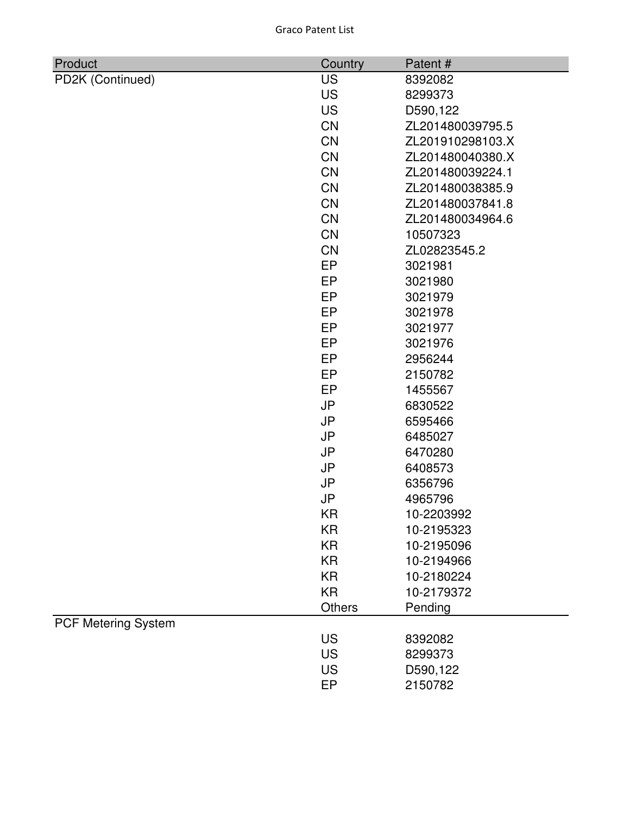|  |  | <b>Graco Patent List</b> |  |
|--|--|--------------------------|--|
|--|--|--------------------------|--|

| Product                    | Country       | Patent#          |
|----------------------------|---------------|------------------|
| PD2K (Continued)           | <b>US</b>     | 8392082          |
|                            | <b>US</b>     | 8299373          |
|                            | <b>US</b>     | D590,122         |
|                            | CN            | ZL201480039795.5 |
|                            | <b>CN</b>     | ZL201910298103.X |
|                            | <b>CN</b>     | ZL201480040380.X |
|                            | <b>CN</b>     | ZL201480039224.1 |
|                            | CN            | ZL201480038385.9 |
|                            | <b>CN</b>     | ZL201480037841.8 |
|                            | CN            | ZL201480034964.6 |
|                            | <b>CN</b>     | 10507323         |
|                            | CN            | ZL02823545.2     |
|                            | EP            | 3021981          |
|                            | <b>EP</b>     | 3021980          |
|                            | EP            | 3021979          |
|                            | EP            | 3021978          |
|                            | EP            | 3021977          |
|                            | <b>EP</b>     | 3021976          |
|                            | <b>EP</b>     | 2956244          |
|                            | <b>EP</b>     | 2150782          |
|                            | <b>EP</b>     | 1455567          |
|                            | <b>JP</b>     | 6830522          |
|                            | <b>JP</b>     | 6595466          |
|                            | <b>JP</b>     | 6485027          |
|                            | <b>JP</b>     | 6470280          |
|                            | JP            | 6408573          |
|                            | <b>JP</b>     | 6356796          |
|                            | <b>JP</b>     | 4965796          |
|                            | KR            | 10-2203992       |
|                            | KR            | 10-2195323       |
|                            | <b>KR</b>     | 10-2195096       |
|                            | <b>KR</b>     | 10-2194966       |
|                            | <b>KR</b>     | 10-2180224       |
|                            | <b>KR</b>     | 10-2179372       |
|                            | <b>Others</b> | Pending          |
| <b>PCF Metering System</b> |               |                  |
|                            | <b>US</b>     | 8392082          |
|                            | <b>US</b>     | 8299373          |
|                            | <b>US</b>     | D590,122         |
|                            | EP            | 2150782          |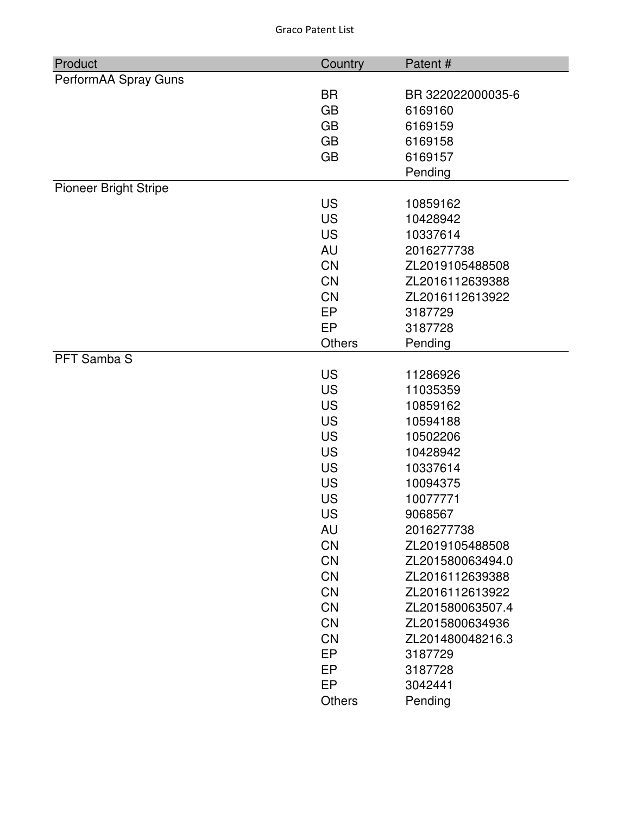| Product                      | Country       | Patent#           |
|------------------------------|---------------|-------------------|
| PerformAA Spray Guns         |               |                   |
|                              | <b>BR</b>     | BR 322022000035-6 |
|                              | <b>GB</b>     | 6169160           |
|                              | <b>GB</b>     | 6169159           |
|                              | <b>GB</b>     | 6169158           |
|                              | <b>GB</b>     | 6169157           |
|                              |               | Pending           |
| <b>Pioneer Bright Stripe</b> |               |                   |
|                              | <b>US</b>     | 10859162          |
|                              | <b>US</b>     | 10428942          |
|                              | <b>US</b>     | 10337614          |
|                              | <b>AU</b>     | 2016277738        |
|                              | <b>CN</b>     | ZL2019105488508   |
|                              | <b>CN</b>     | ZL2016112639388   |
|                              | <b>CN</b>     | ZL2016112613922   |
|                              | EP            | 3187729           |
|                              | EP            | 3187728           |
|                              | <b>Others</b> | Pending           |
| PFT Samba S                  |               |                   |
|                              | <b>US</b>     | 11286926          |
|                              | <b>US</b>     | 11035359          |
|                              | <b>US</b>     | 10859162          |
|                              | <b>US</b>     | 10594188          |
|                              | <b>US</b>     | 10502206          |
|                              | <b>US</b>     | 10428942          |
|                              | <b>US</b>     | 10337614          |
|                              | <b>US</b>     | 10094375          |
|                              | <b>US</b>     | 10077771          |
|                              | <b>US</b>     | 9068567           |
|                              | AU            | 2016277738        |
|                              | <b>CN</b>     | ZL2019105488508   |
|                              | <b>CN</b>     | ZL201580063494.0  |
|                              | <b>CN</b>     | ZL2016112639388   |
|                              | <b>CN</b>     | ZL2016112613922   |
|                              | <b>CN</b>     | ZL201580063507.4  |
|                              | <b>CN</b>     | ZL2015800634936   |
|                              | <b>CN</b>     | ZL201480048216.3  |
|                              | EP            | 3187729           |
|                              | EP            | 3187728           |
|                              | EP            | 3042441           |
|                              | <b>Others</b> | Pending           |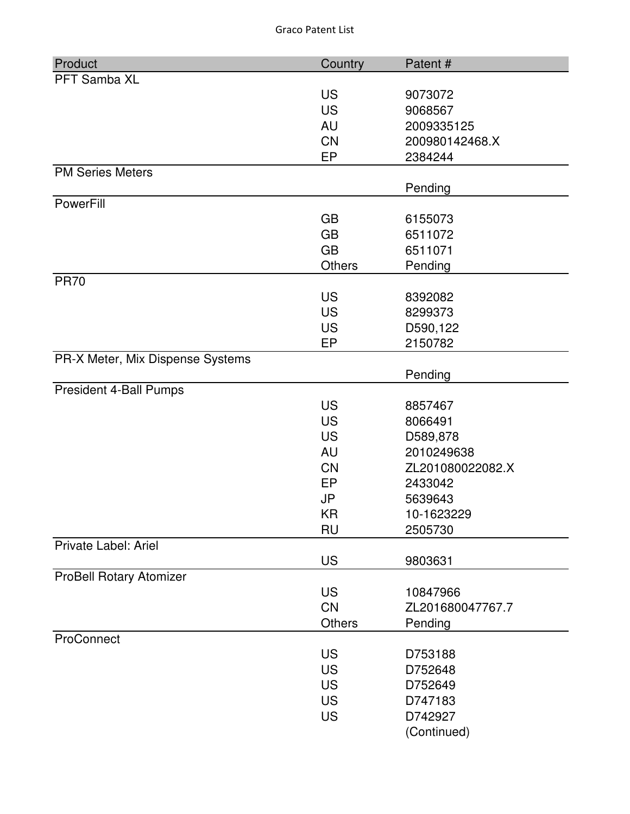| Product                          | Country       | Patent#          |
|----------------------------------|---------------|------------------|
| PFT Samba XL                     |               |                  |
|                                  | <b>US</b>     | 9073072          |
|                                  | <b>US</b>     | 9068567          |
|                                  | <b>AU</b>     | 2009335125       |
|                                  | <b>CN</b>     | 200980142468.X   |
|                                  | EP            | 2384244          |
| <b>PM Series Meters</b>          |               |                  |
|                                  |               | Pending          |
| PowerFill                        |               |                  |
|                                  | <b>GB</b>     | 6155073          |
|                                  | <b>GB</b>     | 6511072          |
|                                  | <b>GB</b>     | 6511071          |
|                                  | <b>Others</b> | Pending          |
| <b>PR70</b>                      | <b>US</b>     | 8392082          |
|                                  | <b>US</b>     |                  |
|                                  |               | 8299373          |
|                                  | <b>US</b>     | D590,122         |
|                                  | EP            | 2150782          |
| PR-X Meter, Mix Dispense Systems |               | Pending          |
| President 4-Ball Pumps           |               |                  |
|                                  | <b>US</b>     | 8857467          |
|                                  | <b>US</b>     | 8066491          |
|                                  | <b>US</b>     | D589,878         |
|                                  | <b>AU</b>     | 2010249638       |
|                                  | <b>CN</b>     | ZL201080022082.X |
|                                  | EP            | 2433042          |
|                                  | <b>JP</b>     | 5639643          |
|                                  | KR            | 10-1623229       |
|                                  | <b>RU</b>     | 2505730          |
| Private Label: Ariel             |               |                  |
|                                  | <b>US</b>     | 9803631          |
| <b>ProBell Rotary Atomizer</b>   |               |                  |
|                                  | <b>US</b>     | 10847966         |
|                                  | <b>CN</b>     | ZL201680047767.7 |
|                                  | <b>Others</b> | Pending          |
| ProConnect                       |               |                  |
|                                  | <b>US</b>     | D753188          |
|                                  | <b>US</b>     | D752648          |
|                                  | <b>US</b>     | D752649          |
|                                  | <b>US</b>     | D747183          |
|                                  | <b>US</b>     | D742927          |
|                                  |               | (Continued)      |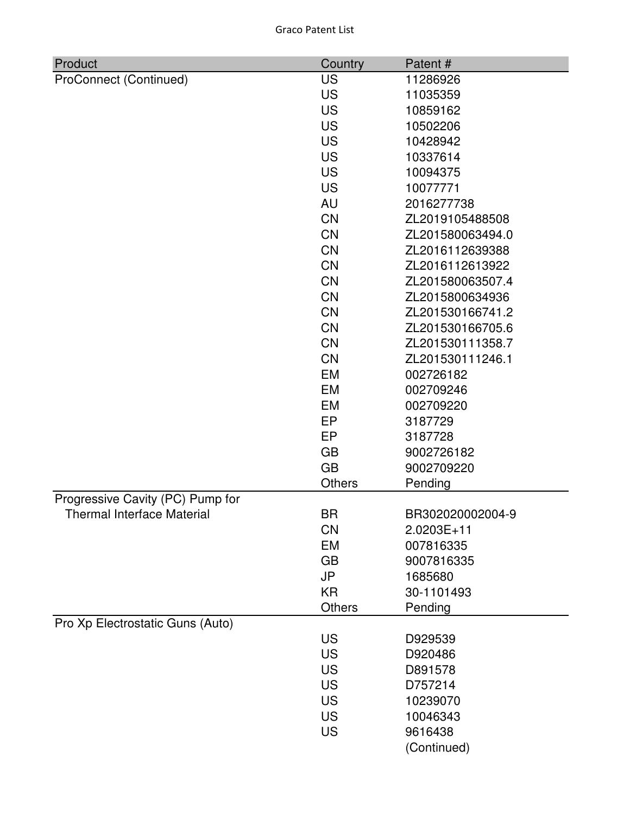| Product                           | Country       | Patent#          |
|-----------------------------------|---------------|------------------|
| ProConnect (Continued)            | <b>US</b>     | 11286926         |
|                                   | <b>US</b>     | 11035359         |
|                                   | <b>US</b>     | 10859162         |
|                                   | <b>US</b>     | 10502206         |
|                                   | <b>US</b>     | 10428942         |
|                                   | <b>US</b>     | 10337614         |
|                                   | <b>US</b>     | 10094375         |
|                                   | <b>US</b>     | 10077771         |
|                                   | <b>AU</b>     | 2016277738       |
|                                   | CN            | ZL2019105488508  |
|                                   | CN            | ZL201580063494.0 |
|                                   | <b>CN</b>     | ZL2016112639388  |
|                                   | CN            | ZL2016112613922  |
|                                   | <b>CN</b>     | ZL201580063507.4 |
|                                   | <b>CN</b>     | ZL2015800634936  |
|                                   | <b>CN</b>     | ZL201530166741.2 |
|                                   | <b>CN</b>     | ZL201530166705.6 |
|                                   | <b>CN</b>     | ZL201530111358.7 |
|                                   | <b>CN</b>     | ZL201530111246.1 |
|                                   | <b>EM</b>     | 002726182        |
|                                   | EM            | 002709246        |
|                                   | <b>EM</b>     | 002709220        |
|                                   | EP            | 3187729          |
|                                   | <b>EP</b>     | 3187728          |
|                                   | <b>GB</b>     | 9002726182       |
|                                   | <b>GB</b>     | 9002709220       |
|                                   | Others        | Pending          |
| Progressive Cavity (PC) Pump for  |               |                  |
| <b>Thermal Interface Material</b> | <b>BR</b>     | BR302020002004-9 |
|                                   | <b>CN</b>     | 2.0203E+11       |
|                                   | EM            | 007816335        |
|                                   | <b>GB</b>     | 9007816335       |
|                                   | <b>JP</b>     | 1685680          |
|                                   | <b>KR</b>     | 30-1101493       |
|                                   | <b>Others</b> | Pending          |
| Pro Xp Electrostatic Guns (Auto)  |               |                  |
|                                   | <b>US</b>     | D929539          |
|                                   | <b>US</b>     | D920486          |
|                                   | <b>US</b>     | D891578          |
|                                   | <b>US</b>     | D757214          |
|                                   | <b>US</b>     | 10239070         |
|                                   | <b>US</b>     | 10046343         |
|                                   | <b>US</b>     | 9616438          |
|                                   |               | (Continued)      |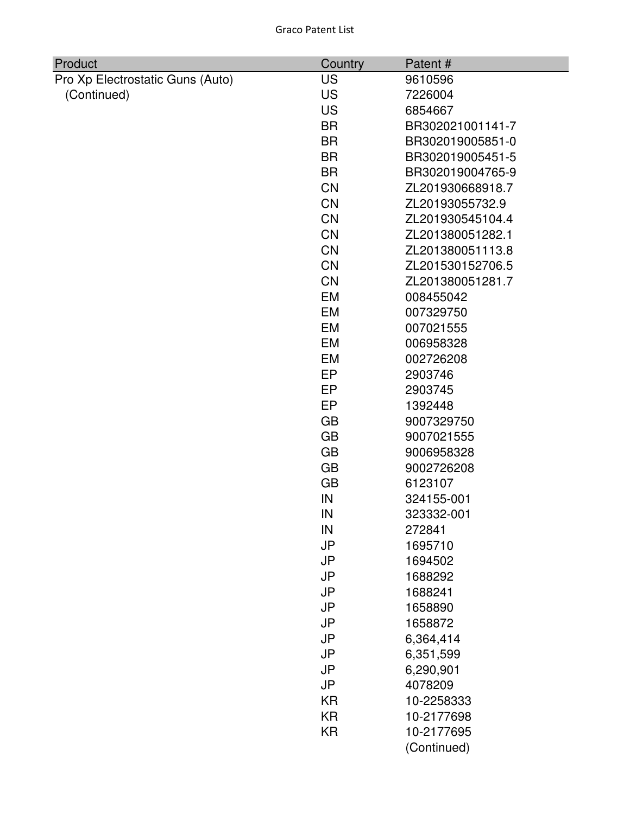| Product                          | Country   | Patent#          |
|----------------------------------|-----------|------------------|
| Pro Xp Electrostatic Guns (Auto) | <b>US</b> | 9610596          |
| (Continued)                      | <b>US</b> | 7226004          |
|                                  | <b>US</b> | 6854667          |
|                                  | <b>BR</b> | BR302021001141-7 |
|                                  | <b>BR</b> | BR302019005851-0 |
|                                  | <b>BR</b> | BR302019005451-5 |
|                                  | <b>BR</b> | BR302019004765-9 |
|                                  | <b>CN</b> | ZL201930668918.7 |
|                                  | <b>CN</b> | ZL20193055732.9  |
|                                  | <b>CN</b> | ZL201930545104.4 |
|                                  | <b>CN</b> | ZL201380051282.1 |
|                                  | <b>CN</b> | ZL201380051113.8 |
|                                  | <b>CN</b> | ZL201530152706.5 |
|                                  | <b>CN</b> | ZL201380051281.7 |
|                                  | EM        | 008455042        |
|                                  | <b>EM</b> | 007329750        |
|                                  | <b>EM</b> | 007021555        |
|                                  | <b>EM</b> | 006958328        |
|                                  | <b>EM</b> | 002726208        |
|                                  | <b>EP</b> | 2903746          |
|                                  | <b>EP</b> | 2903745          |
|                                  | EP        | 1392448          |
|                                  | <b>GB</b> | 9007329750       |
|                                  | <b>GB</b> | 9007021555       |
|                                  | <b>GB</b> | 9006958328       |
|                                  | <b>GB</b> | 9002726208       |
|                                  | <b>GB</b> | 6123107          |
|                                  | IN        | 324155-001       |
|                                  | IN        | 323332-001       |
|                                  | IN        | 272841           |
|                                  | <b>JP</b> | 1695710          |
|                                  | <b>JP</b> | 1694502          |
|                                  | <b>JP</b> | 1688292          |
|                                  | <b>JP</b> | 1688241          |
|                                  | <b>JP</b> | 1658890          |
|                                  | <b>JP</b> | 1658872          |
|                                  | <b>JP</b> | 6,364,414        |
|                                  | <b>JP</b> | 6,351,599        |
|                                  | <b>JP</b> | 6,290,901        |
|                                  | JP        | 4078209          |
|                                  | <b>KR</b> | 10-2258333       |
|                                  | <b>KR</b> | 10-2177698       |
|                                  | <b>KR</b> | 10-2177695       |
|                                  |           | (Continued)      |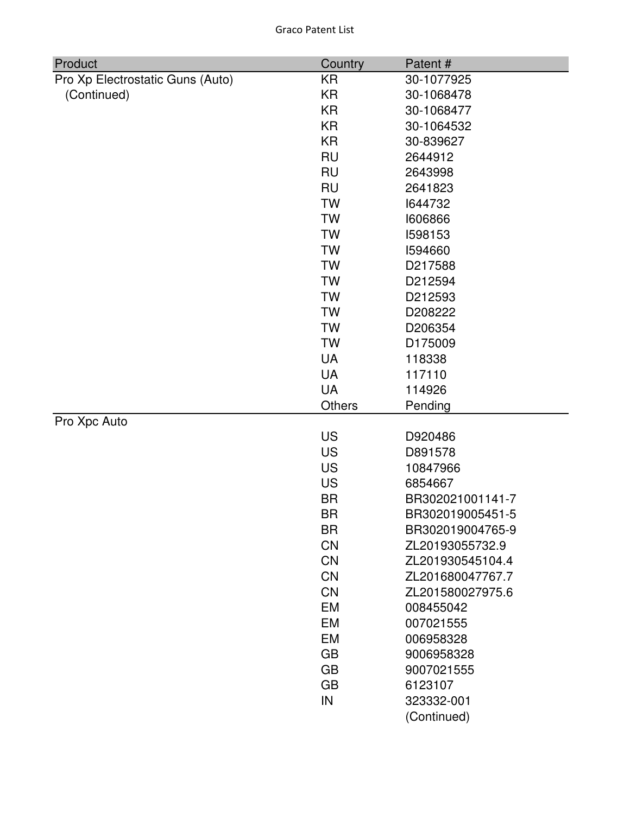| Product                          | Country   | Patent#          |
|----------------------------------|-----------|------------------|
| Pro Xp Electrostatic Guns (Auto) | KR        | 30-1077925       |
| (Continued)                      | <b>KR</b> | 30-1068478       |
|                                  | <b>KR</b> | 30-1068477       |
|                                  | <b>KR</b> | 30-1064532       |
|                                  | <b>KR</b> | 30-839627        |
|                                  | <b>RU</b> | 2644912          |
|                                  | <b>RU</b> | 2643998          |
|                                  | <b>RU</b> | 2641823          |
|                                  | <b>TW</b> | 1644732          |
|                                  | <b>TW</b> | 1606866          |
|                                  | <b>TW</b> | 1598153          |
|                                  | <b>TW</b> | 1594660          |
|                                  | <b>TW</b> | D217588          |
|                                  | <b>TW</b> | D212594          |
|                                  | <b>TW</b> | D212593          |
|                                  | <b>TW</b> | D208222          |
|                                  | <b>TW</b> | D206354          |
|                                  | <b>TW</b> | D175009          |
|                                  | <b>UA</b> | 118338           |
|                                  | <b>UA</b> | 117110           |
|                                  | <b>UA</b> | 114926           |
|                                  | Others    | Pending          |
| Pro Xpc Auto                     |           |                  |
|                                  | <b>US</b> | D920486          |
|                                  | <b>US</b> | D891578          |
|                                  | <b>US</b> | 10847966         |
|                                  | <b>US</b> | 6854667          |
|                                  | <b>BR</b> | BR302021001141-7 |
|                                  | <b>BR</b> | BR302019005451-5 |
|                                  | <b>BR</b> | BR302019004765-9 |
|                                  | CN        | ZL20193055732.9  |
|                                  | <b>CN</b> | ZL201930545104.4 |
|                                  | CN        | ZL201680047767.7 |
|                                  | <b>CN</b> | ZL201580027975.6 |
|                                  | EM        | 008455042        |
|                                  | EM        | 007021555        |
|                                  | EM        | 006958328        |
|                                  | <b>GB</b> | 9006958328       |
|                                  | <b>GB</b> | 9007021555       |
|                                  | <b>GB</b> | 6123107          |
|                                  | IN        | 323332-001       |
|                                  |           | (Continued)      |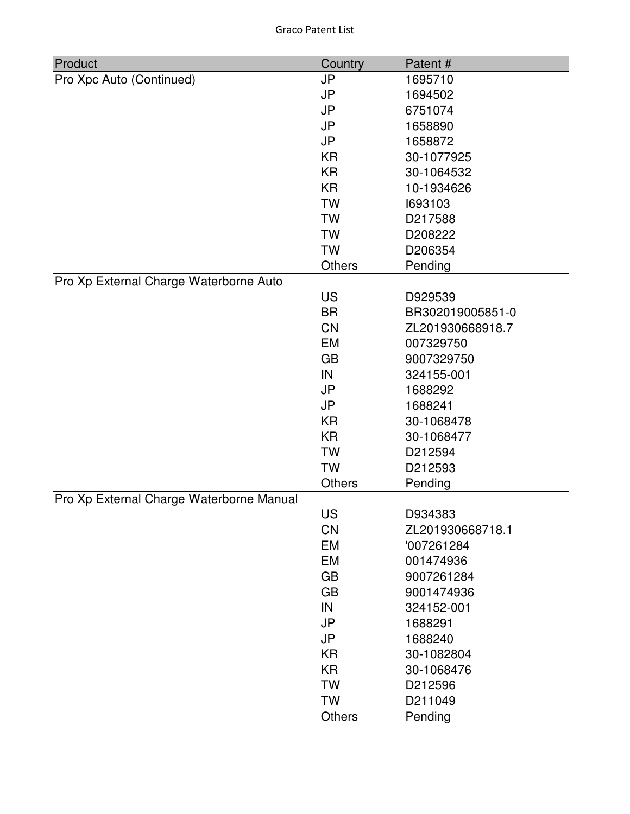| Product                                  | Country       | Patent#          |
|------------------------------------------|---------------|------------------|
| Pro Xpc Auto (Continued)                 | <b>JP</b>     | 1695710          |
|                                          | <b>JP</b>     | 1694502          |
|                                          | <b>JP</b>     | 6751074          |
|                                          | <b>JP</b>     | 1658890          |
|                                          | <b>JP</b>     | 1658872          |
|                                          | KR            | 30-1077925       |
|                                          | <b>KR</b>     | 30-1064532       |
|                                          | <b>KR</b>     | 10-1934626       |
|                                          | <b>TW</b>     | 1693103          |
|                                          | <b>TW</b>     | D217588          |
|                                          | <b>TW</b>     | D208222          |
|                                          | <b>TW</b>     | D206354          |
|                                          | <b>Others</b> | Pending          |
| Pro Xp External Charge Waterborne Auto   |               |                  |
|                                          | <b>US</b>     | D929539          |
|                                          | <b>BR</b>     | BR302019005851-0 |
|                                          | <b>CN</b>     | ZL201930668918.7 |
|                                          | <b>EM</b>     | 007329750        |
|                                          | <b>GB</b>     | 9007329750       |
|                                          | IN            | 324155-001       |
|                                          | <b>JP</b>     | 1688292          |
|                                          | <b>JP</b>     | 1688241          |
|                                          | <b>KR</b>     | 30-1068478       |
|                                          | <b>KR</b>     | 30-1068477       |
|                                          | <b>TW</b>     | D212594          |
|                                          | <b>TW</b>     | D212593          |
|                                          | <b>Others</b> | Pending          |
| Pro Xp External Charge Waterborne Manual |               |                  |
|                                          | <b>US</b>     | D934383          |
|                                          | <b>CN</b>     | ZL201930668718.1 |
|                                          | EM            | '007261284       |
|                                          | EM            | 001474936        |
|                                          | <b>GB</b>     | 9007261284       |
|                                          | <b>GB</b>     | 9001474936       |
|                                          | IN            | 324152-001       |
|                                          | <b>JP</b>     | 1688291          |
|                                          | <b>JP</b>     | 1688240          |
|                                          | <b>KR</b>     | 30-1082804       |
|                                          | KR            | 30-1068476       |
|                                          | <b>TW</b>     | D212596          |
|                                          | <b>TW</b>     | D211049          |
|                                          | <b>Others</b> | Pending          |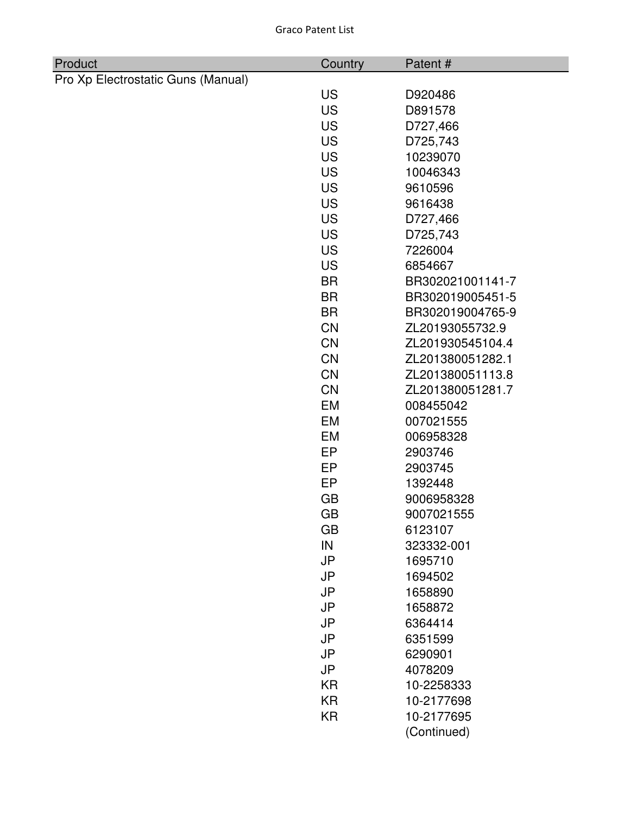| Product                            | Country   | Patent#          |
|------------------------------------|-----------|------------------|
| Pro Xp Electrostatic Guns (Manual) |           |                  |
|                                    | <b>US</b> | D920486          |
|                                    | <b>US</b> | D891578          |
|                                    | <b>US</b> | D727,466         |
|                                    | <b>US</b> | D725,743         |
|                                    | <b>US</b> | 10239070         |
|                                    | <b>US</b> | 10046343         |
|                                    | <b>US</b> | 9610596          |
|                                    | <b>US</b> | 9616438          |
|                                    | <b>US</b> | D727,466         |
|                                    | <b>US</b> | D725,743         |
|                                    | <b>US</b> | 7226004          |
|                                    | <b>US</b> | 6854667          |
|                                    | <b>BR</b> | BR302021001141-7 |
|                                    | <b>BR</b> | BR302019005451-5 |
|                                    | <b>BR</b> | BR302019004765-9 |
|                                    | <b>CN</b> | ZL20193055732.9  |
|                                    | <b>CN</b> | ZL201930545104.4 |
|                                    | <b>CN</b> | ZL201380051282.1 |
|                                    | <b>CN</b> | ZL201380051113.8 |
|                                    | CN        | ZL201380051281.7 |
|                                    | EM        | 008455042        |
|                                    | EM        | 007021555        |
|                                    | EM        | 006958328        |
|                                    | <b>EP</b> | 2903746          |
|                                    | EP        | 2903745          |
|                                    | EP        | 1392448          |
|                                    | <b>GB</b> | 9006958328       |
|                                    | GB        | 9007021555       |
|                                    | <b>GB</b> | 6123107          |
|                                    | IN        | 323332-001       |
|                                    | <b>JP</b> | 1695710          |
|                                    | <b>JP</b> | 1694502          |
|                                    | <b>JP</b> | 1658890          |
|                                    | <b>JP</b> | 1658872          |
|                                    | <b>JP</b> | 6364414          |
|                                    | <b>JP</b> | 6351599          |
|                                    | <b>JP</b> | 6290901          |
|                                    | <b>JP</b> | 4078209          |
|                                    | <b>KR</b> | 10-2258333       |
|                                    | <b>KR</b> | 10-2177698       |
|                                    | <b>KR</b> | 10-2177695       |
|                                    |           | (Continued)      |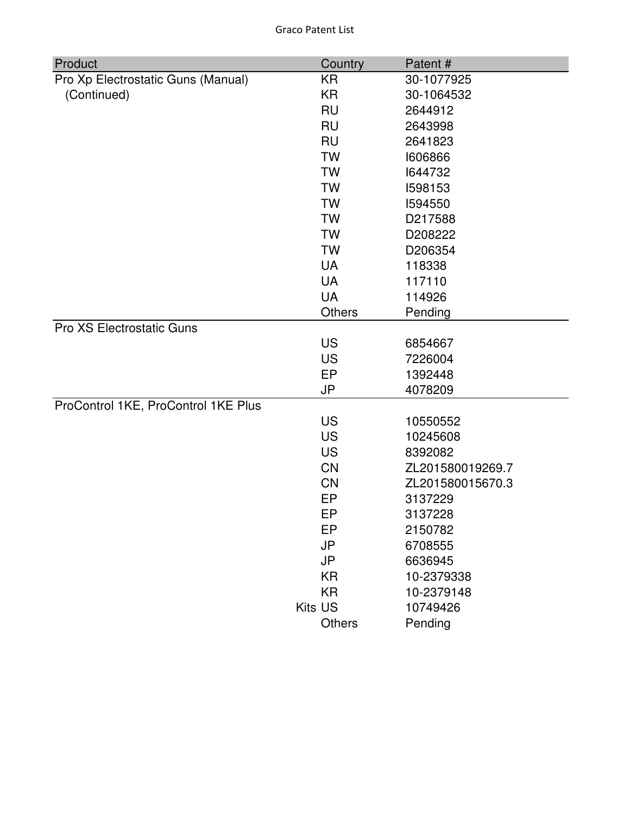| Product                             | Country   | Patent#          |
|-------------------------------------|-----------|------------------|
| Pro Xp Electrostatic Guns (Manual)  | KR        | 30-1077925       |
| (Continued)                         | <b>KR</b> | 30-1064532       |
|                                     | <b>RU</b> | 2644912          |
|                                     | <b>RU</b> | 2643998          |
|                                     | <b>RU</b> | 2641823          |
|                                     | <b>TW</b> | 1606866          |
|                                     | <b>TW</b> | 1644732          |
|                                     | <b>TW</b> | 1598153          |
|                                     | <b>TW</b> | 1594550          |
|                                     | <b>TW</b> | D217588          |
|                                     | <b>TW</b> | D208222          |
|                                     | <b>TW</b> | D206354          |
|                                     | <b>UA</b> | 118338           |
|                                     | <b>UA</b> | 117110           |
|                                     | <b>UA</b> | 114926           |
|                                     | Others    | Pending          |
| Pro XS Electrostatic Guns           |           |                  |
|                                     | <b>US</b> | 6854667          |
|                                     | <b>US</b> | 7226004          |
|                                     | EP        | 1392448          |
|                                     | JP        | 4078209          |
| ProControl 1KE, ProControl 1KE Plus |           |                  |
|                                     | <b>US</b> | 10550552         |
|                                     | <b>US</b> | 10245608         |
|                                     | <b>US</b> | 8392082          |
|                                     | <b>CN</b> | ZL201580019269.7 |
|                                     | <b>CN</b> | ZL201580015670.3 |
|                                     | EP        | 3137229          |
|                                     | EP        | 3137228          |
|                                     | EP        | 2150782          |
|                                     | <b>JP</b> | 6708555          |
|                                     | <b>JP</b> | 6636945          |
|                                     | <b>KR</b> | 10-2379338       |
|                                     | <b>KR</b> | 10-2379148       |
|                                     | Kits US   | 10749426         |
|                                     | Others    | Pending          |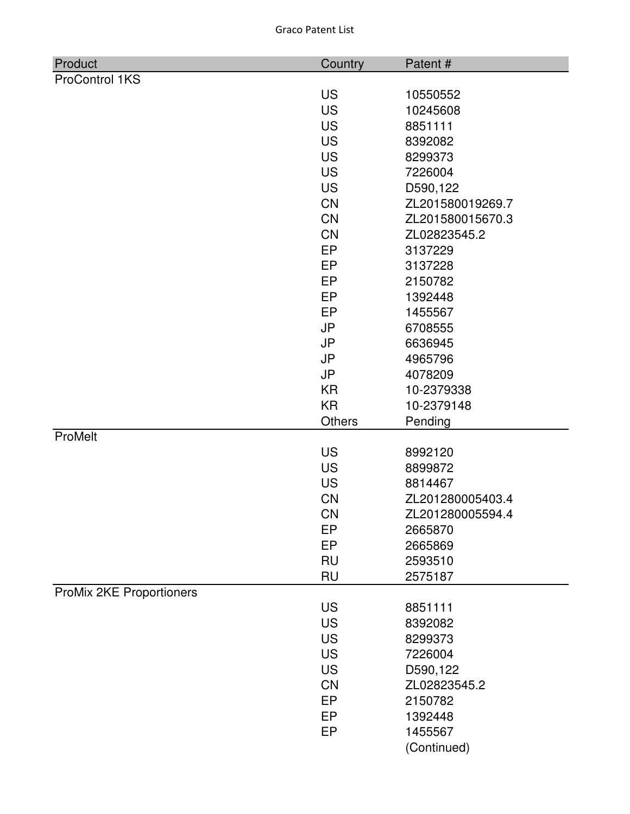| Product                  | Country         | Patent#                     |
|--------------------------|-----------------|-----------------------------|
| <b>ProControl 1KS</b>    |                 |                             |
|                          | <b>US</b>       | 10550552                    |
|                          | <b>US</b>       | 10245608                    |
|                          | <b>US</b>       | 8851111                     |
|                          | <b>US</b>       | 8392082                     |
|                          | <b>US</b>       | 8299373                     |
|                          | <b>US</b>       | 7226004                     |
|                          | <b>US</b>       | D590,122                    |
|                          | <b>CN</b>       | ZL201580019269.7            |
|                          | <b>CN</b>       | ZL201580015670.3            |
|                          | <b>CN</b>       | ZL02823545.2                |
|                          | EP              | 3137229                     |
|                          | EP              | 3137228                     |
|                          | EP              | 2150782                     |
|                          | EP              | 1392448                     |
|                          | EP              | 1455567                     |
|                          | <b>JP</b>       | 6708555                     |
|                          | <b>JP</b>       | 6636945                     |
|                          | <b>JP</b>       | 4965796                     |
|                          | <b>JP</b>       | 4078209                     |
|                          | <b>KR</b>       | 10-2379338                  |
|                          | <b>KR</b>       | 10-2379148                  |
|                          | Others          | Pending                     |
| ProMelt                  |                 |                             |
|                          | <b>US</b>       | 8992120                     |
|                          | <b>US</b>       | 8899872                     |
|                          | <b>US</b>       | 8814467                     |
|                          | <b>CN</b>       | ZL201280005403.4            |
|                          | <b>CN</b><br>EP | ZL201280005594.4<br>2665870 |
|                          | EP              | 2665869                     |
|                          | <b>RU</b>       | 2593510                     |
|                          | <b>RU</b>       | 2575187                     |
| ProMix 2KE Proportioners |                 |                             |
|                          | <b>US</b>       | 8851111                     |
|                          | <b>US</b>       | 8392082                     |
|                          | <b>US</b>       | 8299373                     |
|                          | <b>US</b>       | 7226004                     |
|                          | <b>US</b>       | D590,122                    |
|                          | <b>CN</b>       | ZL02823545.2                |
|                          | EP              | 2150782                     |
|                          | EP              | 1392448                     |
|                          | EP              | 1455567                     |
|                          |                 | (Continued)                 |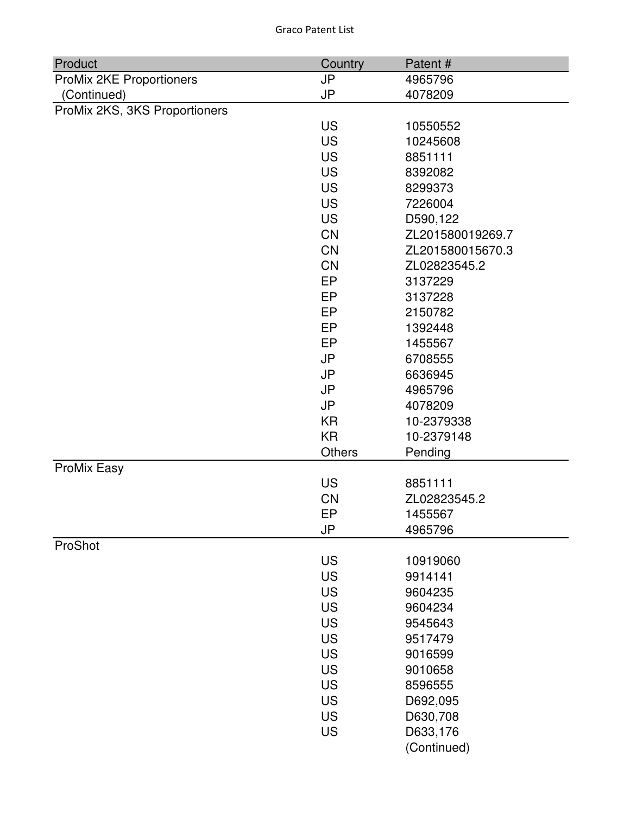| Product                       | Country       | Patent#          |
|-------------------------------|---------------|------------------|
| ProMix 2KE Proportioners      | <b>JP</b>     | 4965796          |
| (Continued)                   | <b>JP</b>     | 4078209          |
| ProMix 2KS, 3KS Proportioners |               |                  |
|                               | <b>US</b>     | 10550552         |
|                               | <b>US</b>     | 10245608         |
|                               | <b>US</b>     | 8851111          |
|                               | <b>US</b>     | 8392082          |
|                               | <b>US</b>     | 8299373          |
|                               | <b>US</b>     | 7226004          |
|                               | <b>US</b>     | D590,122         |
|                               | CN            | ZL201580019269.7 |
|                               | CN            | ZL201580015670.3 |
|                               | CN            | ZL02823545.2     |
|                               | <b>EP</b>     | 3137229          |
|                               | EP            | 3137228          |
|                               | <b>EP</b>     | 2150782          |
|                               | EP            | 1392448          |
|                               | <b>EP</b>     | 1455567          |
|                               | <b>JP</b>     | 6708555          |
|                               | <b>JP</b>     | 6636945          |
|                               | <b>JP</b>     | 4965796          |
|                               | <b>JP</b>     | 4078209          |
|                               | <b>KR</b>     | 10-2379338       |
|                               | <b>KR</b>     | 10-2379148       |
|                               | <b>Others</b> | Pending          |
| ProMix Easy                   |               |                  |
|                               | <b>US</b>     | 8851111          |
|                               | <b>CN</b>     | ZL02823545.2     |
|                               | EP            | 1455567          |
|                               | JP            | 4965796          |
| ProShot                       |               |                  |
|                               | <b>US</b>     | 10919060         |
|                               | <b>US</b>     | 9914141          |
|                               | <b>US</b>     | 9604235          |
|                               | US            | 9604234          |
|                               | <b>US</b>     | 9545643          |
|                               | <b>US</b>     | 9517479          |
|                               | <b>US</b>     | 9016599          |
|                               | US            | 9010658          |
|                               | US            | 8596555          |
|                               | US            |                  |
|                               |               | D692,095         |
|                               | <b>US</b>     | D630,708         |
|                               | <b>US</b>     | D633,176         |
|                               |               | (Continued)      |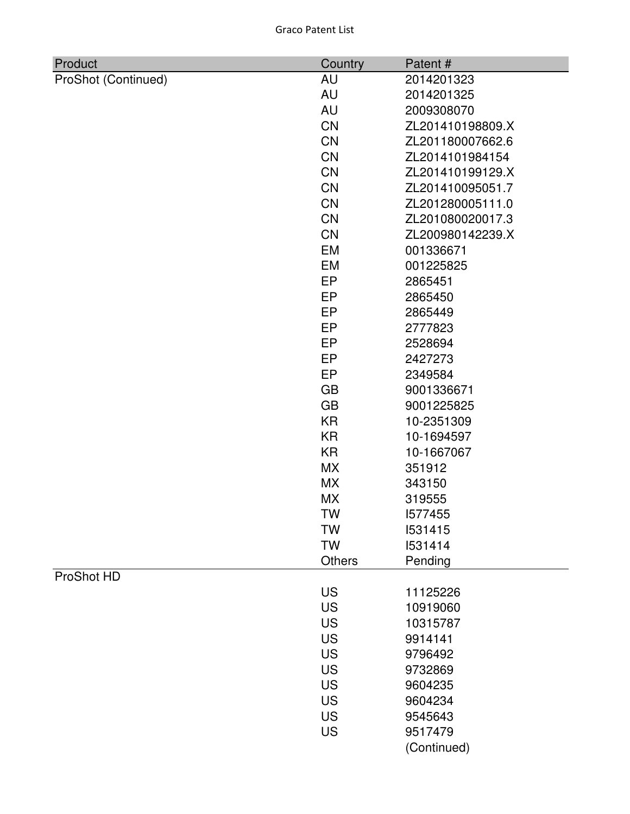| Product             | Country       | Patent#          |
|---------------------|---------------|------------------|
| ProShot (Continued) | AU            | 2014201323       |
|                     | <b>AU</b>     | 2014201325       |
|                     | AU            | 2009308070       |
|                     | <b>CN</b>     | ZL201410198809.X |
|                     | <b>CN</b>     | ZL201180007662.6 |
|                     | <b>CN</b>     | ZL2014101984154  |
|                     | <b>CN</b>     | ZL201410199129.X |
|                     | <b>CN</b>     | ZL201410095051.7 |
|                     | <b>CN</b>     | ZL201280005111.0 |
|                     | <b>CN</b>     | ZL201080020017.3 |
|                     | <b>CN</b>     | ZL200980142239.X |
|                     | EM            | 001336671        |
|                     | EM            | 001225825        |
|                     | EP            | 2865451          |
|                     | EP            | 2865450          |
|                     | EP            | 2865449          |
|                     | EP            | 2777823          |
|                     | EP            | 2528694          |
|                     | EP            | 2427273          |
|                     | EP            | 2349584          |
|                     | <b>GB</b>     | 9001336671       |
|                     | <b>GB</b>     | 9001225825       |
|                     | <b>KR</b>     | 10-2351309       |
|                     | <b>KR</b>     | 10-1694597       |
|                     | <b>KR</b>     | 10-1667067       |
|                     | <b>MX</b>     | 351912           |
|                     | <b>MX</b>     | 343150           |
|                     | <b>MX</b>     | 319555           |
|                     | <b>TW</b>     | 1577455          |
|                     | TW            | 1531415          |
|                     | <b>TW</b>     | 1531414          |
|                     | <b>Others</b> | Pending          |
| ProShot HD          |               |                  |
|                     | US            | 11125226         |
|                     | <b>US</b>     | 10919060         |
|                     | US            | 10315787         |
|                     | US            | 9914141          |
|                     | <b>US</b>     | 9796492          |
|                     | <b>US</b>     | 9732869          |
|                     | <b>US</b>     | 9604235          |
|                     | <b>US</b>     | 9604234          |
|                     | <b>US</b>     | 9545643          |
|                     | US            | 9517479          |
|                     |               | (Continued)      |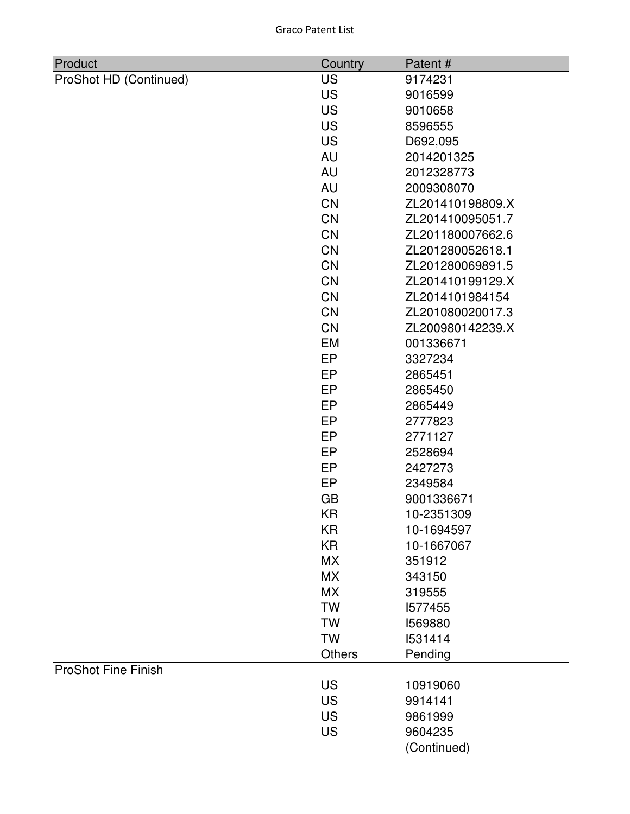| <b>Graco Patent List</b> |  |
|--------------------------|--|
|--------------------------|--|

| Product                    | Country   | Patent#          |
|----------------------------|-----------|------------------|
| ProShot HD (Continued)     | <b>US</b> | 9174231          |
|                            | <b>US</b> | 9016599          |
|                            | <b>US</b> | 9010658          |
|                            | <b>US</b> | 8596555          |
|                            | <b>US</b> | D692,095         |
|                            | <b>AU</b> | 2014201325       |
|                            | <b>AU</b> | 2012328773       |
|                            | <b>AU</b> | 2009308070       |
|                            | <b>CN</b> | ZL201410198809.X |
|                            | <b>CN</b> | ZL201410095051.7 |
|                            | <b>CN</b> | ZL201180007662.6 |
|                            | CN        | ZL201280052618.1 |
|                            | <b>CN</b> | ZL201280069891.5 |
|                            | <b>CN</b> | ZL201410199129.X |
|                            | <b>CN</b> | ZL2014101984154  |
|                            | CN        | ZL201080020017.3 |
|                            | <b>CN</b> | ZL200980142239.X |
|                            | EM        | 001336671        |
|                            | EP        | 3327234          |
|                            | EP        | 2865451          |
|                            | EP        | 2865450          |
|                            | EP        | 2865449          |
|                            | EP        | 2777823          |
|                            | EP        | 2771127          |
|                            | EP        | 2528694          |
|                            | EP        | 2427273          |
|                            | EP        | 2349584          |
|                            | <b>GB</b> | 9001336671       |
|                            | KR        | 10-2351309       |
|                            | KR        | 10-1694597       |
|                            | <b>KR</b> | 10-1667067       |
|                            | МX        | 351912           |
|                            | <b>MX</b> | 343150           |
|                            | <b>MX</b> | 319555           |
|                            | <b>TW</b> | 1577455          |
|                            | <b>TW</b> | 1569880          |
|                            | <b>TW</b> | 1531414          |
|                            | Others    | Pending          |
| <b>ProShot Fine Finish</b> |           |                  |
|                            | US        | 10919060         |
|                            | <b>US</b> | 9914141          |
|                            | <b>US</b> | 9861999          |
|                            | <b>US</b> | 9604235          |
|                            |           | (Continued)      |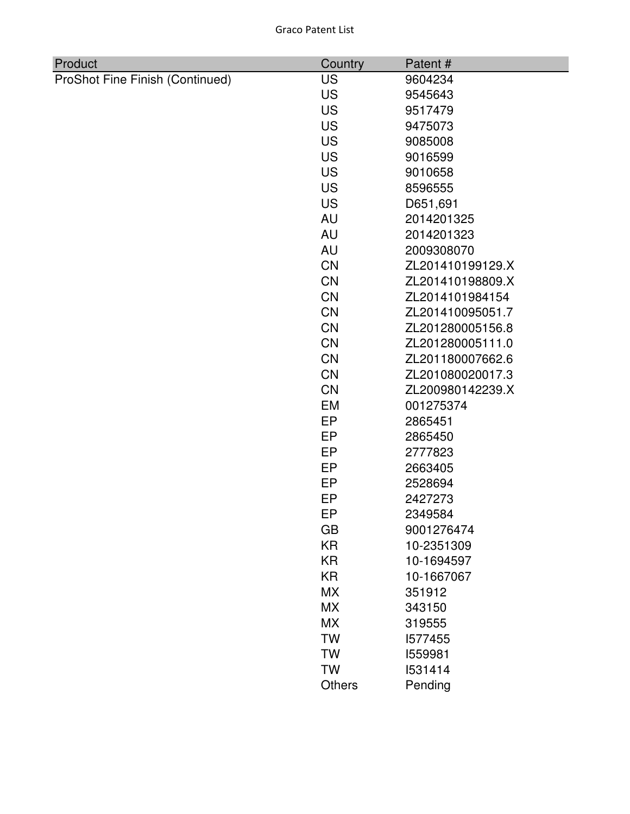| Product                         | Country       | Patent#          |
|---------------------------------|---------------|------------------|
| ProShot Fine Finish (Continued) | <b>US</b>     | 9604234          |
|                                 | <b>US</b>     | 9545643          |
|                                 | <b>US</b>     | 9517479          |
|                                 | <b>US</b>     | 9475073          |
|                                 | <b>US</b>     | 9085008          |
|                                 | <b>US</b>     | 9016599          |
|                                 | <b>US</b>     | 9010658          |
|                                 | <b>US</b>     | 8596555          |
|                                 | <b>US</b>     | D651,691         |
|                                 | <b>AU</b>     | 2014201325       |
|                                 | <b>AU</b>     | 2014201323       |
|                                 | <b>AU</b>     | 2009308070       |
|                                 | <b>CN</b>     | ZL201410199129.X |
|                                 | <b>CN</b>     | ZL201410198809.X |
|                                 | <b>CN</b>     | ZL2014101984154  |
|                                 | CN            | ZL201410095051.7 |
|                                 | <b>CN</b>     | ZL201280005156.8 |
|                                 | <b>CN</b>     | ZL201280005111.0 |
|                                 | CN            | ZL201180007662.6 |
|                                 | CN            | ZL201080020017.3 |
|                                 | <b>CN</b>     | ZL200980142239.X |
|                                 | EM            | 001275374        |
|                                 | <b>EP</b>     | 2865451          |
|                                 | EP            | 2865450          |
|                                 | EP            | 2777823          |
|                                 | <b>EP</b>     | 2663405          |
|                                 | EP            | 2528694          |
|                                 | EP            | 2427273          |
|                                 | EP            | 2349584          |
|                                 | GB            | 9001276474       |
|                                 | <b>KR</b>     | 10-2351309       |
|                                 | <b>KR</b>     | 10-1694597       |
|                                 | <b>KR</b>     | 10-1667067       |
|                                 | <b>MX</b>     | 351912           |
|                                 | <b>MX</b>     | 343150           |
|                                 | <b>MX</b>     | 319555           |
|                                 | <b>TW</b>     | 1577455          |
|                                 | TW            | 1559981          |
|                                 | <b>TW</b>     | 1531414          |
|                                 | <b>Others</b> | Pending          |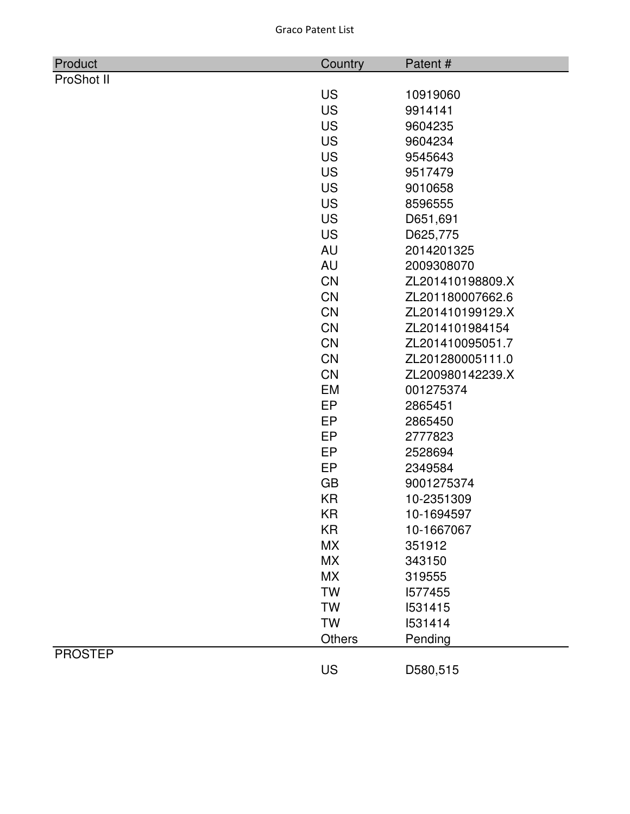| Product        | Country   | Patent#          |
|----------------|-----------|------------------|
| ProShot II     |           |                  |
|                | <b>US</b> | 10919060         |
|                | <b>US</b> | 9914141          |
|                | <b>US</b> | 9604235          |
|                | <b>US</b> | 9604234          |
|                | <b>US</b> | 9545643          |
|                | <b>US</b> | 9517479          |
|                | <b>US</b> | 9010658          |
|                | <b>US</b> | 8596555          |
|                | <b>US</b> | D651,691         |
|                | <b>US</b> | D625,775         |
|                | <b>AU</b> | 2014201325       |
|                | <b>AU</b> | 2009308070       |
|                | <b>CN</b> | ZL201410198809.X |
|                | CN        | ZL201180007662.6 |
|                | CN        | ZL201410199129.X |
|                | CN        | ZL2014101984154  |
|                | <b>CN</b> | ZL201410095051.7 |
|                | CN        | ZL201280005111.0 |
|                | <b>CN</b> | ZL200980142239.X |
|                | EM        | 001275374        |
|                | <b>EP</b> | 2865451          |
|                | EP        | 2865450          |
|                | EP        | 2777823          |
|                | EP        | 2528694          |
|                | EP        | 2349584          |
|                | GB        | 9001275374       |
|                | <b>KR</b> | 10-2351309       |
|                | KR        | 10-1694597       |
|                | <b>KR</b> | 10-1667067       |
|                | <b>MX</b> | 351912           |
|                | <b>MX</b> | 343150           |
|                | <b>MX</b> | 319555           |
|                | <b>TW</b> | 1577455          |
|                | <b>TW</b> | 1531415          |
|                | <b>TW</b> | 1531414          |
|                | Others    | Pending          |
| <b>PROSTEP</b> |           |                  |
|                | US        | D580,515         |
|                |           |                  |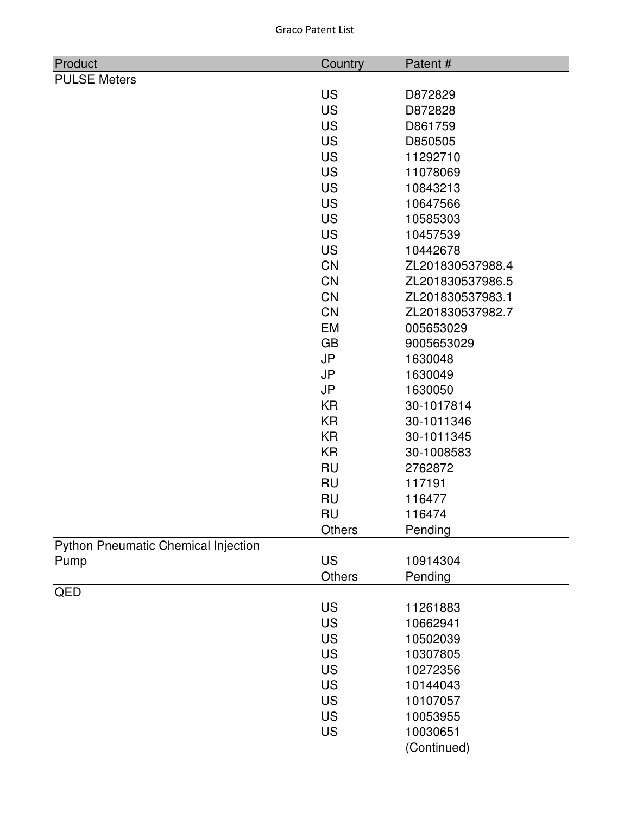|  | <b>Graco Patent List</b> |  |
|--|--------------------------|--|
|--|--------------------------|--|

| <b>US</b><br>D872829<br><b>US</b><br>D872828<br><b>US</b><br>D861759<br><b>US</b><br>D850505<br><b>US</b><br>11292710<br><b>US</b><br>11078069<br><b>US</b><br>10843213<br><b>US</b><br>10647566<br><b>US</b><br>10585303<br><b>US</b><br>10457539<br><b>US</b><br>10442678<br><b>CN</b><br>ZL201830537988.4<br><b>CN</b><br>ZL201830537986.5<br><b>CN</b><br>ZL201830537983.1<br><b>CN</b><br>ZL201830537982.7<br><b>EM</b><br>005653029<br><b>GB</b><br>9005653029<br><b>JP</b><br>1630048<br><b>JP</b><br>1630049<br><b>JP</b><br>1630050<br><b>KR</b><br>30-1017814<br><b>KR</b><br>30-1011346<br><b>KR</b><br>30-1011345<br><b>KR</b><br>30-1008583<br><b>RU</b><br>2762872<br><b>RU</b><br>117191<br><b>RU</b><br>116477<br><b>RU</b><br>116474<br><b>Others</b><br>Pending<br><b>Python Pneumatic Chemical Injection</b><br><b>US</b><br>10914304<br>Pump<br><b>Others</b><br>Pending<br>QED<br><b>US</b><br>11261883<br><b>US</b><br>10662941 | Product             | Country | Patent# |
|-------------------------------------------------------------------------------------------------------------------------------------------------------------------------------------------------------------------------------------------------------------------------------------------------------------------------------------------------------------------------------------------------------------------------------------------------------------------------------------------------------------------------------------------------------------------------------------------------------------------------------------------------------------------------------------------------------------------------------------------------------------------------------------------------------------------------------------------------------------------------------------------------------------------------------------------------------|---------------------|---------|---------|
|                                                                                                                                                                                                                                                                                                                                                                                                                                                                                                                                                                                                                                                                                                                                                                                                                                                                                                                                                       | <b>PULSE Meters</b> |         |         |
|                                                                                                                                                                                                                                                                                                                                                                                                                                                                                                                                                                                                                                                                                                                                                                                                                                                                                                                                                       |                     |         |         |
|                                                                                                                                                                                                                                                                                                                                                                                                                                                                                                                                                                                                                                                                                                                                                                                                                                                                                                                                                       |                     |         |         |
|                                                                                                                                                                                                                                                                                                                                                                                                                                                                                                                                                                                                                                                                                                                                                                                                                                                                                                                                                       |                     |         |         |
|                                                                                                                                                                                                                                                                                                                                                                                                                                                                                                                                                                                                                                                                                                                                                                                                                                                                                                                                                       |                     |         |         |
|                                                                                                                                                                                                                                                                                                                                                                                                                                                                                                                                                                                                                                                                                                                                                                                                                                                                                                                                                       |                     |         |         |
|                                                                                                                                                                                                                                                                                                                                                                                                                                                                                                                                                                                                                                                                                                                                                                                                                                                                                                                                                       |                     |         |         |
|                                                                                                                                                                                                                                                                                                                                                                                                                                                                                                                                                                                                                                                                                                                                                                                                                                                                                                                                                       |                     |         |         |
|                                                                                                                                                                                                                                                                                                                                                                                                                                                                                                                                                                                                                                                                                                                                                                                                                                                                                                                                                       |                     |         |         |
|                                                                                                                                                                                                                                                                                                                                                                                                                                                                                                                                                                                                                                                                                                                                                                                                                                                                                                                                                       |                     |         |         |
|                                                                                                                                                                                                                                                                                                                                                                                                                                                                                                                                                                                                                                                                                                                                                                                                                                                                                                                                                       |                     |         |         |
|                                                                                                                                                                                                                                                                                                                                                                                                                                                                                                                                                                                                                                                                                                                                                                                                                                                                                                                                                       |                     |         |         |
|                                                                                                                                                                                                                                                                                                                                                                                                                                                                                                                                                                                                                                                                                                                                                                                                                                                                                                                                                       |                     |         |         |
|                                                                                                                                                                                                                                                                                                                                                                                                                                                                                                                                                                                                                                                                                                                                                                                                                                                                                                                                                       |                     |         |         |
|                                                                                                                                                                                                                                                                                                                                                                                                                                                                                                                                                                                                                                                                                                                                                                                                                                                                                                                                                       |                     |         |         |
|                                                                                                                                                                                                                                                                                                                                                                                                                                                                                                                                                                                                                                                                                                                                                                                                                                                                                                                                                       |                     |         |         |
|                                                                                                                                                                                                                                                                                                                                                                                                                                                                                                                                                                                                                                                                                                                                                                                                                                                                                                                                                       |                     |         |         |
|                                                                                                                                                                                                                                                                                                                                                                                                                                                                                                                                                                                                                                                                                                                                                                                                                                                                                                                                                       |                     |         |         |
|                                                                                                                                                                                                                                                                                                                                                                                                                                                                                                                                                                                                                                                                                                                                                                                                                                                                                                                                                       |                     |         |         |
|                                                                                                                                                                                                                                                                                                                                                                                                                                                                                                                                                                                                                                                                                                                                                                                                                                                                                                                                                       |                     |         |         |
|                                                                                                                                                                                                                                                                                                                                                                                                                                                                                                                                                                                                                                                                                                                                                                                                                                                                                                                                                       |                     |         |         |
|                                                                                                                                                                                                                                                                                                                                                                                                                                                                                                                                                                                                                                                                                                                                                                                                                                                                                                                                                       |                     |         |         |
|                                                                                                                                                                                                                                                                                                                                                                                                                                                                                                                                                                                                                                                                                                                                                                                                                                                                                                                                                       |                     |         |         |
|                                                                                                                                                                                                                                                                                                                                                                                                                                                                                                                                                                                                                                                                                                                                                                                                                                                                                                                                                       |                     |         |         |
|                                                                                                                                                                                                                                                                                                                                                                                                                                                                                                                                                                                                                                                                                                                                                                                                                                                                                                                                                       |                     |         |         |
|                                                                                                                                                                                                                                                                                                                                                                                                                                                                                                                                                                                                                                                                                                                                                                                                                                                                                                                                                       |                     |         |         |
|                                                                                                                                                                                                                                                                                                                                                                                                                                                                                                                                                                                                                                                                                                                                                                                                                                                                                                                                                       |                     |         |         |
|                                                                                                                                                                                                                                                                                                                                                                                                                                                                                                                                                                                                                                                                                                                                                                                                                                                                                                                                                       |                     |         |         |
|                                                                                                                                                                                                                                                                                                                                                                                                                                                                                                                                                                                                                                                                                                                                                                                                                                                                                                                                                       |                     |         |         |
|                                                                                                                                                                                                                                                                                                                                                                                                                                                                                                                                                                                                                                                                                                                                                                                                                                                                                                                                                       |                     |         |         |
|                                                                                                                                                                                                                                                                                                                                                                                                                                                                                                                                                                                                                                                                                                                                                                                                                                                                                                                                                       |                     |         |         |
|                                                                                                                                                                                                                                                                                                                                                                                                                                                                                                                                                                                                                                                                                                                                                                                                                                                                                                                                                       |                     |         |         |
|                                                                                                                                                                                                                                                                                                                                                                                                                                                                                                                                                                                                                                                                                                                                                                                                                                                                                                                                                       |                     |         |         |
|                                                                                                                                                                                                                                                                                                                                                                                                                                                                                                                                                                                                                                                                                                                                                                                                                                                                                                                                                       |                     |         |         |
|                                                                                                                                                                                                                                                                                                                                                                                                                                                                                                                                                                                                                                                                                                                                                                                                                                                                                                                                                       |                     |         |         |
| <b>US</b><br>10502039                                                                                                                                                                                                                                                                                                                                                                                                                                                                                                                                                                                                                                                                                                                                                                                                                                                                                                                                 |                     |         |         |
| <b>US</b><br>10307805                                                                                                                                                                                                                                                                                                                                                                                                                                                                                                                                                                                                                                                                                                                                                                                                                                                                                                                                 |                     |         |         |
| <b>US</b><br>10272356                                                                                                                                                                                                                                                                                                                                                                                                                                                                                                                                                                                                                                                                                                                                                                                                                                                                                                                                 |                     |         |         |
| <b>US</b><br>10144043                                                                                                                                                                                                                                                                                                                                                                                                                                                                                                                                                                                                                                                                                                                                                                                                                                                                                                                                 |                     |         |         |
| <b>US</b><br>10107057                                                                                                                                                                                                                                                                                                                                                                                                                                                                                                                                                                                                                                                                                                                                                                                                                                                                                                                                 |                     |         |         |
| <b>US</b><br>10053955                                                                                                                                                                                                                                                                                                                                                                                                                                                                                                                                                                                                                                                                                                                                                                                                                                                                                                                                 |                     |         |         |
| <b>US</b><br>10030651                                                                                                                                                                                                                                                                                                                                                                                                                                                                                                                                                                                                                                                                                                                                                                                                                                                                                                                                 |                     |         |         |
| (Continued)                                                                                                                                                                                                                                                                                                                                                                                                                                                                                                                                                                                                                                                                                                                                                                                                                                                                                                                                           |                     |         |         |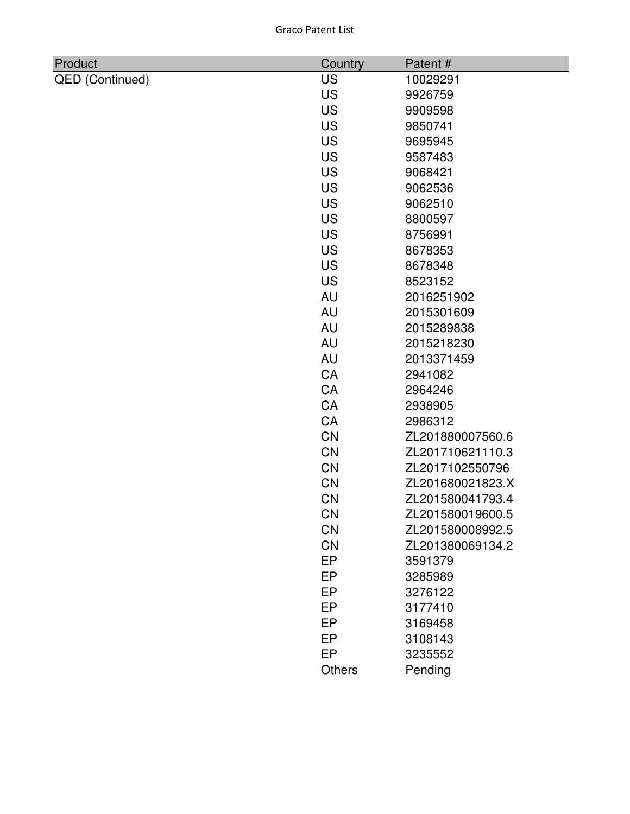| <b>Graco Patent List</b> |  |
|--------------------------|--|
|                          |  |

| Product                | Country   | Patent#          |
|------------------------|-----------|------------------|
| <b>QED</b> (Continued) | <b>US</b> | 10029291         |
|                        | <b>US</b> | 9926759          |
|                        | <b>US</b> | 9909598          |
|                        | <b>US</b> | 9850741          |
|                        | <b>US</b> | 9695945          |
|                        | <b>US</b> | 9587483          |
|                        | <b>US</b> | 9068421          |
|                        | <b>US</b> | 9062536          |
|                        | <b>US</b> | 9062510          |
|                        | <b>US</b> | 8800597          |
|                        | <b>US</b> | 8756991          |
|                        | <b>US</b> | 8678353          |
|                        | <b>US</b> | 8678348          |
|                        | <b>US</b> | 8523152          |
|                        | AU        | 2016251902       |
|                        | AU        | 2015301609       |
|                        | AU        | 2015289838       |
|                        | AU        | 2015218230       |
|                        | AU        | 2013371459       |
|                        | CA        | 2941082          |
|                        | CA        | 2964246          |
|                        | CA        | 2938905          |
|                        | CA        | 2986312          |
|                        | <b>CN</b> | ZL201880007560.6 |
|                        | <b>CN</b> | ZL201710621110.3 |
|                        | <b>CN</b> | ZL2017102550796  |
|                        | <b>CN</b> | ZL201680021823.X |
|                        | CN        | ZL201580041793.4 |
|                        | <b>CN</b> | ZL201580019600.5 |
|                        | CN        | ZL201580008992.5 |
|                        | CN        | ZL201380069134.2 |
|                        | EP        | 3591379          |
|                        | EP        | 3285989          |
|                        | EP        | 3276122          |
|                        | EP        | 3177410          |
|                        | EP        | 3169458          |
|                        | EP        | 3108143          |
|                        | EP        | 3235552          |
|                        | Others    | Pending          |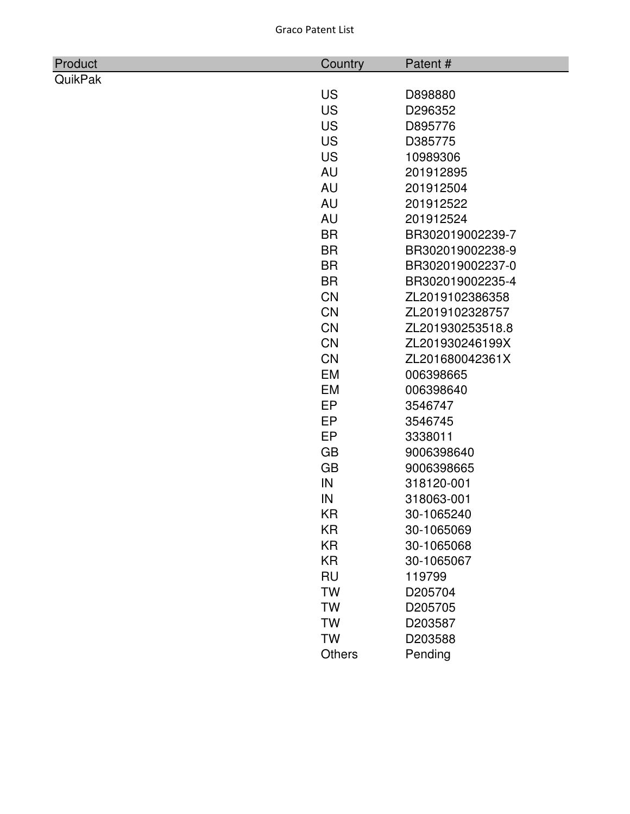| Product        | Country   | Patent#          |
|----------------|-----------|------------------|
| <b>QuikPak</b> |           |                  |
|                | <b>US</b> | D898880          |
|                | <b>US</b> | D296352          |
|                | <b>US</b> | D895776          |
|                | <b>US</b> | D385775          |
|                | <b>US</b> | 10989306         |
|                | AU        | 201912895        |
|                | AU        | 201912504        |
|                | AU        | 201912522        |
|                | AU        | 201912524        |
|                | <b>BR</b> | BR302019002239-7 |
|                | <b>BR</b> | BR302019002238-9 |
|                | <b>BR</b> | BR302019002237-0 |
|                | <b>BR</b> | BR302019002235-4 |
|                | <b>CN</b> | ZL2019102386358  |
|                | <b>CN</b> | ZL2019102328757  |
|                | <b>CN</b> | ZL201930253518.8 |
|                | <b>CN</b> | ZL201930246199X  |
|                | <b>CN</b> | ZL201680042361X  |
|                | <b>EM</b> | 006398665        |
|                | EM        | 006398640        |
|                | EP        | 3546747          |
|                | <b>EP</b> | 3546745          |
|                | EP        | 3338011          |
|                | <b>GB</b> | 9006398640       |
|                | <b>GB</b> | 9006398665       |
|                | IN        | 318120-001       |
|                | IN        | 318063-001       |
|                | ΚR        | 30-1065240       |
|                | KR        | 30-1065069       |
|                | <b>KR</b> | 30-1065068       |
|                | <b>KR</b> | 30-1065067       |
|                | <b>RU</b> | 119799           |
|                | <b>TW</b> | D205704          |
|                | <b>TW</b> | D205705          |
|                | <b>TW</b> | D203587          |
|                | <b>TW</b> | D203588          |
|                | Others    | Pending          |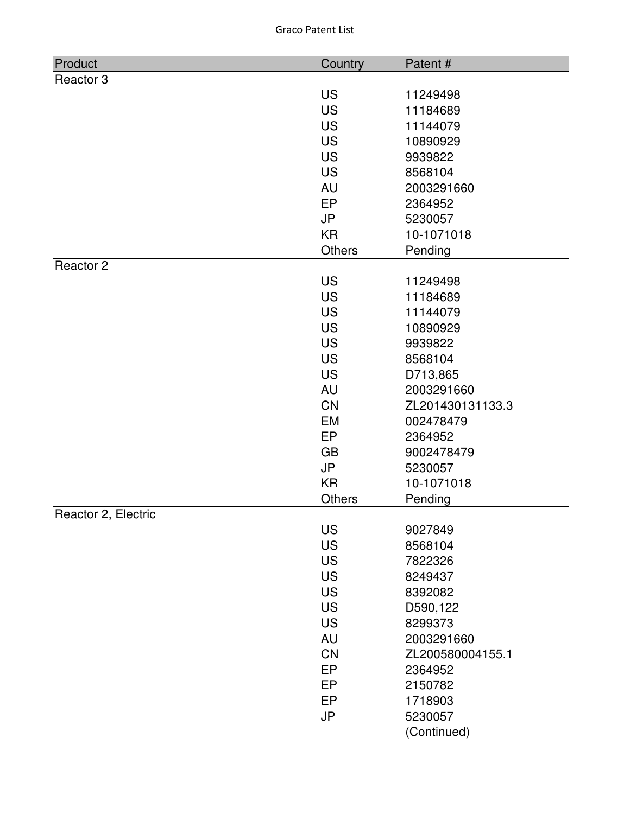| Product              | Country                | Patent#              |
|----------------------|------------------------|----------------------|
| Reactor <sub>3</sub> |                        |                      |
|                      | <b>US</b>              | 11249498             |
|                      | <b>US</b>              | 11184689             |
|                      | <b>US</b>              | 11144079             |
|                      | <b>US</b>              | 10890929             |
|                      | <b>US</b>              | 9939822              |
|                      | <b>US</b>              | 8568104              |
|                      | <b>AU</b>              | 2003291660           |
|                      | EP                     | 2364952              |
|                      | <b>JP</b>              | 5230057              |
|                      | <b>KR</b>              | 10-1071018           |
|                      | <b>Others</b>          | Pending              |
| Reactor 2            |                        |                      |
|                      | <b>US</b>              | 11249498             |
|                      | <b>US</b><br><b>US</b> | 11184689             |
|                      | <b>US</b>              | 11144079<br>10890929 |
|                      | <b>US</b>              | 9939822              |
|                      | <b>US</b>              | 8568104              |
|                      | <b>US</b>              | D713,865             |
|                      | <b>AU</b>              | 2003291660           |
|                      | <b>CN</b>              | ZL201430131133.3     |
|                      | EM                     | 002478479            |
|                      | EP                     | 2364952              |
|                      | <b>GB</b>              | 9002478479           |
|                      | <b>JP</b>              | 5230057              |
|                      | <b>KR</b>              | 10-1071018           |
|                      | <b>Others</b>          | Pending              |
| Reactor 2, Electric  |                        |                      |
|                      | <b>US</b>              | 9027849              |
|                      | <b>US</b>              | 8568104              |
|                      | <b>US</b>              | 7822326              |
|                      | <b>US</b>              | 8249437              |
|                      | <b>US</b>              | 8392082              |
|                      | <b>US</b>              | D590,122             |
|                      | <b>US</b>              | 8299373              |
|                      | <b>AU</b>              | 2003291660           |
|                      | CN                     | ZL200580004155.1     |
|                      | <b>EP</b>              | 2364952              |
|                      | EP                     | 2150782              |
|                      | <b>EP</b>              | 1718903              |
|                      | <b>JP</b>              | 5230057              |
|                      |                        | (Continued)          |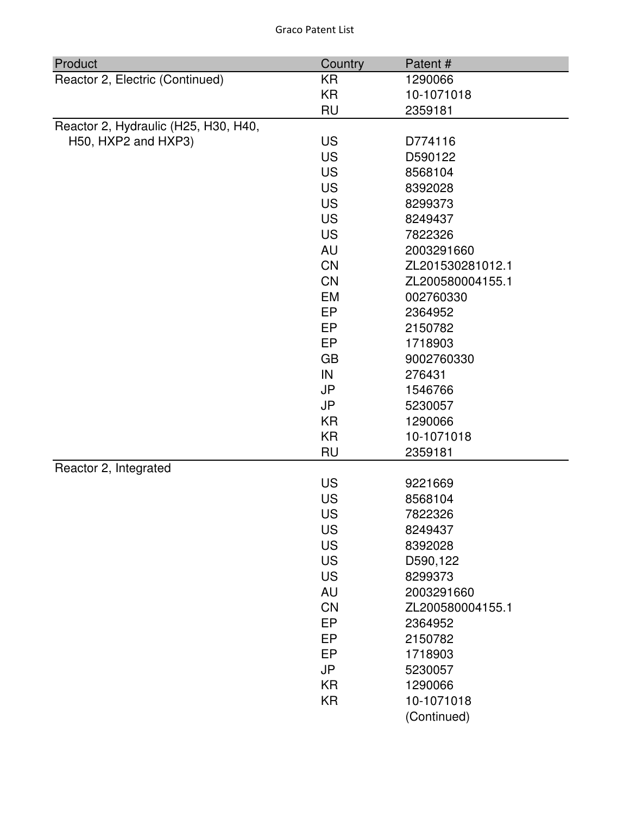| Product<br>Country<br>Patent #<br>Reactor 2, Electric (Continued)<br><b>KR</b><br>1290066<br>KR<br>10-1071018<br><b>RU</b><br>2359181<br>Reactor 2, Hydraulic (H25, H30, H40,<br>H50, HXP2 and HXP3)<br><b>US</b><br>D774116<br><b>US</b><br>D590122<br><b>US</b><br>8568104<br><b>US</b><br>8392028 |  |
|------------------------------------------------------------------------------------------------------------------------------------------------------------------------------------------------------------------------------------------------------------------------------------------------------|--|
|                                                                                                                                                                                                                                                                                                      |  |
|                                                                                                                                                                                                                                                                                                      |  |
|                                                                                                                                                                                                                                                                                                      |  |
|                                                                                                                                                                                                                                                                                                      |  |
|                                                                                                                                                                                                                                                                                                      |  |
|                                                                                                                                                                                                                                                                                                      |  |
|                                                                                                                                                                                                                                                                                                      |  |
|                                                                                                                                                                                                                                                                                                      |  |
| <b>US</b><br>8299373                                                                                                                                                                                                                                                                                 |  |
| <b>US</b><br>8249437                                                                                                                                                                                                                                                                                 |  |
| <b>US</b><br>7822326                                                                                                                                                                                                                                                                                 |  |
| <b>AU</b>                                                                                                                                                                                                                                                                                            |  |
| 2003291660                                                                                                                                                                                                                                                                                           |  |
| <b>CN</b><br>ZL201530281012.1                                                                                                                                                                                                                                                                        |  |
| <b>CN</b><br>ZL200580004155.1                                                                                                                                                                                                                                                                        |  |
| EM<br>002760330                                                                                                                                                                                                                                                                                      |  |
| EP<br>2364952                                                                                                                                                                                                                                                                                        |  |
| EP<br>2150782                                                                                                                                                                                                                                                                                        |  |
| <b>EP</b><br>1718903                                                                                                                                                                                                                                                                                 |  |
| <b>GB</b><br>9002760330                                                                                                                                                                                                                                                                              |  |
| IN<br>276431                                                                                                                                                                                                                                                                                         |  |
| JP<br>1546766                                                                                                                                                                                                                                                                                        |  |
| <b>JP</b><br>5230057                                                                                                                                                                                                                                                                                 |  |
| KR<br>1290066                                                                                                                                                                                                                                                                                        |  |
| <b>KR</b><br>10-1071018                                                                                                                                                                                                                                                                              |  |
| <b>RU</b><br>2359181                                                                                                                                                                                                                                                                                 |  |
| Reactor 2, Integrated                                                                                                                                                                                                                                                                                |  |
| <b>US</b><br>9221669                                                                                                                                                                                                                                                                                 |  |
| <b>US</b><br>8568104                                                                                                                                                                                                                                                                                 |  |
| <b>US</b><br>7822326                                                                                                                                                                                                                                                                                 |  |
| <b>US</b><br>8249437                                                                                                                                                                                                                                                                                 |  |
| <b>US</b><br>8392028                                                                                                                                                                                                                                                                                 |  |
| <b>US</b><br>D590,122                                                                                                                                                                                                                                                                                |  |
| <b>US</b><br>8299373                                                                                                                                                                                                                                                                                 |  |
| <b>AU</b><br>2003291660                                                                                                                                                                                                                                                                              |  |
| CN<br>ZL200580004155.1                                                                                                                                                                                                                                                                               |  |
| EP<br>2364952                                                                                                                                                                                                                                                                                        |  |
| EP<br>2150782                                                                                                                                                                                                                                                                                        |  |
| EP<br>1718903                                                                                                                                                                                                                                                                                        |  |
| <b>JP</b><br>5230057                                                                                                                                                                                                                                                                                 |  |
|                                                                                                                                                                                                                                                                                                      |  |

KR 10-1071018

(Continued)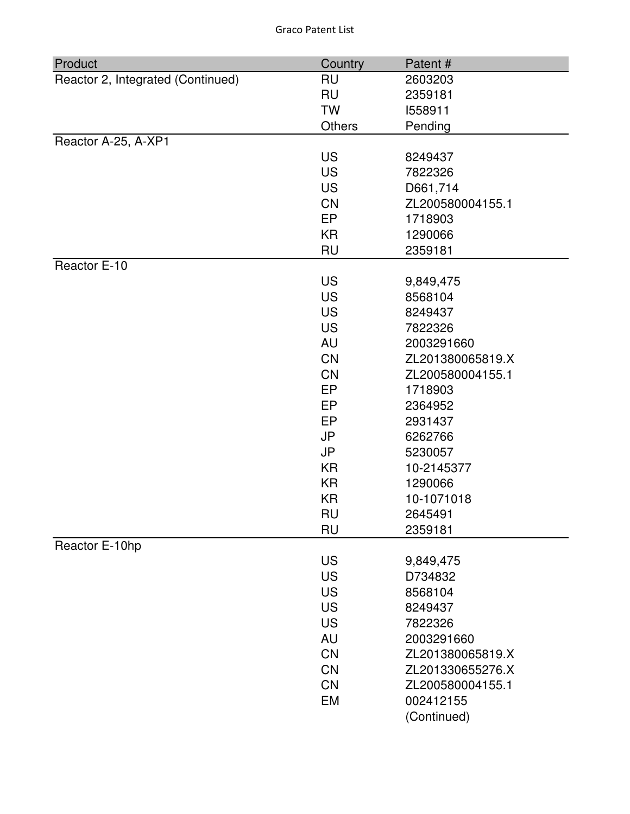| Product                           | Country   | Patent#          |
|-----------------------------------|-----------|------------------|
| Reactor 2, Integrated (Continued) | <b>RU</b> | 2603203          |
|                                   | <b>RU</b> | 2359181          |
|                                   | <b>TW</b> | 1558911          |
|                                   | Others    | Pending          |
| Reactor A-25, A-XP1               |           |                  |
|                                   | <b>US</b> | 8249437          |
|                                   | <b>US</b> | 7822326          |
|                                   | <b>US</b> | D661,714         |
|                                   | <b>CN</b> | ZL200580004155.1 |
|                                   | EP        | 1718903          |
|                                   | <b>KR</b> | 1290066          |
|                                   | <b>RU</b> | 2359181          |
| Reactor E-10                      |           |                  |
|                                   | <b>US</b> | 9,849,475        |
|                                   | <b>US</b> | 8568104          |
|                                   | <b>US</b> | 8249437          |
|                                   | <b>US</b> | 7822326          |
|                                   | <b>AU</b> | 2003291660       |
|                                   | <b>CN</b> | ZL201380065819.X |
|                                   | CN        | ZL200580004155.1 |
|                                   | EP        | 1718903          |
|                                   | <b>EP</b> | 2364952          |
|                                   | EP        | 2931437          |
|                                   | <b>JP</b> | 6262766          |
|                                   | <b>JP</b> | 5230057          |
|                                   | <b>KR</b> | 10-2145377       |
|                                   | <b>KR</b> | 1290066          |
|                                   | KR        | 10-1071018       |
|                                   | <b>RU</b> | 2645491          |
|                                   | <b>RU</b> | 2359181          |
| Reactor E-10hp                    |           |                  |
|                                   | <b>US</b> | 9,849,475        |
|                                   | <b>US</b> | D734832          |
|                                   | <b>US</b> | 8568104          |
|                                   | <b>US</b> | 8249437          |
|                                   | <b>US</b> | 7822326          |
|                                   | <b>AU</b> | 2003291660       |
|                                   | <b>CN</b> | ZL201380065819.X |
|                                   | <b>CN</b> | ZL201330655276.X |
|                                   | CN        | ZL200580004155.1 |
|                                   | EM        | 002412155        |
|                                   |           | (Continued)      |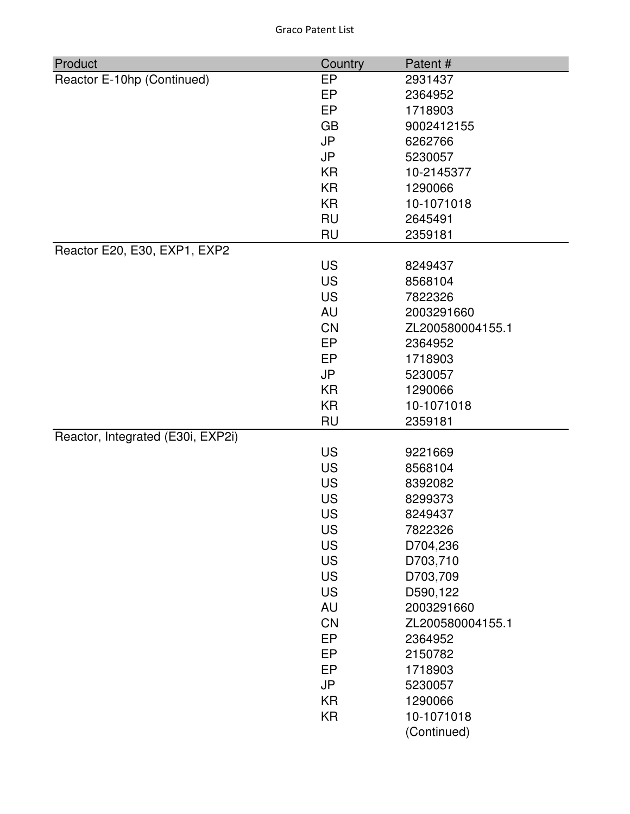| Product                           | Country                | Patent#            |
|-----------------------------------|------------------------|--------------------|
| Reactor E-10hp (Continued)        | EP                     | 2931437            |
|                                   | EP                     | 2364952            |
|                                   | <b>EP</b>              | 1718903            |
|                                   | <b>GB</b>              | 9002412155         |
|                                   | <b>JP</b>              | 6262766            |
|                                   | <b>JP</b>              | 5230057            |
|                                   | KR                     | 10-2145377         |
|                                   | <b>KR</b>              | 1290066            |
|                                   | <b>KR</b>              | 10-1071018         |
|                                   | <b>RU</b>              | 2645491            |
|                                   | <b>RU</b>              | 2359181            |
| Reactor E20, E30, EXP1, EXP2      |                        |                    |
|                                   | <b>US</b>              | 8249437            |
|                                   | <b>US</b>              | 8568104            |
|                                   | <b>US</b>              | 7822326            |
|                                   | AU                     | 2003291660         |
|                                   | <b>CN</b>              | ZL200580004155.1   |
|                                   | EP                     | 2364952            |
|                                   | <b>EP</b>              | 1718903            |
|                                   | <b>JP</b>              | 5230057            |
|                                   | <b>KR</b>              | 1290066            |
|                                   | <b>KR</b>              | 10-1071018         |
|                                   | <b>RU</b>              | 2359181            |
| Reactor, Integrated (E30i, EXP2i) |                        |                    |
|                                   | <b>US</b><br><b>US</b> | 9221669<br>8568104 |
|                                   | <b>US</b>              | 8392082            |
|                                   | <b>US</b>              | 8299373            |
|                                   | <b>US</b>              | 8249437            |
|                                   | <b>US</b>              | 7822326            |
|                                   | <b>US</b>              | D704,236           |
|                                   | <b>US</b>              | D703,710           |
|                                   | <b>US</b>              | D703,709           |
|                                   | <b>US</b>              | D590,122           |
|                                   | AU                     | 2003291660         |
|                                   | <b>CN</b>              | ZL200580004155.1   |
|                                   | EP                     | 2364952            |
|                                   | EP                     | 2150782            |
|                                   | EP                     | 1718903            |
|                                   | <b>JP</b>              | 5230057            |
|                                   | <b>KR</b>              | 1290066            |
|                                   | <b>KR</b>              | 10-1071018         |
|                                   |                        | (Continued)        |
|                                   |                        |                    |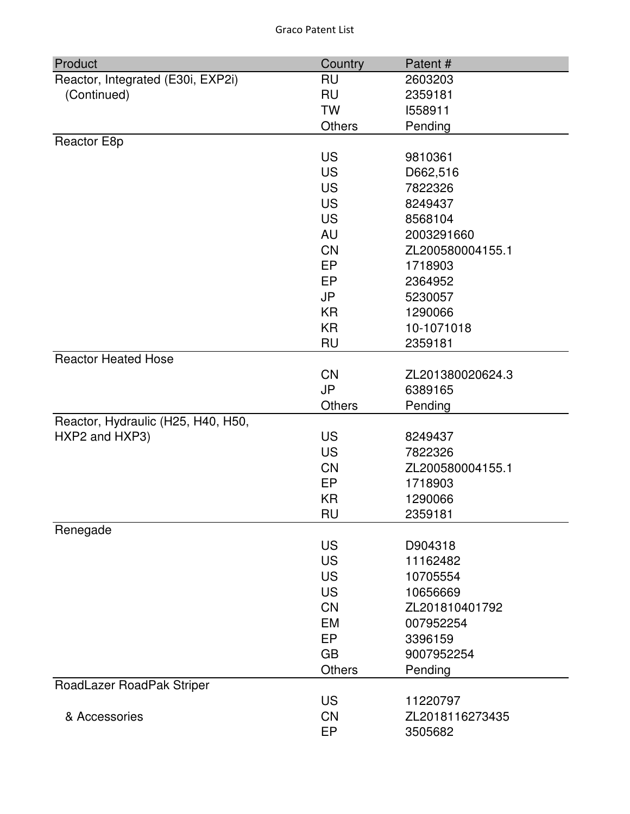| Product                            | Country       | Patent#          |
|------------------------------------|---------------|------------------|
| Reactor, Integrated (E30i, EXP2i)  | <b>RU</b>     | 2603203          |
| (Continued)                        | <b>RU</b>     | 2359181          |
|                                    | <b>TW</b>     | 1558911          |
|                                    | <b>Others</b> | Pending          |
| Reactor E8p                        |               |                  |
|                                    | <b>US</b>     | 9810361          |
|                                    | <b>US</b>     | D662,516         |
|                                    | <b>US</b>     | 7822326          |
|                                    | <b>US</b>     | 8249437          |
|                                    | <b>US</b>     | 8568104          |
|                                    | AU            | 2003291660       |
|                                    | <b>CN</b>     | ZL200580004155.1 |
|                                    | EP            | 1718903          |
|                                    | EP            | 2364952          |
|                                    | <b>JP</b>     | 5230057          |
|                                    | KR            | 1290066          |
|                                    | <b>KR</b>     | 10-1071018       |
|                                    | <b>RU</b>     | 2359181          |
| <b>Reactor Heated Hose</b>         |               |                  |
|                                    | <b>CN</b>     | ZL201380020624.3 |
|                                    | <b>JP</b>     | 6389165          |
|                                    | <b>Others</b> | Pending          |
| Reactor, Hydraulic (H25, H40, H50, |               |                  |
| HXP2 and HXP3)                     | <b>US</b>     | 8249437          |
|                                    | <b>US</b>     | 7822326          |
|                                    | <b>CN</b>     | ZL200580004155.1 |
|                                    | EP            | 1718903          |
|                                    | <b>KR</b>     | 1290066          |
|                                    | <b>RU</b>     | 2359181          |
| Renegade                           |               |                  |
|                                    | <b>US</b>     | D904318          |
|                                    | <b>US</b>     | 11162482         |
|                                    | <b>US</b>     | 10705554         |
|                                    | <b>US</b>     | 10656669         |
|                                    | <b>CN</b>     | ZL201810401792   |
|                                    | <b>EM</b>     | 007952254        |
|                                    | EP            | 3396159          |
|                                    | <b>GB</b>     | 9007952254       |
|                                    | <b>Others</b> | Pending          |
| RoadLazer RoadPak Striper          |               |                  |
|                                    | <b>US</b>     | 11220797         |
| & Accessories                      | <b>CN</b>     | ZL2018116273435  |
|                                    | EP            | 3505682          |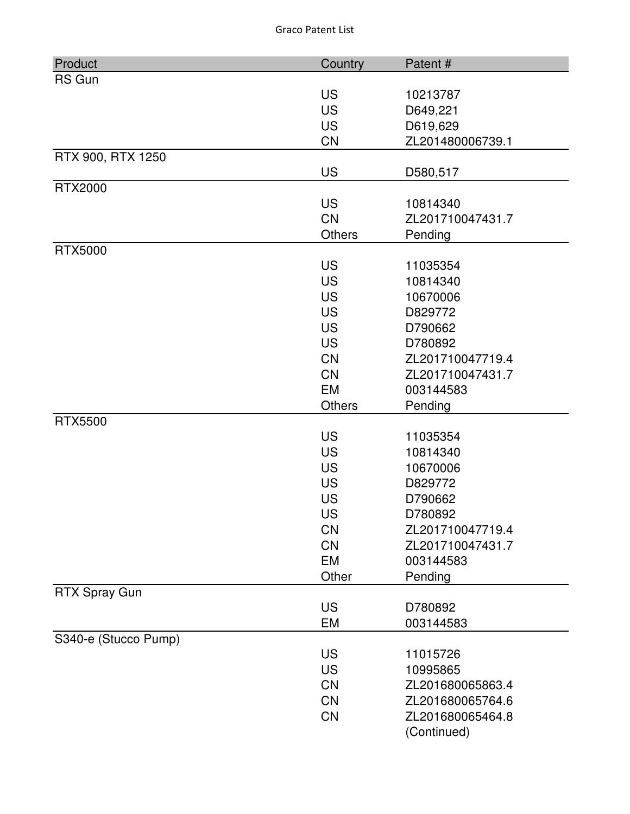| Product              | Country       | Patent#          |
|----------------------|---------------|------------------|
| <b>RS Gun</b>        |               |                  |
|                      | <b>US</b>     | 10213787         |
|                      | <b>US</b>     | D649,221         |
|                      | <b>US</b>     | D619,629         |
|                      | <b>CN</b>     | ZL201480006739.1 |
| RTX 900, RTX 1250    |               |                  |
|                      | <b>US</b>     | D580,517         |
| <b>RTX2000</b>       |               |                  |
|                      | <b>US</b>     | 10814340         |
|                      | <b>CN</b>     | ZL201710047431.7 |
|                      | <b>Others</b> | Pending          |
| <b>RTX5000</b>       |               |                  |
|                      | <b>US</b>     | 11035354         |
|                      | <b>US</b>     | 10814340         |
|                      | <b>US</b>     | 10670006         |
|                      | <b>US</b>     | D829772          |
|                      | <b>US</b>     | D790662          |
|                      | <b>US</b>     | D780892          |
|                      | <b>CN</b>     | ZL201710047719.4 |
|                      | <b>CN</b>     | ZL201710047431.7 |
|                      | <b>EM</b>     | 003144583        |
|                      | <b>Others</b> | Pending          |
| <b>RTX5500</b>       |               |                  |
|                      | <b>US</b>     | 11035354         |
|                      | <b>US</b>     | 10814340         |
|                      | <b>US</b>     | 10670006         |
|                      | <b>US</b>     | D829772          |
|                      | <b>US</b>     | D790662          |
|                      | <b>US</b>     | D780892          |
|                      | <b>CN</b>     | ZL201710047719.4 |
|                      | <b>CN</b>     | ZL201710047431.7 |
|                      | <b>EM</b>     | 003144583        |
|                      | Other         | Pending          |
| <b>RTX Spray Gun</b> |               |                  |
|                      | <b>US</b>     | D780892          |
|                      | EM            | 003144583        |
| S340-e (Stucco Pump) |               |                  |
|                      | <b>US</b>     | 11015726         |
|                      | <b>US</b>     | 10995865         |
|                      | <b>CN</b>     | ZL201680065863.4 |
|                      | CN            | ZL201680065764.6 |
|                      | <b>CN</b>     | ZL201680065464.8 |
|                      |               | (Continued)      |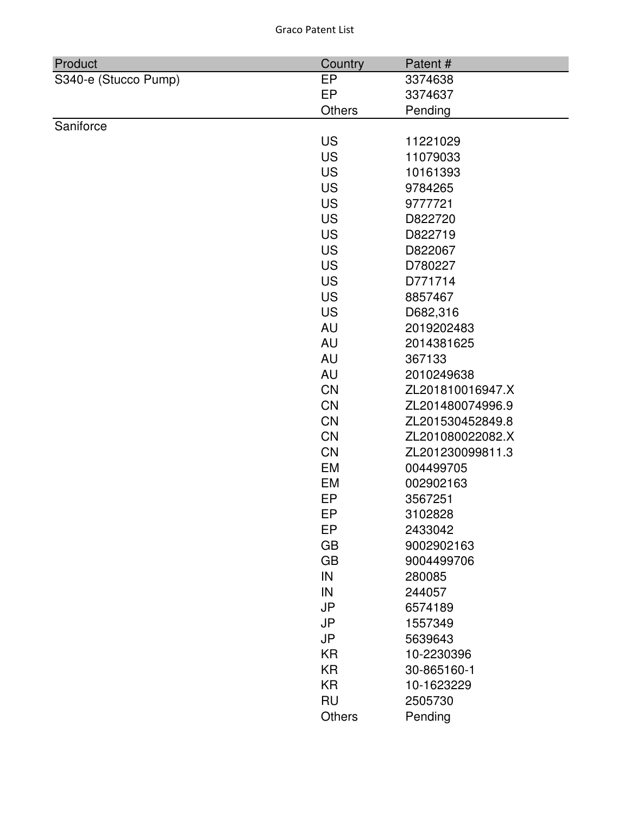| Product              | Country       | Patent#          |
|----------------------|---------------|------------------|
| S340-e (Stucco Pump) | EP            | 3374638          |
|                      | EP            | 3374637          |
|                      | <b>Others</b> | Pending          |
| Saniforce            |               |                  |
|                      | <b>US</b>     | 11221029         |
|                      | <b>US</b>     | 11079033         |
|                      | <b>US</b>     | 10161393         |
|                      | <b>US</b>     | 9784265          |
|                      | <b>US</b>     | 9777721          |
|                      | <b>US</b>     | D822720          |
|                      | <b>US</b>     | D822719          |
|                      | <b>US</b>     | D822067          |
|                      | <b>US</b>     | D780227          |
|                      | <b>US</b>     | D771714          |
|                      | <b>US</b>     | 8857467          |
|                      | <b>US</b>     | D682,316         |
|                      | <b>AU</b>     | 2019202483       |
|                      | AU            | 2014381625       |
|                      | <b>AU</b>     | 367133           |
|                      | AU            | 2010249638       |
|                      | CN            | ZL201810016947.X |
|                      | CN            | ZL201480074996.9 |
|                      | <b>CN</b>     | ZL201530452849.8 |
|                      | <b>CN</b>     | ZL201080022082.X |
|                      | CN            | ZL201230099811.3 |
|                      | EM            | 004499705        |
|                      | EM            | 002902163        |
|                      | EP            | 3567251          |
|                      | EP            | 3102828          |
|                      | EP            | 2433042          |
|                      | <b>GB</b>     | 9002902163       |
|                      | <b>GB</b>     | 9004499706       |
|                      | IN            | 280085           |
|                      | IN            | 244057           |
|                      | <b>JP</b>     | 6574189          |
|                      | <b>JP</b>     | 1557349          |
|                      | <b>JP</b>     | 5639643          |
|                      | <b>KR</b>     | 10-2230396       |
|                      | <b>KR</b>     | 30-865160-1      |
|                      | <b>KR</b>     | 10-1623229       |
|                      | <b>RU</b>     | 2505730          |
|                      | Others        | Pending          |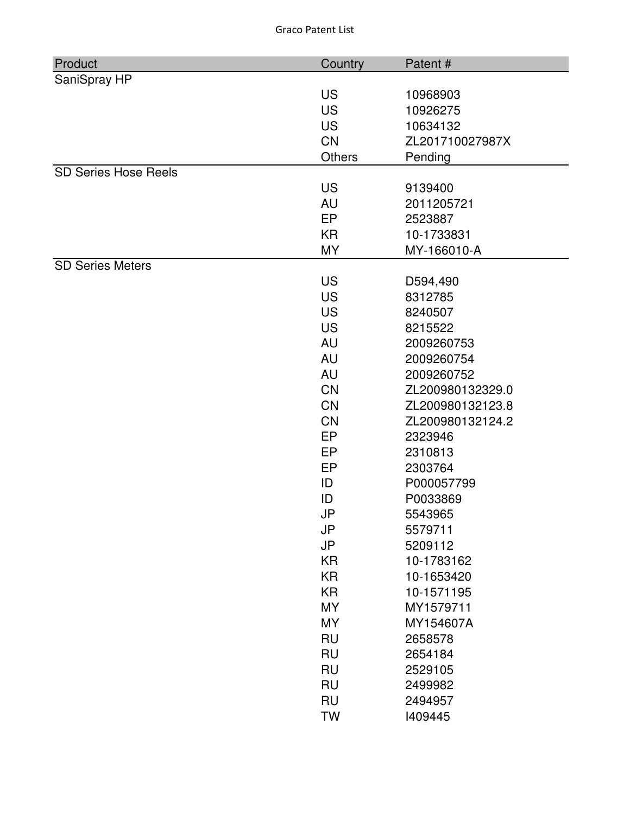| Product                     | Country   | Patent#          |
|-----------------------------|-----------|------------------|
| SaniSpray HP                |           |                  |
|                             | <b>US</b> | 10968903         |
|                             | <b>US</b> | 10926275         |
|                             | <b>US</b> | 10634132         |
|                             | <b>CN</b> | ZL201710027987X  |
|                             | Others    | Pending          |
| <b>SD Series Hose Reels</b> |           |                  |
|                             | <b>US</b> | 9139400          |
|                             | <b>AU</b> | 2011205721       |
|                             | EP        | 2523887          |
|                             | <b>KR</b> | 10-1733831       |
|                             | <b>MY</b> | MY-166010-A      |
| <b>SD Series Meters</b>     |           |                  |
|                             | <b>US</b> | D594,490         |
|                             | <b>US</b> | 8312785          |
|                             | <b>US</b> | 8240507          |
|                             | <b>US</b> | 8215522          |
|                             | <b>AU</b> | 2009260753       |
|                             | <b>AU</b> | 2009260754       |
|                             | AU        | 2009260752       |
|                             | <b>CN</b> | ZL200980132329.0 |
|                             | <b>CN</b> | ZL200980132123.8 |
|                             | <b>CN</b> | ZL200980132124.2 |
|                             | EP        | 2323946          |
|                             | EP        | 2310813          |
|                             | <b>EP</b> | 2303764          |
|                             | ID        | P000057799       |
|                             | ID        | P0033869         |
|                             | JP        | 5543965          |
|                             | JP        | 5579711          |
|                             | <b>JP</b> | 5209112          |
|                             | <b>KR</b> | 10-1783162       |
|                             | <b>KR</b> | 10-1653420       |
|                             | <b>KR</b> | 10-1571195       |
|                             | <b>MY</b> | MY1579711        |
|                             | <b>MY</b> | MY154607A        |
|                             | <b>RU</b> | 2658578          |
|                             | <b>RU</b> | 2654184          |
|                             | <b>RU</b> | 2529105          |
|                             | <b>RU</b> | 2499982          |
|                             | <b>RU</b> | 2494957          |
|                             | <b>TW</b> | 1409445          |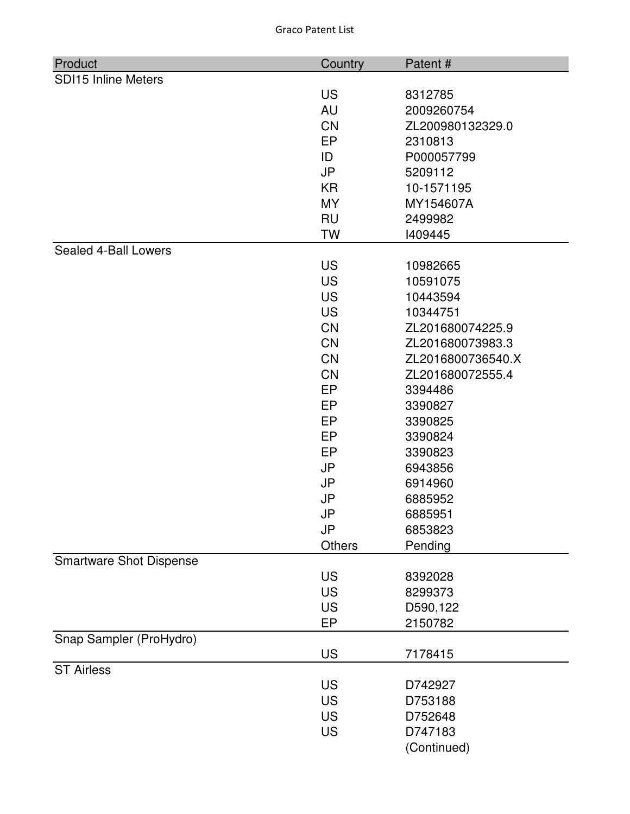| Product                        | Country   | Patent#           |
|--------------------------------|-----------|-------------------|
| <b>SDI15 Inline Meters</b>     |           |                   |
|                                | <b>US</b> | 8312785           |
|                                | <b>AU</b> | 2009260754        |
|                                | CN        | ZL200980132329.0  |
|                                | <b>EP</b> | 2310813           |
|                                | ID        | P000057799        |
|                                | <b>JP</b> | 5209112           |
|                                | KR        | 10-1571195        |
|                                | <b>MY</b> | MY154607A         |
|                                | <b>RU</b> | 2499982           |
|                                | <b>TW</b> | 1409445           |
| Sealed 4-Ball Lowers           |           |                   |
|                                | <b>US</b> | 10982665          |
|                                | <b>US</b> | 10591075          |
|                                | <b>US</b> | 10443594          |
|                                | <b>US</b> | 10344751          |
|                                | CN        | ZL201680074225.9  |
|                                | <b>CN</b> | ZL201680073983.3  |
|                                | CN        | ZL2016800736540.X |
|                                | <b>CN</b> | ZL201680072555.4  |
|                                | EP        | 3394486           |
|                                | <b>EP</b> | 3390827           |
|                                | EP        | 3390825           |
|                                | <b>EP</b> | 3390824           |
|                                | <b>EP</b> | 3390823           |
|                                | <b>JP</b> | 6943856           |
|                                | <b>JP</b> | 6914960           |
|                                | <b>JP</b> | 6885952           |
|                                | JP        | 6885951           |
|                                | <b>JP</b> | 6853823           |
|                                | Others    | Pending           |
| <b>Smartware Shot Dispense</b> |           |                   |
|                                | <b>US</b> | 8392028           |
|                                | <b>US</b> | 8299373           |
|                                | <b>US</b> | D590,122          |
|                                | EP        | 2150782           |
| Snap Sampler (ProHydro)        | <b>US</b> | 7178415           |
| <b>ST Airless</b>              |           |                   |
|                                | <b>US</b> | D742927           |
|                                | <b>US</b> | D753188           |
|                                | <b>US</b> | D752648           |
|                                | <b>US</b> | D747183           |
|                                |           | (Continued)       |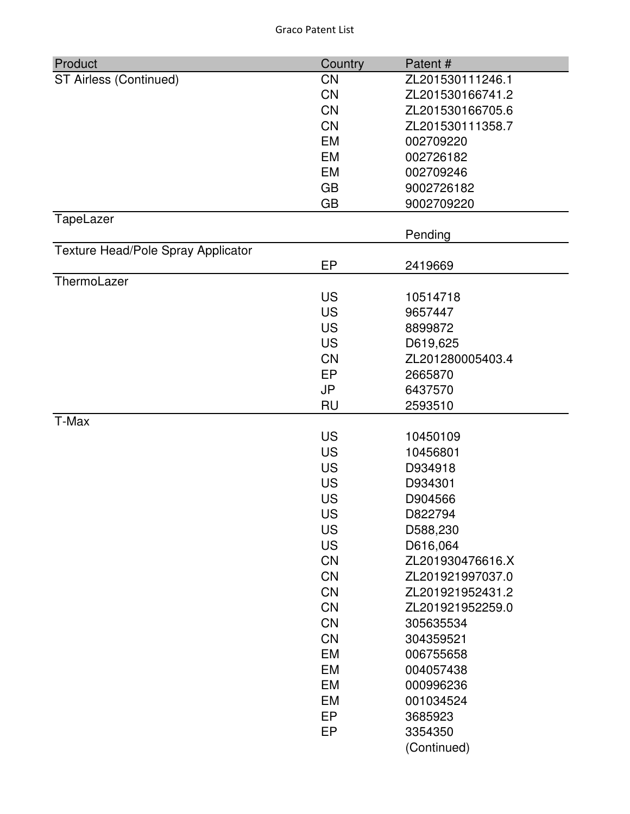| Product                            | Country   | Patent#          |
|------------------------------------|-----------|------------------|
| ST Airless (Continued)             | <b>CN</b> | ZL201530111246.1 |
|                                    | <b>CN</b> | ZL201530166741.2 |
|                                    | CN        | ZL201530166705.6 |
|                                    | <b>CN</b> | ZL201530111358.7 |
|                                    | <b>EM</b> | 002709220        |
|                                    | <b>EM</b> | 002726182        |
|                                    | EM        | 002709246        |
|                                    | <b>GB</b> | 9002726182       |
|                                    | <b>GB</b> | 9002709220       |
| TapeLazer                          |           |                  |
|                                    |           | Pending          |
| Texture Head/Pole Spray Applicator |           |                  |
|                                    | EP        | 2419669          |
| ThermoLazer                        |           |                  |
|                                    | <b>US</b> | 10514718         |
|                                    | <b>US</b> | 9657447          |
|                                    | <b>US</b> | 8899872          |
|                                    | <b>US</b> | D619,625         |
|                                    | <b>CN</b> | ZL201280005403.4 |
|                                    | EP        | 2665870          |
|                                    | <b>JP</b> | 6437570          |
|                                    | <b>RU</b> | 2593510          |
| T-Max                              |           |                  |
|                                    | <b>US</b> | 10450109         |
|                                    | <b>US</b> | 10456801         |
|                                    | <b>US</b> | D934918          |
|                                    | <b>US</b> | D934301          |
|                                    | <b>US</b> | D904566          |
|                                    | <b>US</b> | D822794          |
|                                    | US        | D588,230         |
|                                    | <b>US</b> | D616,064         |
|                                    | <b>CN</b> | ZL201930476616.X |
|                                    | CN        | ZL201921997037.0 |
|                                    | CN        | ZL201921952431.2 |
|                                    | CN        | ZL201921952259.0 |
|                                    | <b>CN</b> | 305635534        |
|                                    | CN        | 304359521        |
|                                    | EM        | 006755658        |
|                                    | EM        | 004057438        |
|                                    | EM        | 000996236        |
|                                    | <b>EM</b> | 001034524        |
|                                    | <b>EP</b> | 3685923          |
|                                    | EP        | 3354350          |
|                                    |           | (Continued)      |
|                                    |           |                  |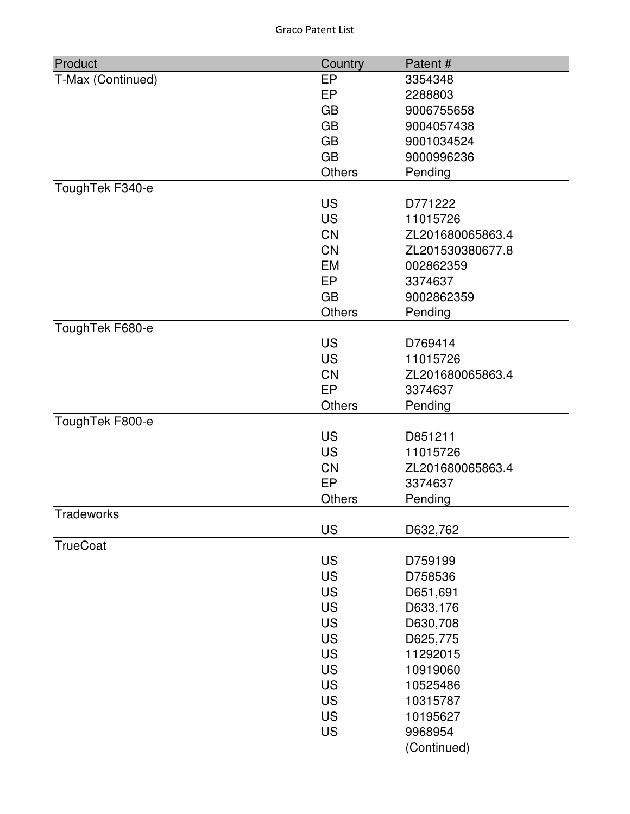| Product           | Country       | Patent#          |
|-------------------|---------------|------------------|
| T-Max (Continued) | EP            | 3354348          |
|                   | EP            | 2288803          |
|                   | <b>GB</b>     | 9006755658       |
|                   | <b>GB</b>     | 9004057438       |
|                   | <b>GB</b>     | 9001034524       |
|                   | <b>GB</b>     | 9000996236       |
|                   | Others        | Pending          |
| ToughTek F340-e   |               |                  |
|                   | <b>US</b>     | D771222          |
|                   | <b>US</b>     | 11015726         |
|                   | <b>CN</b>     | ZL201680065863.4 |
|                   | <b>CN</b>     | ZL201530380677.8 |
|                   | EM            | 002862359        |
|                   | EP            | 3374637          |
|                   | <b>GB</b>     | 9002862359       |
|                   | <b>Others</b> | Pending          |
| ToughTek F680-e   |               |                  |
|                   | <b>US</b>     | D769414          |
|                   | <b>US</b>     | 11015726         |
|                   | <b>CN</b>     | ZL201680065863.4 |
|                   | EP            | 3374637          |
|                   | <b>Others</b> | Pending          |
| ToughTek F800-e   |               |                  |
|                   | <b>US</b>     | D851211          |
|                   | <b>US</b>     | 11015726         |
|                   | <b>CN</b>     | ZL201680065863.4 |
|                   | EP            | 3374637          |
|                   | <b>Others</b> | Pending          |
| Tradeworks        | <b>US</b>     |                  |
| <b>TrueCoat</b>   |               | D632,762         |
|                   | <b>US</b>     | D759199          |
|                   | <b>US</b>     | D758536          |
|                   | <b>US</b>     | D651,691         |
|                   | <b>US</b>     | D633,176         |
|                   | <b>US</b>     | D630,708         |
|                   | <b>US</b>     | D625,775         |
|                   | <b>US</b>     | 11292015         |
|                   | <b>US</b>     | 10919060         |
|                   | <b>US</b>     | 10525486         |
|                   | <b>US</b>     | 10315787         |
|                   | <b>US</b>     | 10195627         |
|                   | <b>US</b>     | 9968954          |
|                   |               | (Continued)      |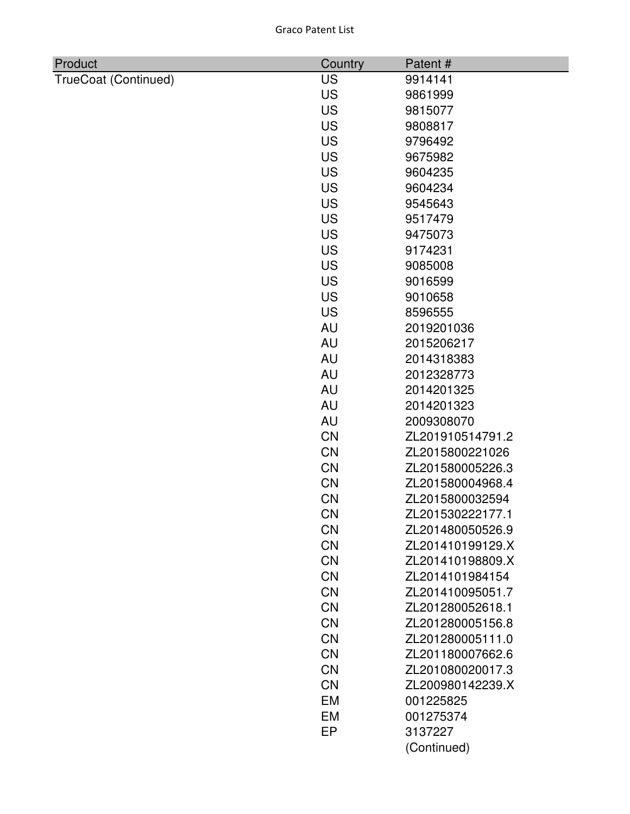| Product              | Country   | Patent#          |
|----------------------|-----------|------------------|
| TrueCoat (Continued) | <b>US</b> | 9914141          |
|                      | <b>US</b> | 9861999          |
|                      | <b>US</b> | 9815077          |
|                      | <b>US</b> | 9808817          |
|                      | <b>US</b> | 9796492          |
|                      | <b>US</b> | 9675982          |
|                      | <b>US</b> | 9604235          |
|                      | <b>US</b> | 9604234          |
|                      | <b>US</b> | 9545643          |
|                      | <b>US</b> | 9517479          |
|                      | <b>US</b> | 9475073          |
|                      | <b>US</b> | 9174231          |
|                      | <b>US</b> | 9085008          |
|                      | <b>US</b> | 9016599          |
|                      | <b>US</b> | 9010658          |
|                      | <b>US</b> | 8596555          |
|                      | <b>AU</b> | 2019201036       |
|                      | <b>AU</b> | 2015206217       |
|                      | <b>AU</b> | 2014318383       |
|                      | <b>AU</b> | 2012328773       |
|                      | <b>AU</b> | 2014201325       |
|                      | <b>AU</b> | 2014201323       |
|                      | <b>AU</b> | 2009308070       |
|                      | <b>CN</b> | ZL201910514791.2 |
|                      | <b>CN</b> | ZL2015800221026  |
|                      | <b>CN</b> | ZL201580005226.3 |
|                      | <b>CN</b> | ZL201580004968.4 |
|                      | CN        | ZL2015800032594  |
|                      | <b>CN</b> | ZL201530222177.1 |
|                      | <b>CN</b> | ZL201480050526.9 |
|                      | CN        | ZL201410199129.X |
|                      | <b>CN</b> | ZL201410198809.X |
|                      | <b>CN</b> | ZL2014101984154  |
|                      | <b>CN</b> | ZL201410095051.7 |
|                      | <b>CN</b> | ZL201280052618.1 |
|                      | <b>CN</b> | ZL201280005156.8 |
|                      | <b>CN</b> | ZL201280005111.0 |
|                      | <b>CN</b> | ZL201180007662.6 |
|                      | <b>CN</b> | ZL201080020017.3 |
|                      | <b>CN</b> | ZL200980142239.X |
|                      | <b>EM</b> | 001225825        |
|                      | <b>EM</b> | 001275374        |
|                      | EP        | 3137227          |
|                      |           | (Continued)      |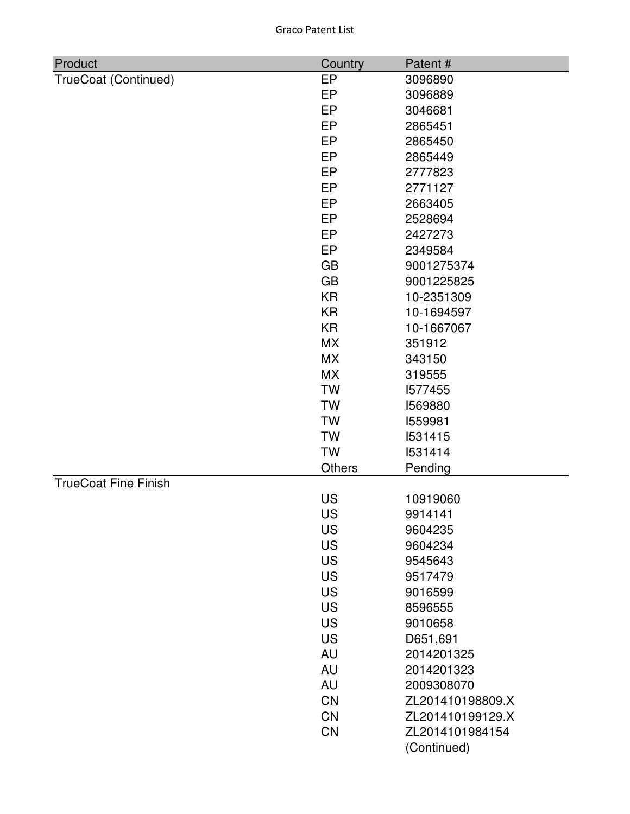| Product                     | Country       | Patent#          |
|-----------------------------|---------------|------------------|
| TrueCoat (Continued)        | EP            | 3096890          |
|                             | EP            | 3096889          |
|                             | EP            | 3046681          |
|                             | EP            | 2865451          |
|                             | EP            | 2865450          |
|                             | EP            | 2865449          |
|                             | <b>EP</b>     | 2777823          |
|                             | EP            | 2771127          |
|                             | EP            | 2663405          |
|                             | EP            | 2528694          |
|                             | EP            | 2427273          |
|                             | EP            | 2349584          |
|                             | <b>GB</b>     | 9001275374       |
|                             | <b>GB</b>     | 9001225825       |
|                             | <b>KR</b>     | 10-2351309       |
|                             | <b>KR</b>     | 10-1694597       |
|                             | <b>KR</b>     | 10-1667067       |
|                             | <b>MX</b>     | 351912           |
|                             | <b>MX</b>     | 343150           |
|                             | <b>MX</b>     | 319555           |
|                             | <b>TW</b>     | 1577455          |
|                             | <b>TW</b>     | 1569880          |
|                             | <b>TW</b>     | 1559981          |
|                             | <b>TW</b>     | 1531415          |
|                             | <b>TW</b>     | 1531414          |
|                             | <b>Others</b> | Pending          |
| <b>TrueCoat Fine Finish</b> |               |                  |
|                             | US            | 10919060         |
|                             | US            | 9914141          |
|                             | <b>US</b>     | 9604235          |
|                             | <b>US</b>     | 9604234          |
|                             | <b>US</b>     | 9545643          |
|                             | <b>US</b>     | 9517479          |
|                             | <b>US</b>     | 9016599          |
|                             | <b>US</b>     | 8596555          |
|                             | <b>US</b>     | 9010658          |
|                             | <b>US</b>     | D651,691         |
|                             | <b>AU</b>     | 2014201325       |
|                             | <b>AU</b>     | 2014201323       |
|                             | <b>AU</b>     | 2009308070       |
|                             | <b>CN</b>     | ZL201410198809.X |
|                             | <b>CN</b>     | ZL201410199129.X |
|                             | <b>CN</b>     | ZL2014101984154  |
|                             |               | (Continued)      |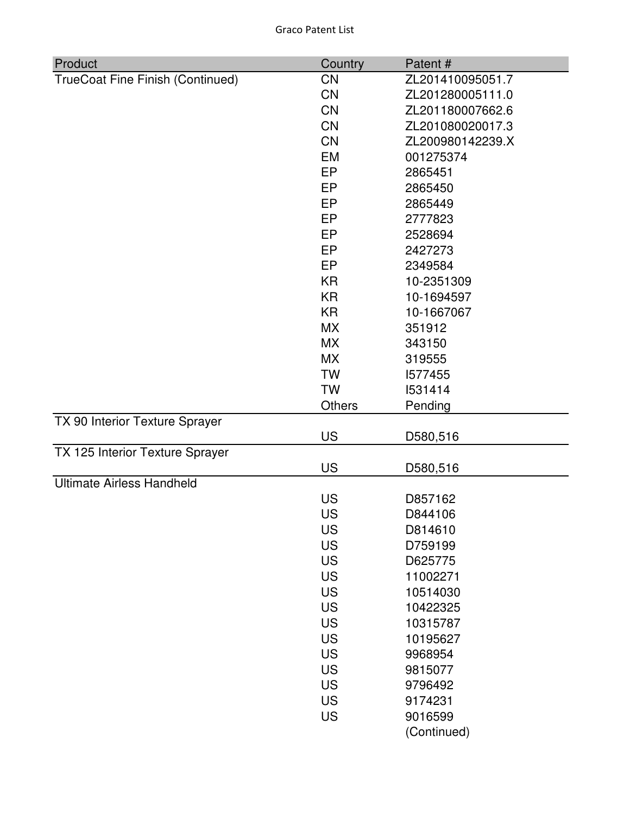| Product                          | Country       | Patent#          |
|----------------------------------|---------------|------------------|
| TrueCoat Fine Finish (Continued) | <b>CN</b>     | ZL201410095051.7 |
|                                  | <b>CN</b>     | ZL201280005111.0 |
|                                  | CN            | ZL201180007662.6 |
|                                  | CN            | ZL201080020017.3 |
|                                  | <b>CN</b>     | ZL200980142239.X |
|                                  | <b>EM</b>     | 001275374        |
|                                  | <b>EP</b>     | 2865451          |
|                                  | <b>EP</b>     | 2865450          |
|                                  | <b>EP</b>     | 2865449          |
|                                  | <b>EP</b>     | 2777823          |
|                                  | <b>EP</b>     | 2528694          |
|                                  | <b>EP</b>     | 2427273          |
|                                  | <b>EP</b>     | 2349584          |
|                                  | <b>KR</b>     | 10-2351309       |
|                                  | <b>KR</b>     | 10-1694597       |
|                                  | <b>KR</b>     | 10-1667067       |
|                                  | <b>MX</b>     | 351912           |
|                                  | <b>MX</b>     | 343150           |
|                                  | <b>MX</b>     | 319555           |
|                                  | <b>TW</b>     | 1577455          |
|                                  | <b>TW</b>     | 1531414          |
|                                  | <b>Others</b> | Pending          |
| TX 90 Interior Texture Sprayer   |               |                  |
|                                  | <b>US</b>     | D580,516         |
| TX 125 Interior Texture Sprayer  |               |                  |
|                                  | <b>US</b>     | D580,516         |
| <b>Ultimate Airless Handheld</b> |               |                  |
|                                  | <b>US</b>     | D857162          |
|                                  | US            | D844106          |
|                                  | <b>US</b>     | D814610          |
|                                  | <b>US</b>     | D759199          |
|                                  | <b>US</b>     | D625775          |
|                                  | <b>US</b>     | 11002271         |
|                                  | <b>US</b>     | 10514030         |
|                                  | <b>US</b>     | 10422325         |
|                                  | <b>US</b>     | 10315787         |
|                                  | <b>US</b>     | 10195627         |
|                                  | <b>US</b>     | 9968954          |
|                                  | <b>US</b>     | 9815077          |
|                                  | <b>US</b>     | 9796492          |
|                                  | <b>US</b>     | 9174231          |
|                                  | <b>US</b>     | 9016599          |
|                                  |               | (Continued)      |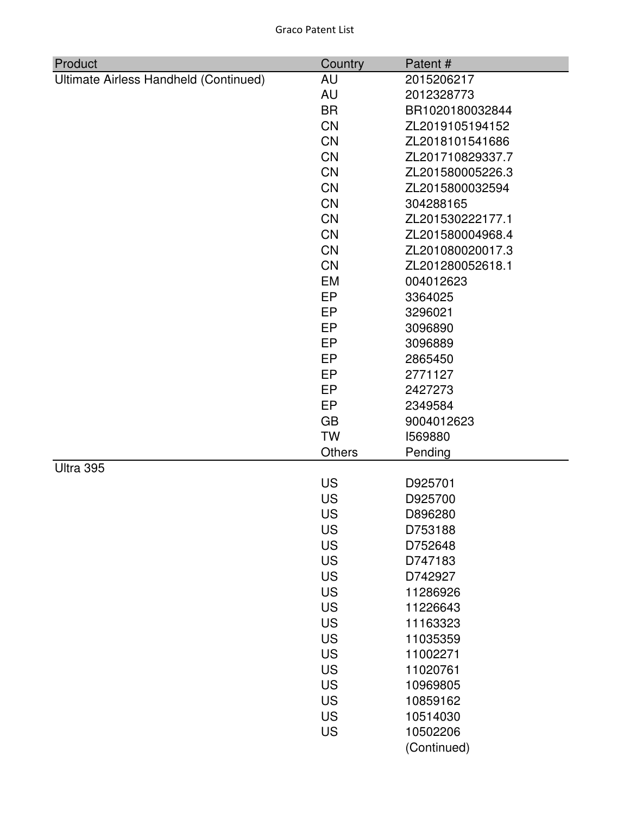| Product                               | Country       | Patent#          |
|---------------------------------------|---------------|------------------|
| Ultimate Airless Handheld (Continued) | AU            | 2015206217       |
|                                       | AU            | 2012328773       |
|                                       | <b>BR</b>     | BR1020180032844  |
|                                       | <b>CN</b>     | ZL2019105194152  |
|                                       | <b>CN</b>     | ZL2018101541686  |
|                                       | <b>CN</b>     | ZL201710829337.7 |
|                                       | <b>CN</b>     | ZL201580005226.3 |
|                                       | <b>CN</b>     | ZL2015800032594  |
|                                       | <b>CN</b>     | 304288165        |
|                                       | <b>CN</b>     | ZL201530222177.1 |
|                                       | <b>CN</b>     | ZL201580004968.4 |
|                                       | <b>CN</b>     | ZL201080020017.3 |
|                                       | <b>CN</b>     | ZL201280052618.1 |
|                                       | <b>EM</b>     | 004012623        |
|                                       | <b>EP</b>     | 3364025          |
|                                       | EP            | 3296021          |
|                                       | EP            | 3096890          |
|                                       | EP            | 3096889          |
|                                       | EP            | 2865450          |
|                                       | EP            | 2771127          |
|                                       | EP            | 2427273          |
|                                       | EP            | 2349584          |
|                                       | <b>GB</b>     | 9004012623       |
|                                       | <b>TW</b>     | 1569880          |
|                                       | <b>Others</b> | Pending          |
| Ultra 395                             |               |                  |
|                                       | US            | D925701          |
|                                       | <b>US</b>     | D925700          |
|                                       | US            | D896280          |
|                                       | US            | D753188          |
|                                       | <b>US</b>     | D752648          |
|                                       | <b>US</b>     | D747183          |
|                                       | <b>US</b>     | D742927          |
|                                       | <b>US</b>     | 11286926         |
|                                       | <b>US</b>     | 11226643         |
|                                       | <b>US</b>     | 11163323         |
|                                       | <b>US</b>     | 11035359         |
|                                       | <b>US</b>     | 11002271         |
|                                       | <b>US</b>     | 11020761         |
|                                       | <b>US</b>     | 10969805         |
|                                       | <b>US</b>     | 10859162         |
|                                       | <b>US</b>     | 10514030         |
|                                       | <b>US</b>     | 10502206         |
|                                       |               | (Continued)      |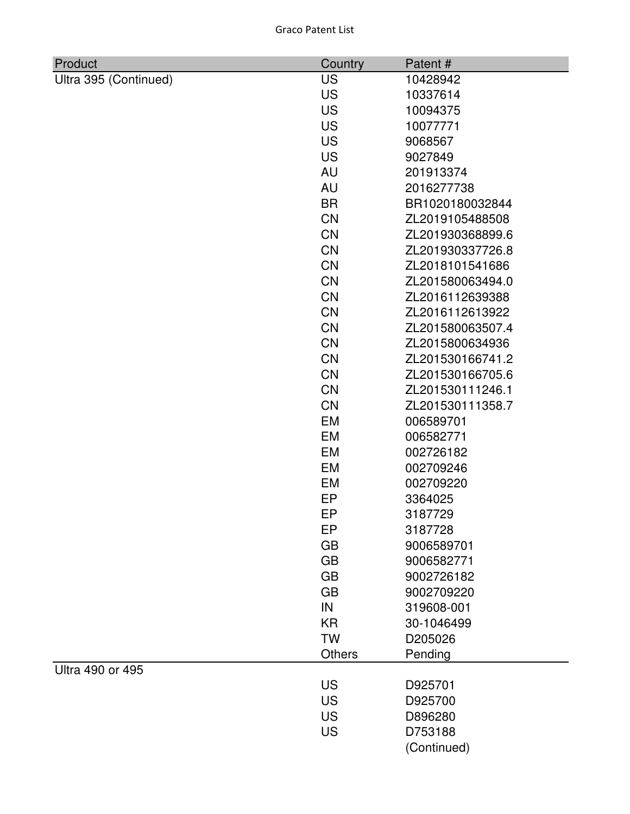| <b>Graco Patent List</b> |  |
|--------------------------|--|
|--------------------------|--|

| Product               | Country   | Patent#                |
|-----------------------|-----------|------------------------|
| Ultra 395 (Continued) | <b>US</b> | 10428942               |
|                       | <b>US</b> | 10337614               |
|                       | <b>US</b> | 10094375               |
|                       | <b>US</b> | 10077771               |
|                       | <b>US</b> | 9068567                |
|                       | <b>US</b> | 9027849                |
|                       | <b>AU</b> | 201913374              |
|                       | <b>AU</b> | 2016277738             |
|                       | <b>BR</b> | BR1020180032844        |
|                       | <b>CN</b> | ZL2019105488508        |
|                       | <b>CN</b> | ZL201930368899.6       |
|                       | <b>CN</b> | ZL201930337726.8       |
|                       | <b>CN</b> | ZL2018101541686        |
|                       | <b>CN</b> | ZL201580063494.0       |
|                       | <b>CN</b> | ZL2016112639388        |
|                       | <b>CN</b> | ZL2016112613922        |
|                       | <b>CN</b> | ZL201580063507.4       |
|                       | <b>CN</b> | ZL2015800634936        |
|                       | <b>CN</b> | ZL201530166741.2       |
|                       | <b>CN</b> | ZL201530166705.6       |
|                       | <b>CN</b> | ZL201530111246.1       |
|                       | <b>CN</b> | ZL201530111358.7       |
|                       | EM        | 006589701              |
|                       | EM        | 006582771              |
|                       | <b>EM</b> | 002726182              |
|                       | EM        | 002709246              |
|                       | EM        | 002709220              |
|                       | EP        | 3364025                |
|                       | EP        | 3187729                |
|                       | EP        | 3187728                |
|                       | <b>GB</b> | 9006589701             |
|                       | <b>GB</b> | 9006582771             |
|                       | <b>GB</b> | 9002726182             |
|                       | <b>GB</b> | 9002709220             |
|                       | IN        | 319608-001             |
|                       | KR        | 30-1046499             |
|                       | <b>TW</b> | D205026                |
| Ultra 490 or 495      | Others    | Pending                |
|                       | <b>US</b> | D925701                |
|                       | <b>US</b> | D925700                |
|                       | <b>US</b> | D896280                |
|                       | <b>US</b> |                        |
|                       |           | D753188<br>(Continued) |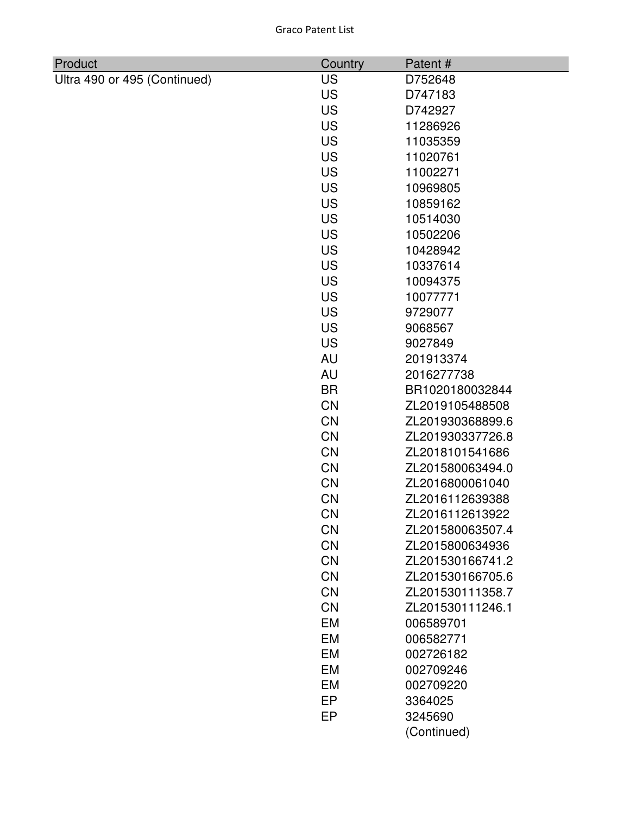| Product                      | Country   | Patent#          |
|------------------------------|-----------|------------------|
| Ultra 490 or 495 (Continued) | <b>US</b> | D752648          |
|                              | <b>US</b> | D747183          |
|                              | <b>US</b> | D742927          |
|                              | <b>US</b> | 11286926         |
|                              | <b>US</b> | 11035359         |
|                              | <b>US</b> | 11020761         |
|                              | <b>US</b> | 11002271         |
|                              | <b>US</b> | 10969805         |
|                              | <b>US</b> | 10859162         |
|                              | <b>US</b> | 10514030         |
|                              | <b>US</b> | 10502206         |
|                              | <b>US</b> | 10428942         |
|                              | <b>US</b> | 10337614         |
|                              | <b>US</b> | 10094375         |
|                              | <b>US</b> | 10077771         |
|                              | <b>US</b> | 9729077          |
|                              | <b>US</b> | 9068567          |
|                              | <b>US</b> | 9027849          |
|                              | <b>AU</b> | 201913374        |
|                              | <b>AU</b> | 2016277738       |
|                              | <b>BR</b> | BR1020180032844  |
|                              | <b>CN</b> | ZL2019105488508  |
|                              | <b>CN</b> | ZL201930368899.6 |
|                              | CN        | ZL201930337726.8 |
|                              | <b>CN</b> | ZL2018101541686  |
|                              | <b>CN</b> | ZL201580063494.0 |
|                              | <b>CN</b> | ZL2016800061040  |
|                              | CN        | ZL2016112639388  |
|                              | <b>CN</b> | ZL2016112613922  |
|                              | <b>CN</b> | ZL201580063507.4 |
|                              | <b>CN</b> | ZL2015800634936  |
|                              | <b>CN</b> | ZL201530166741.2 |
|                              | <b>CN</b> | ZL201530166705.6 |
|                              | <b>CN</b> | ZL201530111358.7 |
|                              | <b>CN</b> | ZL201530111246.1 |
|                              | <b>EM</b> | 006589701        |
|                              | <b>EM</b> | 006582771        |
|                              | <b>EM</b> | 002726182        |
|                              | <b>EM</b> | 002709246        |
|                              | EM        | 002709220        |
|                              | <b>EP</b> | 3364025          |
|                              | <b>EP</b> | 3245690          |
|                              |           | (Continued)      |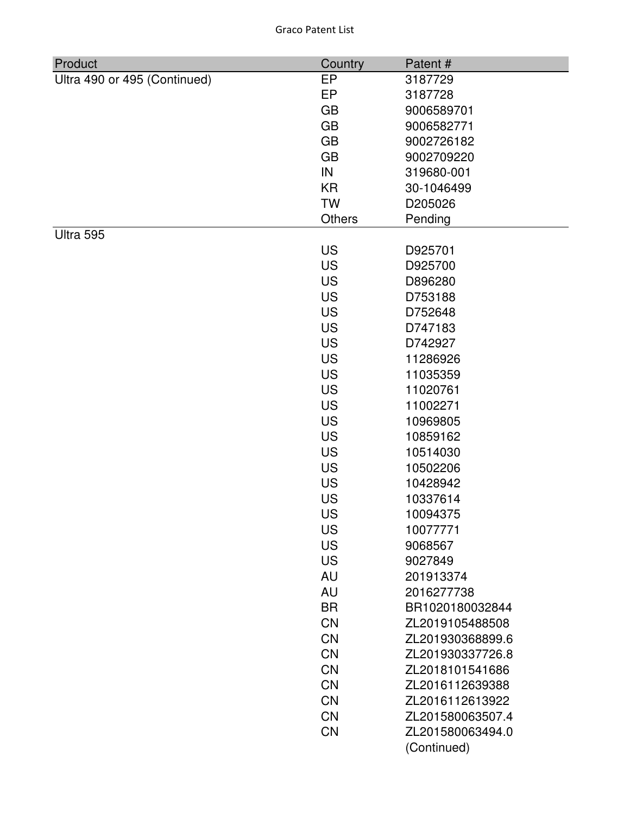| Product                      | Country   | Patent#          |
|------------------------------|-----------|------------------|
| Ultra 490 or 495 (Continued) | EP        | 3187729          |
|                              | EP        | 3187728          |
|                              | <b>GB</b> | 9006589701       |
|                              | <b>GB</b> | 9006582771       |
|                              | <b>GB</b> | 9002726182       |
|                              | <b>GB</b> | 9002709220       |
|                              | IN        | 319680-001       |
|                              | <b>KR</b> | 30-1046499       |
|                              | <b>TW</b> | D205026          |
|                              | Others    | Pending          |
| Ultra 595                    |           |                  |
|                              | <b>US</b> | D925701          |
|                              | <b>US</b> | D925700          |
|                              | <b>US</b> | D896280          |
|                              | <b>US</b> | D753188          |
|                              | <b>US</b> | D752648          |
|                              | <b>US</b> | D747183          |
|                              | <b>US</b> | D742927          |
|                              | <b>US</b> | 11286926         |
|                              | <b>US</b> | 11035359         |
|                              | <b>US</b> | 11020761         |
|                              | <b>US</b> | 11002271         |
|                              | <b>US</b> | 10969805         |
|                              | <b>US</b> | 10859162         |
|                              | <b>US</b> | 10514030         |
|                              | <b>US</b> | 10502206         |
|                              | <b>US</b> | 10428942         |
|                              | <b>US</b> | 10337614         |
|                              | <b>US</b> | 10094375         |
|                              | US        | 10077771         |
|                              | <b>US</b> | 9068567          |
|                              | <b>US</b> | 9027849          |
|                              | <b>AU</b> | 201913374        |
|                              | <b>AU</b> | 2016277738       |
|                              | <b>BR</b> | BR1020180032844  |
|                              | <b>CN</b> | ZL2019105488508  |
|                              | <b>CN</b> | ZL201930368899.6 |
|                              | <b>CN</b> | ZL201930337726.8 |
|                              | <b>CN</b> | ZL2018101541686  |
|                              | <b>CN</b> | ZL2016112639388  |
|                              | <b>CN</b> | ZL2016112613922  |
|                              | <b>CN</b> | ZL201580063507.4 |
|                              | <b>CN</b> | ZL201580063494.0 |
|                              |           | (Continued)      |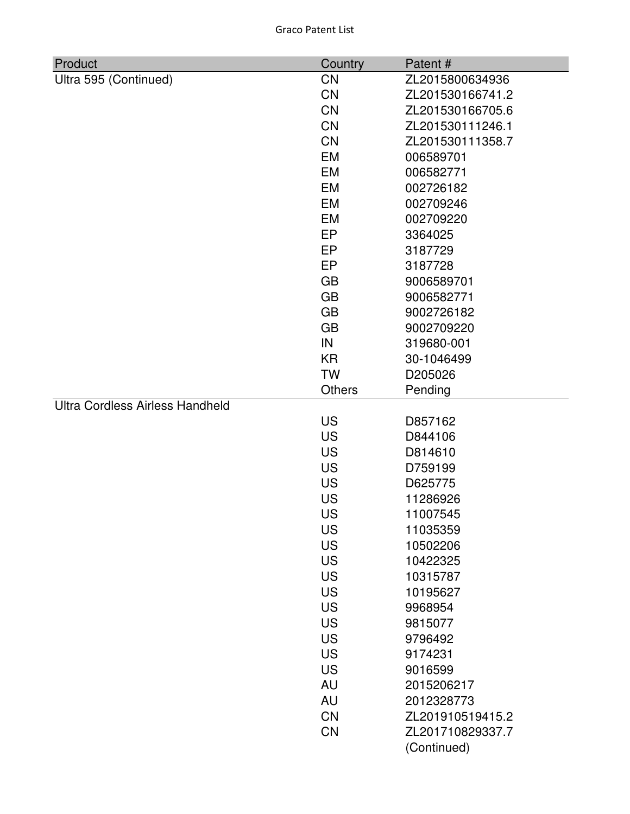| Product                                | Country                | Patent#                        |
|----------------------------------------|------------------------|--------------------------------|
| Ultra 595 (Continued)                  | <b>CN</b>              | ZL2015800634936                |
|                                        | <b>CN</b>              | ZL201530166741.2               |
|                                        | <b>CN</b>              | ZL201530166705.6               |
|                                        | <b>CN</b>              | ZL201530111246.1               |
|                                        | <b>CN</b>              | ZL201530111358.7               |
|                                        | EM                     | 006589701                      |
|                                        | EM                     | 006582771                      |
|                                        | <b>EM</b>              | 002726182                      |
|                                        | EM                     | 002709246                      |
|                                        | EM                     | 002709220                      |
|                                        | <b>EP</b>              | 3364025                        |
|                                        | EP                     | 3187729                        |
|                                        | EP                     | 3187728                        |
|                                        | <b>GB</b>              | 9006589701                     |
|                                        | <b>GB</b>              | 9006582771                     |
|                                        | <b>GB</b>              | 9002726182                     |
|                                        | <b>GB</b>              | 9002709220                     |
|                                        | IN                     | 319680-001                     |
|                                        | KR                     | 30-1046499                     |
|                                        | <b>TW</b>              | D205026                        |
|                                        | <b>Others</b>          | Pending                        |
| <b>Ultra Cordless Airless Handheld</b> |                        |                                |
|                                        | US                     | D857162                        |
|                                        | <b>US</b>              | D844106                        |
|                                        | <b>US</b>              | D814610                        |
|                                        | <b>US</b>              | D759199                        |
|                                        | <b>US</b>              | D625775                        |
|                                        | <b>US</b>              | 11286926                       |
|                                        | US                     | 11007545                       |
|                                        | <b>US</b>              | 11035359                       |
|                                        | <b>US</b>              | 10502206                       |
|                                        | <b>US</b>              | 10422325                       |
|                                        | <b>US</b>              | 10315787                       |
|                                        | <b>US</b><br><b>US</b> | 10195627                       |
|                                        | <b>US</b>              | 9968954                        |
|                                        | <b>US</b>              | 9815077<br>9796492             |
|                                        | <b>US</b>              | 9174231                        |
|                                        | <b>US</b>              | 9016599                        |
|                                        | <b>AU</b>              | 2015206217                     |
|                                        | <b>AU</b>              |                                |
|                                        | <b>CN</b>              | 2012328773<br>ZL201910519415.2 |
|                                        | <b>CN</b>              | ZL201710829337.7               |
|                                        |                        |                                |
|                                        |                        | (Continued)                    |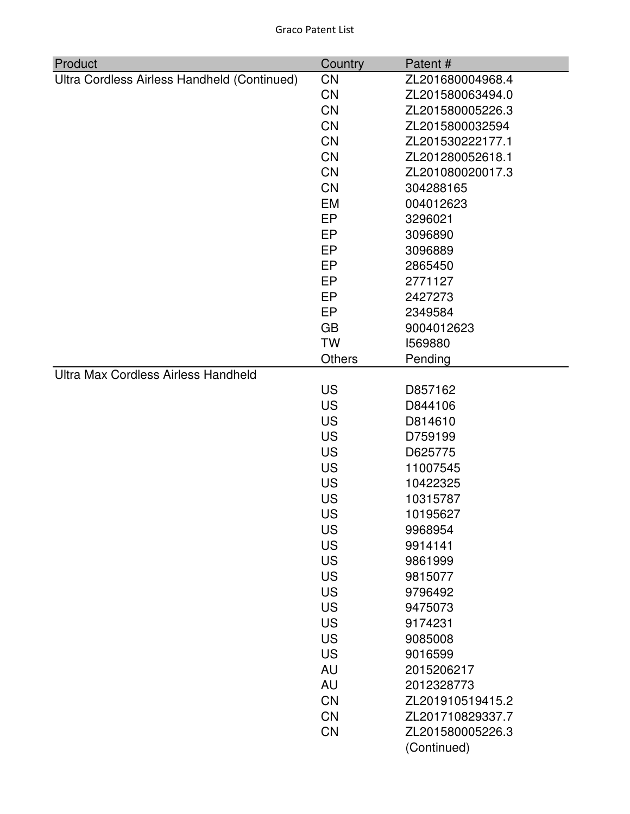| Product                                     | Country       | Patent#          |
|---------------------------------------------|---------------|------------------|
| Ultra Cordless Airless Handheld (Continued) | <b>CN</b>     | ZL201680004968.4 |
|                                             | <b>CN</b>     | ZL201580063494.0 |
|                                             | <b>CN</b>     | ZL201580005226.3 |
|                                             | <b>CN</b>     | ZL2015800032594  |
|                                             | <b>CN</b>     | ZL201530222177.1 |
|                                             | <b>CN</b>     | ZL201280052618.1 |
|                                             | <b>CN</b>     | ZL201080020017.3 |
|                                             | <b>CN</b>     | 304288165        |
|                                             | <b>EM</b>     | 004012623        |
|                                             | EP            | 3296021          |
|                                             | EP            | 3096890          |
|                                             | EP            | 3096889          |
|                                             | EP            | 2865450          |
|                                             | EP            | 2771127          |
|                                             | EP            | 2427273          |
|                                             | EP            | 2349584          |
|                                             | <b>GB</b>     | 9004012623       |
|                                             | <b>TW</b>     | 1569880          |
|                                             | <b>Others</b> | Pending          |
| Ultra Max Cordless Airless Handheld         |               |                  |
|                                             | <b>US</b>     | D857162          |
|                                             | <b>US</b>     | D844106          |
|                                             | <b>US</b>     | D814610          |
|                                             | <b>US</b>     | D759199          |
|                                             | <b>US</b>     | D625775          |
|                                             | <b>US</b>     | 11007545         |
|                                             | <b>US</b>     | 10422325         |
|                                             | <b>US</b>     | 10315787         |
|                                             | US            | 10195627         |
|                                             | <b>US</b>     | 9968954          |
|                                             | <b>US</b>     | 9914141          |
|                                             | <b>US</b>     | 9861999          |
|                                             | <b>US</b>     | 9815077          |
|                                             | <b>US</b>     | 9796492          |
|                                             | <b>US</b>     | 9475073          |
|                                             | <b>US</b>     | 9174231          |
|                                             | <b>US</b>     | 9085008          |
|                                             | <b>US</b>     | 9016599          |
|                                             | <b>AU</b>     | 2015206217       |
|                                             | AU            | 2012328773       |
|                                             | <b>CN</b>     | ZL201910519415.2 |
|                                             | <b>CN</b>     | ZL201710829337.7 |
|                                             | <b>CN</b>     | ZL201580005226.3 |
|                                             |               | (Continued)      |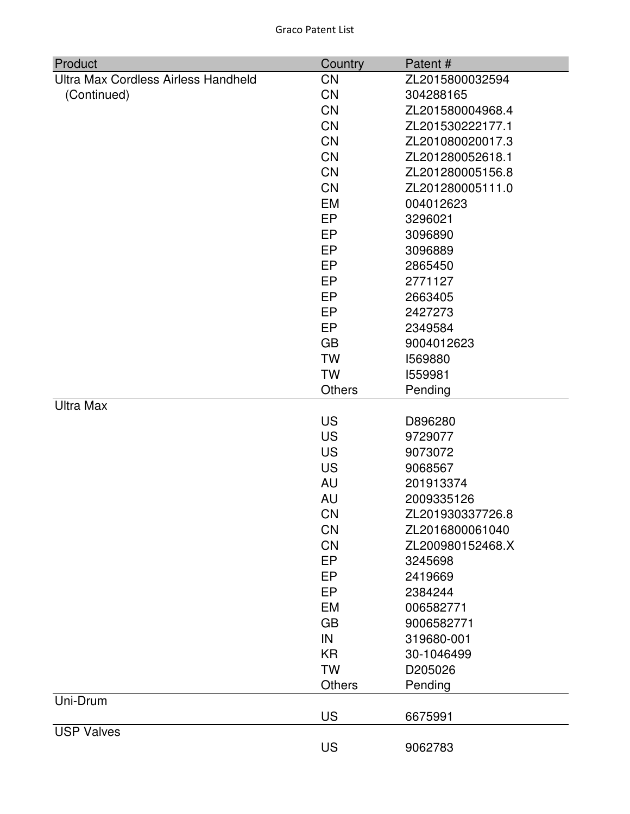| Product                             | Country       | Patent#          |
|-------------------------------------|---------------|------------------|
| Ultra Max Cordless Airless Handheld | <b>CN</b>     | ZL2015800032594  |
| (Continued)                         | <b>CN</b>     | 304288165        |
|                                     | <b>CN</b>     | ZL201580004968.4 |
|                                     | <b>CN</b>     | ZL201530222177.1 |
|                                     | <b>CN</b>     | ZL201080020017.3 |
|                                     | <b>CN</b>     | ZL201280052618.1 |
|                                     | <b>CN</b>     | ZL201280005156.8 |
|                                     | <b>CN</b>     | ZL201280005111.0 |
|                                     | EM            | 004012623        |
|                                     | <b>EP</b>     | 3296021          |
|                                     | EP            | 3096890          |
|                                     | EP            | 3096889          |
|                                     | EP            | 2865450          |
|                                     | <b>EP</b>     | 2771127          |
|                                     | EP            | 2663405          |
|                                     | EP            | 2427273          |
|                                     | EP            | 2349584          |
|                                     | <b>GB</b>     | 9004012623       |
|                                     | <b>TW</b>     | 1569880          |
|                                     | <b>TW</b>     | 1559981          |
|                                     | <b>Others</b> | Pending          |
| <b>Ultra Max</b>                    |               |                  |
|                                     | US            | D896280          |
|                                     | <b>US</b>     | 9729077          |
|                                     | <b>US</b>     | 9073072          |
|                                     | <b>US</b>     | 9068567          |
|                                     | <b>AU</b>     | 201913374        |
|                                     | AU            | 2009335126       |
|                                     | <b>CN</b>     | ZL201930337726.8 |
|                                     | <b>CN</b>     | ZL2016800061040  |
|                                     | <b>CN</b>     | ZL200980152468.X |
|                                     | EP            | 3245698          |
|                                     | EP            | 2419669          |
|                                     | EP            | 2384244          |
|                                     | <b>EM</b>     | 006582771        |
|                                     | <b>GB</b>     | 9006582771       |
|                                     | IN            | 319680-001       |
|                                     | <b>KR</b>     | 30-1046499       |
|                                     | <b>TW</b>     | D205026          |
|                                     | <b>Others</b> | Pending          |
| Uni-Drum                            |               |                  |
|                                     | <b>US</b>     | 6675991          |
| <b>USP Valves</b>                   |               |                  |
|                                     | <b>US</b>     | 9062783          |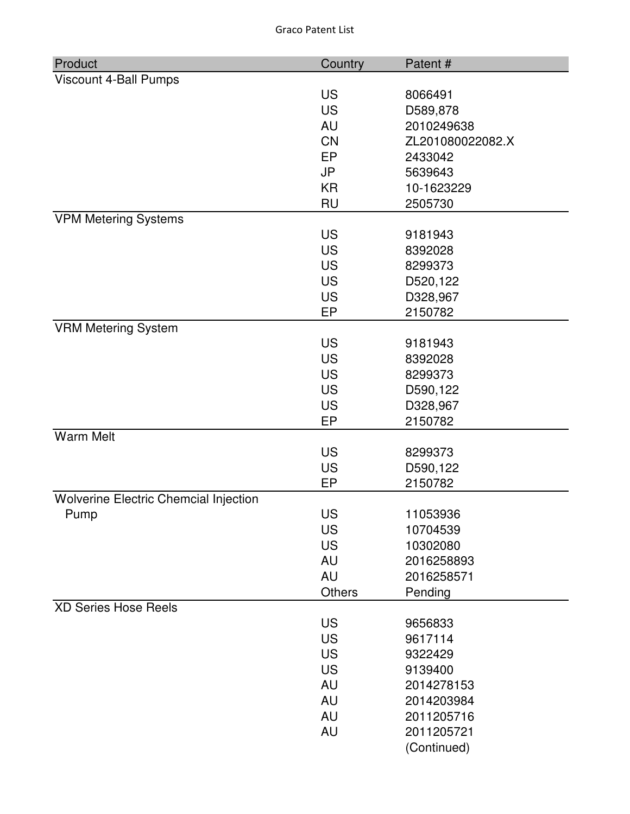Graco Patent List

| Product                               | Country       | Patent#            |
|---------------------------------------|---------------|--------------------|
| Viscount 4-Ball Pumps                 |               |                    |
|                                       | <b>US</b>     | 8066491            |
|                                       | <b>US</b>     | D589,878           |
|                                       | AU            | 2010249638         |
|                                       | <b>CN</b>     | ZL201080022082.X   |
|                                       | EP            | 2433042            |
|                                       | <b>JP</b>     | 5639643            |
|                                       | <b>KR</b>     | 10-1623229         |
|                                       | <b>RU</b>     | 2505730            |
| <b>VPM Metering Systems</b>           |               |                    |
|                                       | <b>US</b>     | 9181943            |
|                                       | <b>US</b>     | 8392028            |
|                                       | <b>US</b>     | 8299373            |
|                                       | <b>US</b>     | D520,122           |
|                                       | <b>US</b>     | D328,967           |
|                                       | EP            | 2150782            |
| <b>VRM Metering System</b>            | <b>US</b>     |                    |
|                                       | <b>US</b>     | 9181943<br>8392028 |
|                                       | <b>US</b>     | 8299373            |
|                                       | <b>US</b>     | D590,122           |
|                                       | <b>US</b>     | D328,967           |
|                                       | EP            | 2150782            |
| <b>Warm Melt</b>                      |               |                    |
|                                       | <b>US</b>     | 8299373            |
|                                       | <b>US</b>     | D590,122           |
|                                       | EP            | 2150782            |
| Wolverine Electric Chemcial Injection |               |                    |
| Pump                                  | US            | 11053936           |
|                                       | <b>US</b>     | 10704539           |
|                                       | <b>US</b>     | 10302080           |
|                                       | <b>AU</b>     | 2016258893         |
|                                       | <b>AU</b>     | 2016258571         |
|                                       | <b>Others</b> | Pending            |
| <b>XD Series Hose Reels</b>           |               |                    |
|                                       | <b>US</b>     | 9656833            |
|                                       | <b>US</b>     | 9617114            |
|                                       | <b>US</b>     | 9322429            |
|                                       | <b>US</b>     | 9139400            |
|                                       | <b>AU</b>     | 2014278153         |
|                                       | <b>AU</b>     | 2014203984         |
|                                       | AU            | 2011205716         |
|                                       | AU            | 2011205721         |
|                                       |               | (Continued)        |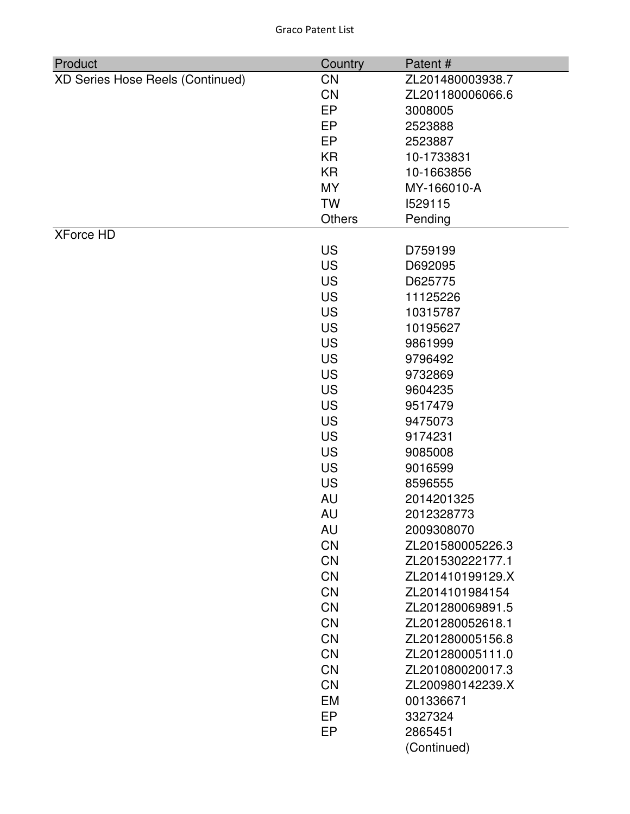| Product                          | Country       | Patent#          |
|----------------------------------|---------------|------------------|
| XD Series Hose Reels (Continued) | <b>CN</b>     | ZL201480003938.7 |
|                                  | <b>CN</b>     | ZL201180006066.6 |
|                                  | EP            | 3008005          |
|                                  | EP            | 2523888          |
|                                  | EP            | 2523887          |
|                                  | KR            | 10-1733831       |
|                                  | <b>KR</b>     | 10-1663856       |
|                                  | <b>MY</b>     | MY-166010-A      |
|                                  | <b>TW</b>     | 1529115          |
|                                  | <b>Others</b> | Pending          |
| <b>XForce HD</b>                 |               |                  |
|                                  | <b>US</b>     | D759199          |
|                                  | <b>US</b>     | D692095          |
|                                  | <b>US</b>     | D625775          |
|                                  | <b>US</b>     | 11125226         |
|                                  | <b>US</b>     | 10315787         |
|                                  | <b>US</b>     | 10195627         |
|                                  | <b>US</b>     | 9861999          |
|                                  | <b>US</b>     | 9796492          |
|                                  | <b>US</b>     | 9732869          |
|                                  | <b>US</b>     | 9604235          |
|                                  | <b>US</b>     | 9517479          |
|                                  | <b>US</b>     | 9475073          |
|                                  | <b>US</b>     | 9174231          |
|                                  | <b>US</b>     | 9085008          |
|                                  | <b>US</b>     | 9016599          |
|                                  | <b>US</b>     | 8596555          |
|                                  | AU            | 2014201325       |
|                                  | AU            | 2012328773       |
|                                  | <b>AU</b>     | 2009308070       |
|                                  | CN            | ZL201580005226.3 |
|                                  | <b>CN</b>     | ZL201530222177.1 |
|                                  | <b>CN</b>     | ZL201410199129.X |
|                                  | <b>CN</b>     | ZL2014101984154  |
|                                  | <b>CN</b>     | ZL201280069891.5 |
|                                  | CN            | ZL201280052618.1 |
|                                  | <b>CN</b>     | ZL201280005156.8 |
|                                  | <b>CN</b>     | ZL201280005111.0 |
|                                  | <b>CN</b>     | ZL201080020017.3 |
|                                  | <b>CN</b>     | ZL200980142239.X |
|                                  | EM            | 001336671        |
|                                  | EP            | 3327324          |
|                                  | EP            | 2865451          |
|                                  |               | (Continued)      |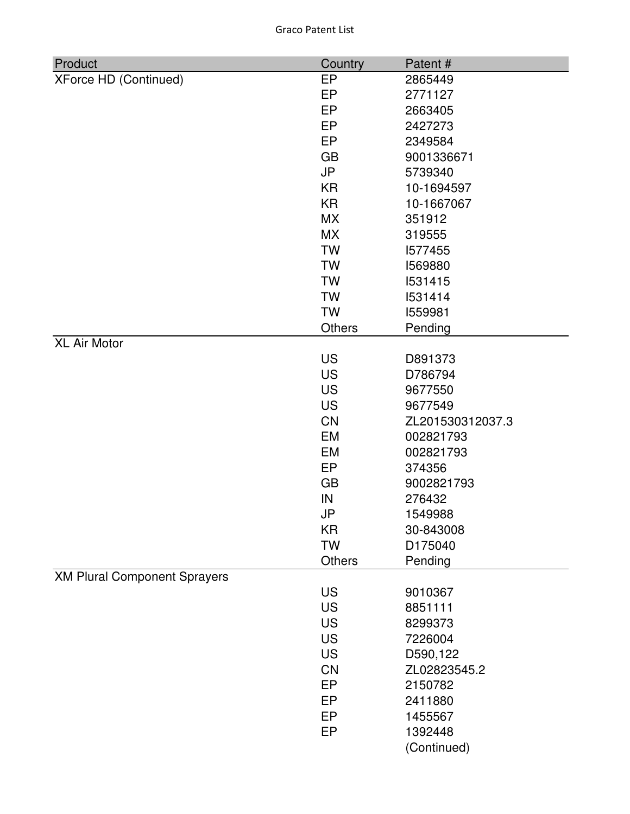Graco Patent List

| Product                             | Country   | Patent#          |
|-------------------------------------|-----------|------------------|
| <b>XForce HD (Continued)</b>        | EP        | 2865449          |
|                                     | EP        | 2771127          |
|                                     | <b>EP</b> | 2663405          |
|                                     | EP        | 2427273          |
|                                     | EP        | 2349584          |
|                                     | <b>GB</b> | 9001336671       |
|                                     | <b>JP</b> | 5739340          |
|                                     | <b>KR</b> | 10-1694597       |
|                                     | <b>KR</b> | 10-1667067       |
|                                     | <b>MX</b> | 351912           |
|                                     | <b>MX</b> | 319555           |
|                                     | <b>TW</b> | 1577455          |
|                                     | <b>TW</b> | 1569880          |
|                                     | <b>TW</b> | 1531415          |
|                                     | <b>TW</b> | 1531414          |
|                                     | <b>TW</b> | 1559981          |
|                                     | Others    | Pending          |
| <b>XL Air Motor</b>                 |           |                  |
|                                     | <b>US</b> | D891373          |
|                                     | <b>US</b> | D786794          |
|                                     | <b>US</b> | 9677550          |
|                                     | <b>US</b> | 9677549          |
|                                     | <b>CN</b> | ZL201530312037.3 |
|                                     | <b>EM</b> | 002821793        |
|                                     | EM        | 002821793        |
|                                     | EP        | 374356           |
|                                     | <b>GB</b> | 9002821793       |
|                                     | IN        | 276432           |
|                                     | JP        | 1549988          |
|                                     | KR        | 30-843008        |
|                                     | <b>TW</b> | D175040          |
|                                     | Others    | Pending          |
| <b>XM Plural Component Sprayers</b> |           |                  |
|                                     | <b>US</b> | 9010367          |
|                                     | <b>US</b> | 8851111          |
|                                     | <b>US</b> | 8299373          |
|                                     | <b>US</b> | 7226004          |
|                                     | <b>US</b> | D590,122         |
|                                     | <b>CN</b> | ZL02823545.2     |
|                                     | EP        | 2150782          |
|                                     | EP        | 2411880          |
|                                     | EP        | 1455567          |
|                                     | <b>EP</b> | 1392448          |
|                                     |           | (Continued)      |